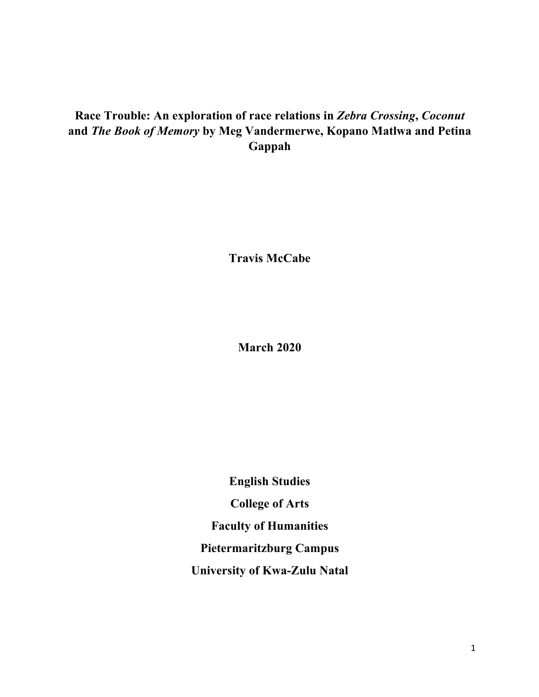# **Race Trouble: An exploration of race relations in** *Zebra Crossing***,** *Coconut*  **and** *The Book of Memory* **by Meg Vandermerwe, Kopano Matlwa and Petina Gappah**

**Travis McCabe**

**March 2020**

**English Studies College of Arts Faculty of Humanities Pietermaritzburg Campus University of Kwa-Zulu Natal**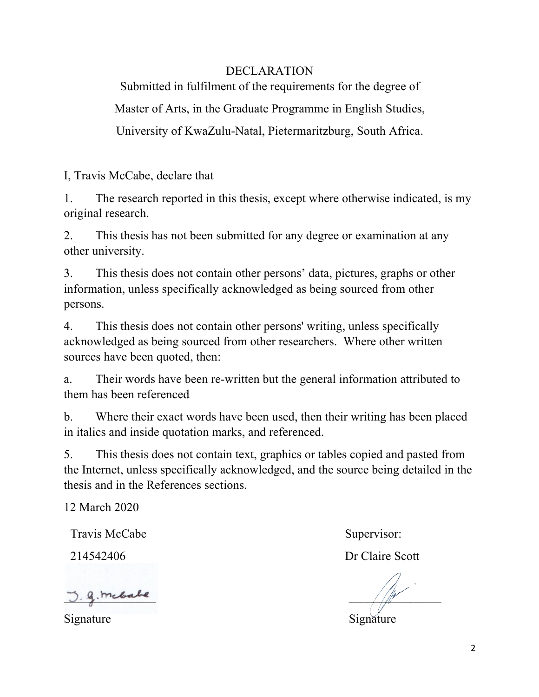# DECLARATION

Submitted in fulfilment of the requirements for the degree of Master of Arts, in the Graduate Programme in English Studies, University of KwaZulu-Natal, Pietermaritzburg, South Africa.

I, Travis McCabe, declare that

1. The research reported in this thesis, except where otherwise indicated, is my original research.

2. This thesis has not been submitted for any degree or examination at any other university.

3. This thesis does not contain other persons' data, pictures, graphs or other information, unless specifically acknowledged as being sourced from other persons.

4. This thesis does not contain other persons' writing, unless specifically acknowledged as being sourced from other researchers. Where other written sources have been quoted, then:

a. Their words have been re-written but the general information attributed to them has been referenced

b. Where their exact words have been used, then their writing has been placed in italics and inside quotation marks, and referenced.

5. This thesis does not contain text, graphics or tables copied and pasted from the Internet, unless specifically acknowledged, and the source being detailed in the thesis and in the References sections.

12 March 2020

Travis McCabe

214542406

 $g$ . mcbabe

Supervisor:

Dr Claire Scott

Signature Signature Signature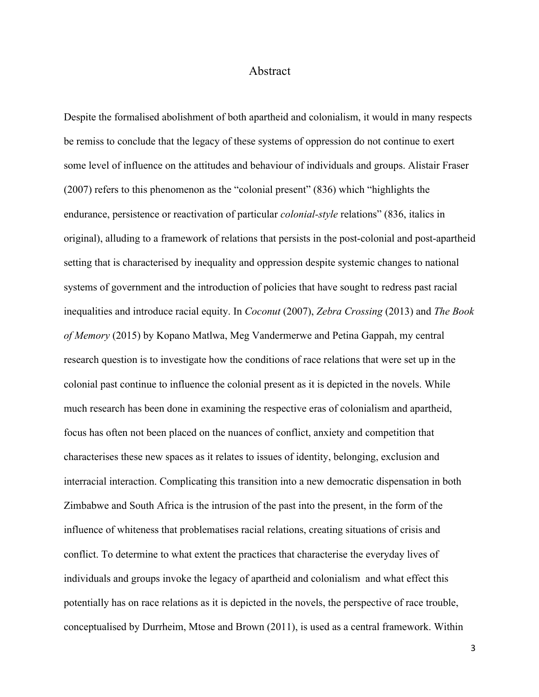## Abstract

Despite the formalised abolishment of both apartheid and colonialism, it would in many respects be remiss to conclude that the legacy of these systems of oppression do not continue to exert some level of influence on the attitudes and behaviour of individuals and groups. Alistair Fraser (2007) refers to this phenomenon as the "colonial present" (836) which "highlights the endurance, persistence or reactivation of particular *colonial-style* relations" (836, italics in original), alluding to a framework of relations that persists in the post-colonial and post-apartheid setting that is characterised by inequality and oppression despite systemic changes to national systems of government and the introduction of policies that have sought to redress past racial inequalities and introduce racial equity. In *Coconut* (2007), *Zebra Crossing* (2013) and *The Book of Memory* (2015) by Kopano Matlwa, Meg Vandermerwe and Petina Gappah, my central research question is to investigate how the conditions of race relations that were set up in the colonial past continue to influence the colonial present as it is depicted in the novels. While much research has been done in examining the respective eras of colonialism and apartheid, focus has often not been placed on the nuances of conflict, anxiety and competition that characterises these new spaces as it relates to issues of identity, belonging, exclusion and interracial interaction. Complicating this transition into a new democratic dispensation in both Zimbabwe and South Africa is the intrusion of the past into the present, in the form of the influence of whiteness that problematises racial relations, creating situations of crisis and conflict. To determine to what extent the practices that characterise the everyday lives of individuals and groups invoke the legacy of apartheid and colonialism and what effect this potentially has on race relations as it is depicted in the novels, the perspective of race trouble, conceptualised by Durrheim, Mtose and Brown (2011), is used as a central framework. Within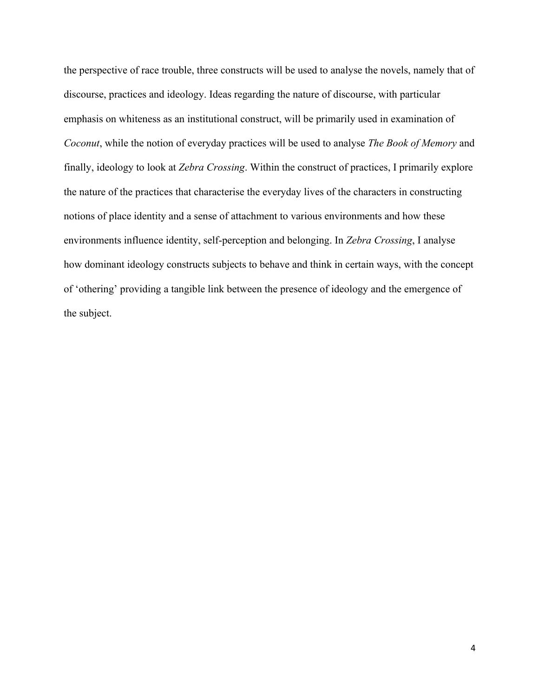the perspective of race trouble, three constructs will be used to analyse the novels, namely that of discourse, practices and ideology. Ideas regarding the nature of discourse, with particular emphasis on whiteness as an institutional construct, will be primarily used in examination of *Coconut*, while the notion of everyday practices will be used to analyse *The Book of Memory* and finally, ideology to look at *Zebra Crossing*. Within the construct of practices, I primarily explore the nature of the practices that characterise the everyday lives of the characters in constructing notions of place identity and a sense of attachment to various environments and how these environments influence identity, self-perception and belonging. In *Zebra Crossing*, I analyse how dominant ideology constructs subjects to behave and think in certain ways, with the concept of 'othering' providing a tangible link between the presence of ideology and the emergence of the subject.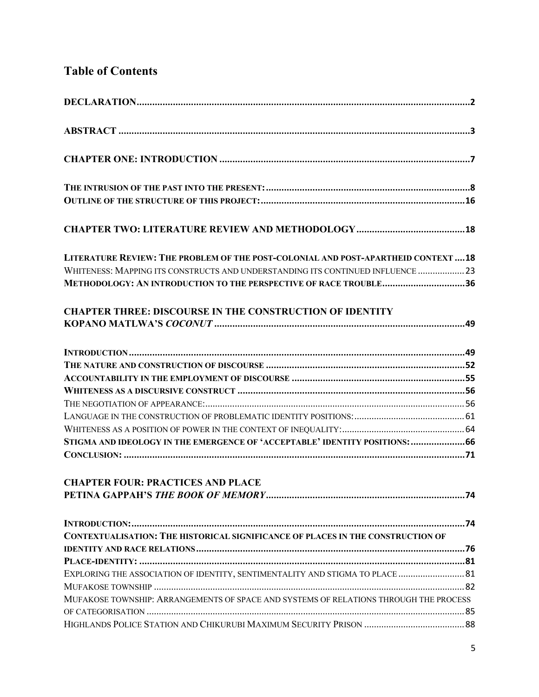# **Table of Contents**

| LITERATURE REVIEW: THE PROBLEM OF THE POST-COLONIAL AND POST-APARTHEID CONTEXT  18     |  |
|----------------------------------------------------------------------------------------|--|
| WHITENESS: MAPPING ITS CONSTRUCTS AND UNDERSTANDING ITS CONTINUED INFLUENCE  23        |  |
| METHODOLOGY: AN INTRODUCTION TO THE PERSPECTIVE OF RACE TROUBLE36                      |  |
| <b>CHAPTER THREE: DISCOURSE IN THE CONSTRUCTION OF IDENTITY</b>                        |  |
|                                                                                        |  |
|                                                                                        |  |
|                                                                                        |  |
|                                                                                        |  |
|                                                                                        |  |
|                                                                                        |  |
|                                                                                        |  |
| STIGMA AND IDEOLOGY IN THE EMERGENCE OF 'ACCEPTABLE' IDENTITY POSITIONS: 66            |  |
|                                                                                        |  |
|                                                                                        |  |
| <b>CHAPTER FOUR: PRACTICES AND PLACE</b>                                               |  |
|                                                                                        |  |
|                                                                                        |  |
| <b>CONTEXTUALISATION: THE HISTORICAL SIGNIFICANCE OF PLACES IN THE CONSTRUCTION OF</b> |  |
|                                                                                        |  |
|                                                                                        |  |
| EXPLORING THE ASSOCIATION OF IDENTITY, SENTIMENTALITY AND STIGMA TO PLACE  81          |  |
|                                                                                        |  |
| MUFAKOSE TOWNSHIP: ARRANGEMENTS OF SPACE AND SYSTEMS OF RELATIONS THROUGH THE PROCESS  |  |
|                                                                                        |  |
|                                                                                        |  |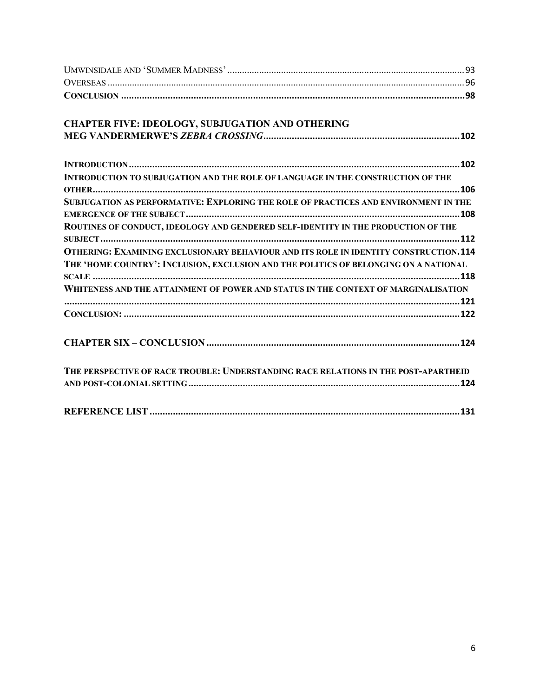| <b>CHAPTER FIVE: IDEOLOGY, SUBJUGATION AND OTHERING</b>                                     |
|---------------------------------------------------------------------------------------------|
|                                                                                             |
|                                                                                             |
| INTRODUCTION TO SUBJUGATION AND THE ROLE OF LANGUAGE IN THE CONSTRUCTION OF THE             |
|                                                                                             |
| SUBJUGATION AS PERFORMATIVE: EXPLORING THE ROLE OF PRACTICES AND ENVIRONMENT IN THE         |
|                                                                                             |
| ROUTINES OF CONDUCT, IDEOLOGY AND GENDERED SELF-IDENTITY IN THE PRODUCTION OF THE           |
|                                                                                             |
| <b>OTHERING: EXAMINING EXCLUSIONARY BEHAVIOUR AND ITS ROLE IN IDENTITY CONSTRUCTION.114</b> |
| THE 'HOME COUNTRY': INCLUSION, EXCLUSION AND THE POLITICS OF BELONGING ON A NATIONAL        |
|                                                                                             |
| WHITENESS AND THE ATTAINMENT OF POWER AND STATUS IN THE CONTEXT OF MARGINALISATION          |
|                                                                                             |
|                                                                                             |
|                                                                                             |
| THE PERSPECTIVE OF RACE TROUBLE: UNDERSTANDING RACE RELATIONS IN THE POST-APARTHEID         |
|                                                                                             |
|                                                                                             |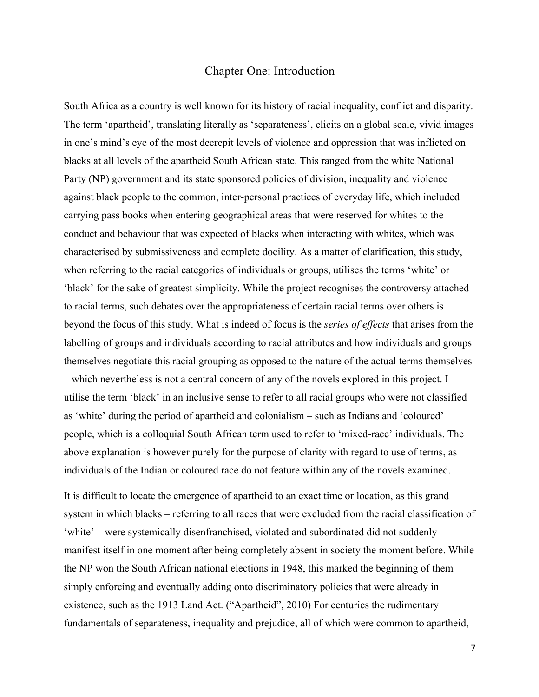## Chapter One: Introduction

South Africa as a country is well known for its history of racial inequality, conflict and disparity. The term 'apartheid', translating literally as 'separateness', elicits on a global scale, vivid images in one's mind's eye of the most decrepit levels of violence and oppression that was inflicted on blacks at all levels of the apartheid South African state. This ranged from the white National Party (NP) government and its state sponsored policies of division, inequality and violence against black people to the common, inter-personal practices of everyday life, which included carrying pass books when entering geographical areas that were reserved for whites to the conduct and behaviour that was expected of blacks when interacting with whites, which was characterised by submissiveness and complete docility. As a matter of clarification, this study, when referring to the racial categories of individuals or groups, utilises the terms 'white' or 'black' for the sake of greatest simplicity. While the project recognises the controversy attached to racial terms, such debates over the appropriateness of certain racial terms over others is beyond the focus of this study. What is indeed of focus is the *series of effects* that arises from the labelling of groups and individuals according to racial attributes and how individuals and groups themselves negotiate this racial grouping as opposed to the nature of the actual terms themselves – which nevertheless is not a central concern of any of the novels explored in this project. I utilise the term 'black' in an inclusive sense to refer to all racial groups who were not classified as 'white' during the period of apartheid and colonialism – such as Indians and 'coloured' people, which is a colloquial South African term used to refer to 'mixed-race' individuals. The above explanation is however purely for the purpose of clarity with regard to use of terms, as individuals of the Indian or coloured race do not feature within any of the novels examined.

It is difficult to locate the emergence of apartheid to an exact time or location, as this grand system in which blacks – referring to all races that were excluded from the racial classification of 'white' – were systemically disenfranchised, violated and subordinated did not suddenly manifest itself in one moment after being completely absent in society the moment before. While the NP won the South African national elections in 1948, this marked the beginning of them simply enforcing and eventually adding onto discriminatory policies that were already in existence, such as the 1913 Land Act. ("Apartheid", 2010) For centuries the rudimentary fundamentals of separateness, inequality and prejudice, all of which were common to apartheid,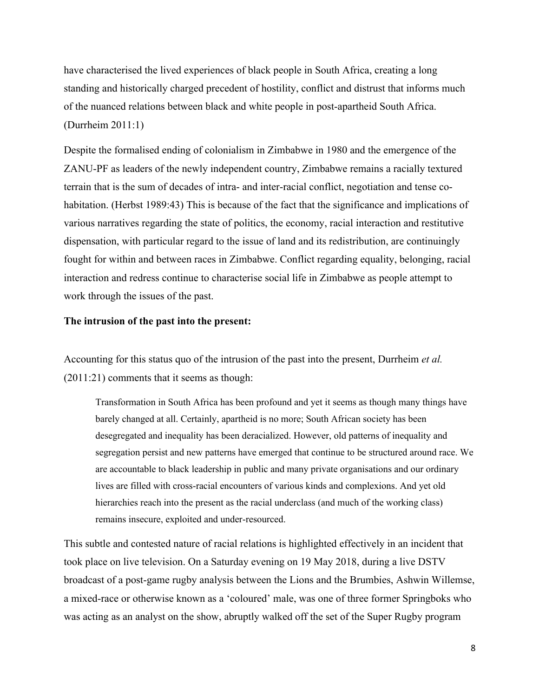have characterised the lived experiences of black people in South Africa, creating a long standing and historically charged precedent of hostility, conflict and distrust that informs much of the nuanced relations between black and white people in post-apartheid South Africa. (Durrheim 2011:1)

Despite the formalised ending of colonialism in Zimbabwe in 1980 and the emergence of the ZANU-PF as leaders of the newly independent country, Zimbabwe remains a racially textured terrain that is the sum of decades of intra- and inter-racial conflict, negotiation and tense cohabitation. (Herbst 1989:43) This is because of the fact that the significance and implications of various narratives regarding the state of politics, the economy, racial interaction and restitutive dispensation, with particular regard to the issue of land and its redistribution, are continuingly fought for within and between races in Zimbabwe. Conflict regarding equality, belonging, racial interaction and redress continue to characterise social life in Zimbabwe as people attempt to work through the issues of the past.

#### **The intrusion of the past into the present:**

Accounting for this status quo of the intrusion of the past into the present, Durrheim *et al.* (2011:21) comments that it seems as though:

Transformation in South Africa has been profound and yet it seems as though many things have barely changed at all. Certainly, apartheid is no more; South African society has been desegregated and inequality has been deracialized. However, old patterns of inequality and segregation persist and new patterns have emerged that continue to be structured around race. We are accountable to black leadership in public and many private organisations and our ordinary lives are filled with cross-racial encounters of various kinds and complexions. And yet old hierarchies reach into the present as the racial underclass (and much of the working class) remains insecure, exploited and under-resourced.

This subtle and contested nature of racial relations is highlighted effectively in an incident that took place on live television. On a Saturday evening on 19 May 2018, during a live DSTV broadcast of a post-game rugby analysis between the Lions and the Brumbies, Ashwin Willemse, a mixed-race or otherwise known as a 'coloured' male, was one of three former Springboks who was acting as an analyst on the show, abruptly walked off the set of the Super Rugby program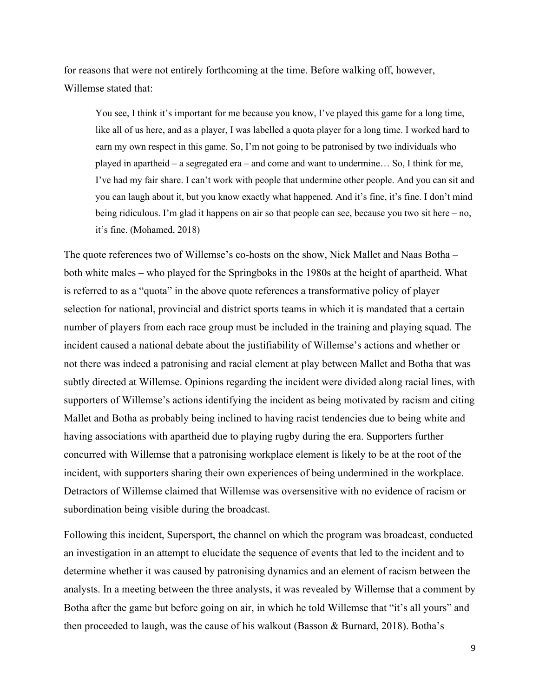for reasons that were not entirely forthcoming at the time. Before walking off, however, Willemse stated that:

You see, I think it's important for me because you know, I've played this game for a long time, like all of us here, and as a player, I was labelled a quota player for a long time. I worked hard to earn my own respect in this game. So, I'm not going to be patronised by two individuals who played in apartheid – a segregated era – and come and want to undermine… So, I think for me, I've had my fair share. I can't work with people that undermine other people. And you can sit and you can laugh about it, but you know exactly what happened. And it's fine, it's fine. I don't mind being ridiculous. I'm glad it happens on air so that people can see, because you two sit here – no, it's fine. (Mohamed, 2018)

The quote references two of Willemse's co-hosts on the show, Nick Mallet and Naas Botha – both white males – who played for the Springboks in the 1980s at the height of apartheid. What is referred to as a "quota" in the above quote references a transformative policy of player selection for national, provincial and district sports teams in which it is mandated that a certain number of players from each race group must be included in the training and playing squad. The incident caused a national debate about the justifiability of Willemse's actions and whether or not there was indeed a patronising and racial element at play between Mallet and Botha that was subtly directed at Willemse. Opinions regarding the incident were divided along racial lines, with supporters of Willemse's actions identifying the incident as being motivated by racism and citing Mallet and Botha as probably being inclined to having racist tendencies due to being white and having associations with apartheid due to playing rugby during the era. Supporters further concurred with Willemse that a patronising workplace element is likely to be at the root of the incident, with supporters sharing their own experiences of being undermined in the workplace. Detractors of Willemse claimed that Willemse was oversensitive with no evidence of racism or subordination being visible during the broadcast.

Following this incident, Supersport, the channel on which the program was broadcast, conducted an investigation in an attempt to elucidate the sequence of events that led to the incident and to determine whether it was caused by patronising dynamics and an element of racism between the analysts. In a meeting between the three analysts, it was revealed by Willemse that a comment by Botha after the game but before going on air, in which he told Willemse that "it's all yours" and then proceeded to laugh, was the cause of his walkout (Basson & Burnard, 2018). Botha's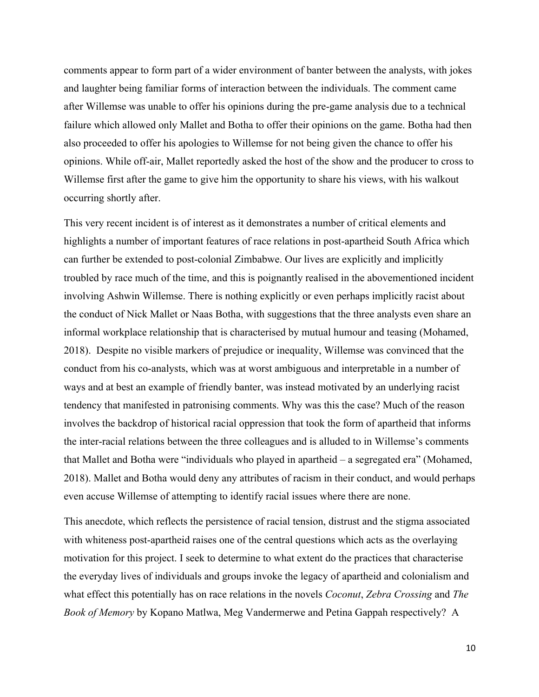comments appear to form part of a wider environment of banter between the analysts, with jokes and laughter being familiar forms of interaction between the individuals. The comment came after Willemse was unable to offer his opinions during the pre-game analysis due to a technical failure which allowed only Mallet and Botha to offer their opinions on the game. Botha had then also proceeded to offer his apologies to Willemse for not being given the chance to offer his opinions. While off-air, Mallet reportedly asked the host of the show and the producer to cross to Willemse first after the game to give him the opportunity to share his views, with his walkout occurring shortly after.

This very recent incident is of interest as it demonstrates a number of critical elements and highlights a number of important features of race relations in post-apartheid South Africa which can further be extended to post-colonial Zimbabwe. Our lives are explicitly and implicitly troubled by race much of the time, and this is poignantly realised in the abovementioned incident involving Ashwin Willemse. There is nothing explicitly or even perhaps implicitly racist about the conduct of Nick Mallet or Naas Botha, with suggestions that the three analysts even share an informal workplace relationship that is characterised by mutual humour and teasing (Mohamed, 2018). Despite no visible markers of prejudice or inequality, Willemse was convinced that the conduct from his co-analysts, which was at worst ambiguous and interpretable in a number of ways and at best an example of friendly banter, was instead motivated by an underlying racist tendency that manifested in patronising comments. Why was this the case? Much of the reason involves the backdrop of historical racial oppression that took the form of apartheid that informs the inter-racial relations between the three colleagues and is alluded to in Willemse's comments that Mallet and Botha were "individuals who played in apartheid – a segregated era" (Mohamed, 2018). Mallet and Botha would deny any attributes of racism in their conduct, and would perhaps even accuse Willemse of attempting to identify racial issues where there are none.

This anecdote, which reflects the persistence of racial tension, distrust and the stigma associated with whiteness post-apartheid raises one of the central questions which acts as the overlaying motivation for this project. I seek to determine to what extent do the practices that characterise the everyday lives of individuals and groups invoke the legacy of apartheid and colonialism and what effect this potentially has on race relations in the novels *Coconut*, *Zebra Crossing* and *The Book of Memory* by Kopano Matlwa, Meg Vandermerwe and Petina Gappah respectively? A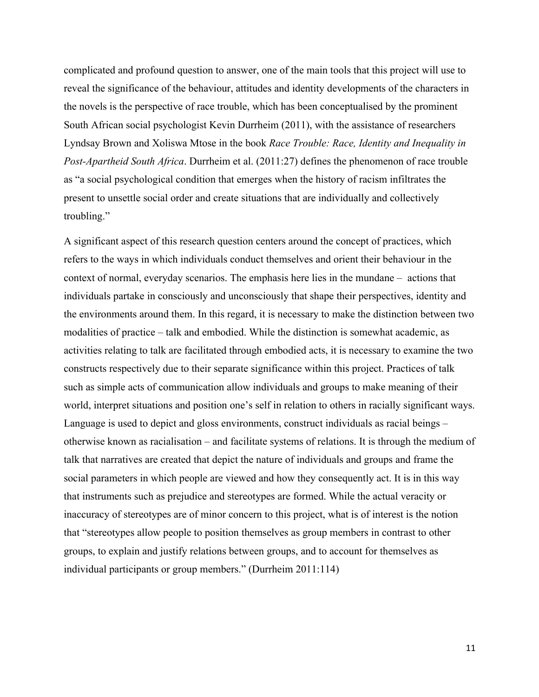complicated and profound question to answer, one of the main tools that this project will use to reveal the significance of the behaviour, attitudes and identity developments of the characters in the novels is the perspective of race trouble, which has been conceptualised by the prominent South African social psychologist Kevin Durrheim (2011), with the assistance of researchers Lyndsay Brown and Xoliswa Mtose in the book *Race Trouble: Race, Identity and Inequality in Post-Apartheid South Africa*. Durrheim et al. (2011:27) defines the phenomenon of race trouble as "a social psychological condition that emerges when the history of racism infiltrates the present to unsettle social order and create situations that are individually and collectively troubling."

A significant aspect of this research question centers around the concept of practices, which refers to the ways in which individuals conduct themselves and orient their behaviour in the context of normal, everyday scenarios. The emphasis here lies in the mundane – actions that individuals partake in consciously and unconsciously that shape their perspectives, identity and the environments around them. In this regard, it is necessary to make the distinction between two modalities of practice – talk and embodied. While the distinction is somewhat academic, as activities relating to talk are facilitated through embodied acts, it is necessary to examine the two constructs respectively due to their separate significance within this project. Practices of talk such as simple acts of communication allow individuals and groups to make meaning of their world, interpret situations and position one's self in relation to others in racially significant ways. Language is used to depict and gloss environments, construct individuals as racial beings – otherwise known as racialisation – and facilitate systems of relations. It is through the medium of talk that narratives are created that depict the nature of individuals and groups and frame the social parameters in which people are viewed and how they consequently act. It is in this way that instruments such as prejudice and stereotypes are formed. While the actual veracity or inaccuracy of stereotypes are of minor concern to this project, what is of interest is the notion that "stereotypes allow people to position themselves as group members in contrast to other groups, to explain and justify relations between groups, and to account for themselves as individual participants or group members." (Durrheim 2011:114)

11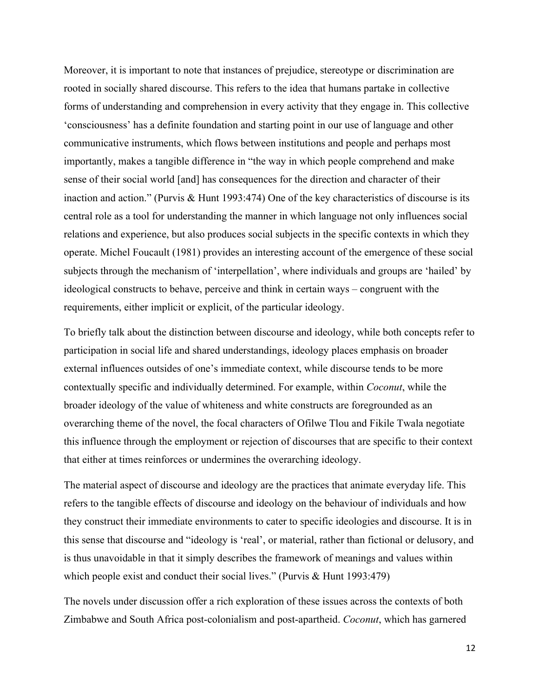Moreover, it is important to note that instances of prejudice, stereotype or discrimination are rooted in socially shared discourse. This refers to the idea that humans partake in collective forms of understanding and comprehension in every activity that they engage in. This collective 'consciousness' has a definite foundation and starting point in our use of language and other communicative instruments, which flows between institutions and people and perhaps most importantly, makes a tangible difference in "the way in which people comprehend and make sense of their social world [and] has consequences for the direction and character of their inaction and action." (Purvis & Hunt 1993:474) One of the key characteristics of discourse is its central role as a tool for understanding the manner in which language not only influences social relations and experience, but also produces social subjects in the specific contexts in which they operate. Michel Foucault (1981) provides an interesting account of the emergence of these social subjects through the mechanism of 'interpellation', where individuals and groups are 'hailed' by ideological constructs to behave, perceive and think in certain ways – congruent with the requirements, either implicit or explicit, of the particular ideology.

To briefly talk about the distinction between discourse and ideology, while both concepts refer to participation in social life and shared understandings, ideology places emphasis on broader external influences outsides of one's immediate context, while discourse tends to be more contextually specific and individually determined. For example, within *Coconut*, while the broader ideology of the value of whiteness and white constructs are foregrounded as an overarching theme of the novel, the focal characters of Ofilwe Tlou and Fikile Twala negotiate this influence through the employment or rejection of discourses that are specific to their context that either at times reinforces or undermines the overarching ideology.

The material aspect of discourse and ideology are the practices that animate everyday life. This refers to the tangible effects of discourse and ideology on the behaviour of individuals and how they construct their immediate environments to cater to specific ideologies and discourse. It is in this sense that discourse and "ideology is 'real', or material, rather than fictional or delusory, and is thus unavoidable in that it simply describes the framework of meanings and values within which people exist and conduct their social lives." (Purvis & Hunt 1993:479)

The novels under discussion offer a rich exploration of these issues across the contexts of both Zimbabwe and South Africa post-colonialism and post-apartheid. *Coconut*, which has garnered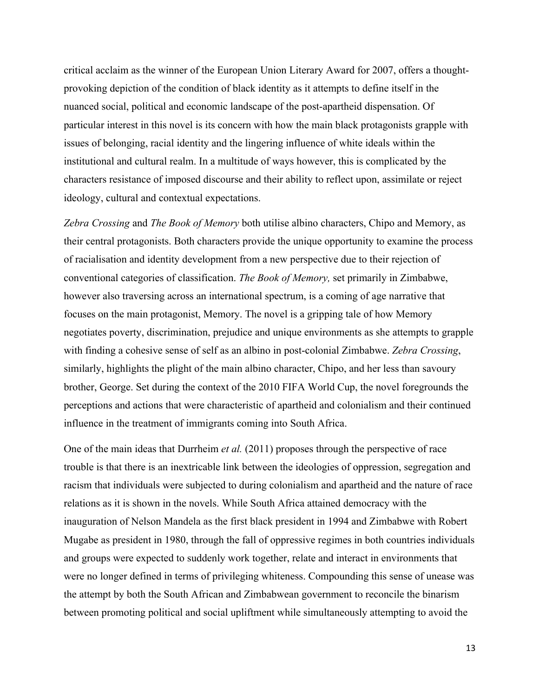critical acclaim as the winner of the European Union Literary Award for 2007, offers a thoughtprovoking depiction of the condition of black identity as it attempts to define itself in the nuanced social, political and economic landscape of the post-apartheid dispensation. Of particular interest in this novel is its concern with how the main black protagonists grapple with issues of belonging, racial identity and the lingering influence of white ideals within the institutional and cultural realm. In a multitude of ways however, this is complicated by the characters resistance of imposed discourse and their ability to reflect upon, assimilate or reject ideology, cultural and contextual expectations.

*Zebra Crossing* and *The Book of Memory* both utilise albino characters, Chipo and Memory, as their central protagonists. Both characters provide the unique opportunity to examine the process of racialisation and identity development from a new perspective due to their rejection of conventional categories of classification. *The Book of Memory,* set primarily in Zimbabwe, however also traversing across an international spectrum, is a coming of age narrative that focuses on the main protagonist, Memory. The novel is a gripping tale of how Memory negotiates poverty, discrimination, prejudice and unique environments as she attempts to grapple with finding a cohesive sense of self as an albino in post-colonial Zimbabwe. *Zebra Crossing*, similarly, highlights the plight of the main albino character, Chipo, and her less than savoury brother, George. Set during the context of the 2010 FIFA World Cup, the novel foregrounds the perceptions and actions that were characteristic of apartheid and colonialism and their continued influence in the treatment of immigrants coming into South Africa.

One of the main ideas that Durrheim *et al.* (2011) proposes through the perspective of race trouble is that there is an inextricable link between the ideologies of oppression, segregation and racism that individuals were subjected to during colonialism and apartheid and the nature of race relations as it is shown in the novels. While South Africa attained democracy with the inauguration of Nelson Mandela as the first black president in 1994 and Zimbabwe with Robert Mugabe as president in 1980, through the fall of oppressive regimes in both countries individuals and groups were expected to suddenly work together, relate and interact in environments that were no longer defined in terms of privileging whiteness. Compounding this sense of unease was the attempt by both the South African and Zimbabwean government to reconcile the binarism between promoting political and social upliftment while simultaneously attempting to avoid the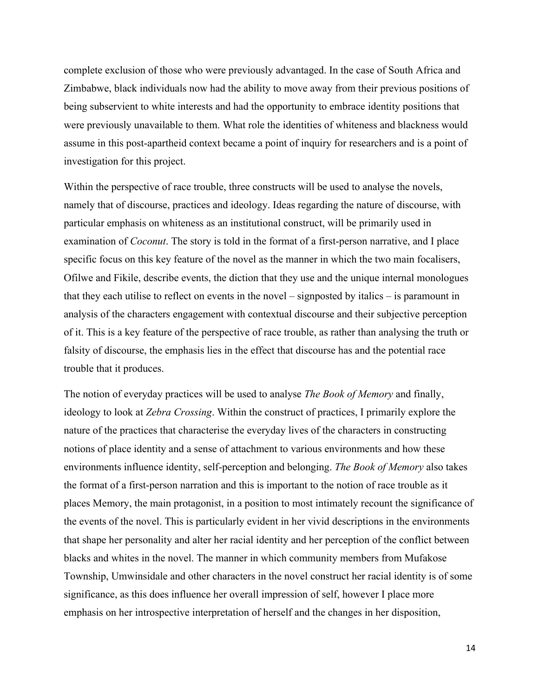complete exclusion of those who were previously advantaged. In the case of South Africa and Zimbabwe, black individuals now had the ability to move away from their previous positions of being subservient to white interests and had the opportunity to embrace identity positions that were previously unavailable to them. What role the identities of whiteness and blackness would assume in this post-apartheid context became a point of inquiry for researchers and is a point of investigation for this project.

Within the perspective of race trouble, three constructs will be used to analyse the novels, namely that of discourse, practices and ideology. Ideas regarding the nature of discourse, with particular emphasis on whiteness as an institutional construct, will be primarily used in examination of *Coconut*. The story is told in the format of a first-person narrative, and I place specific focus on this key feature of the novel as the manner in which the two main focalisers, Ofilwe and Fikile, describe events, the diction that they use and the unique internal monologues that they each utilise to reflect on events in the novel – signposted by italics – is paramount in analysis of the characters engagement with contextual discourse and their subjective perception of it. This is a key feature of the perspective of race trouble, as rather than analysing the truth or falsity of discourse, the emphasis lies in the effect that discourse has and the potential race trouble that it produces.

The notion of everyday practices will be used to analyse *The Book of Memory* and finally, ideology to look at *Zebra Crossing*. Within the construct of practices, I primarily explore the nature of the practices that characterise the everyday lives of the characters in constructing notions of place identity and a sense of attachment to various environments and how these environments influence identity, self-perception and belonging. *The Book of Memory* also takes the format of a first-person narration and this is important to the notion of race trouble as it places Memory, the main protagonist, in a position to most intimately recount the significance of the events of the novel. This is particularly evident in her vivid descriptions in the environments that shape her personality and alter her racial identity and her perception of the conflict between blacks and whites in the novel. The manner in which community members from Mufakose Township, Umwinsidale and other characters in the novel construct her racial identity is of some significance, as this does influence her overall impression of self, however I place more emphasis on her introspective interpretation of herself and the changes in her disposition,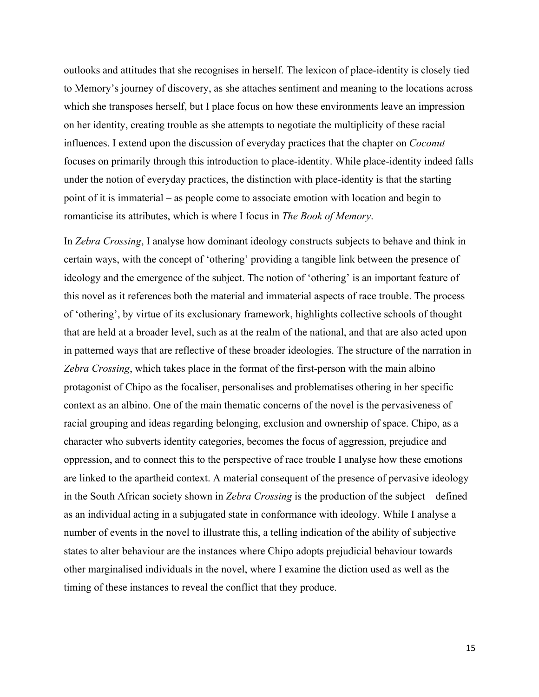outlooks and attitudes that she recognises in herself. The lexicon of place-identity is closely tied to Memory's journey of discovery, as she attaches sentiment and meaning to the locations across which she transposes herself, but I place focus on how these environments leave an impression on her identity, creating trouble as she attempts to negotiate the multiplicity of these racial influences. I extend upon the discussion of everyday practices that the chapter on *Coconut* focuses on primarily through this introduction to place-identity. While place-identity indeed falls under the notion of everyday practices, the distinction with place-identity is that the starting point of it is immaterial – as people come to associate emotion with location and begin to romanticise its attributes, which is where I focus in *The Book of Memory*.

In *Zebra Crossing*, I analyse how dominant ideology constructs subjects to behave and think in certain ways, with the concept of 'othering' providing a tangible link between the presence of ideology and the emergence of the subject. The notion of 'othering' is an important feature of this novel as it references both the material and immaterial aspects of race trouble. The process of 'othering', by virtue of its exclusionary framework, highlights collective schools of thought that are held at a broader level, such as at the realm of the national, and that are also acted upon in patterned ways that are reflective of these broader ideologies. The structure of the narration in *Zebra Crossing*, which takes place in the format of the first-person with the main albino protagonist of Chipo as the focaliser, personalises and problematises othering in her specific context as an albino. One of the main thematic concerns of the novel is the pervasiveness of racial grouping and ideas regarding belonging, exclusion and ownership of space. Chipo, as a character who subverts identity categories, becomes the focus of aggression, prejudice and oppression, and to connect this to the perspective of race trouble I analyse how these emotions are linked to the apartheid context. A material consequent of the presence of pervasive ideology in the South African society shown in *Zebra Crossing* is the production of the subject – defined as an individual acting in a subjugated state in conformance with ideology. While I analyse a number of events in the novel to illustrate this, a telling indication of the ability of subjective states to alter behaviour are the instances where Chipo adopts prejudicial behaviour towards other marginalised individuals in the novel, where I examine the diction used as well as the timing of these instances to reveal the conflict that they produce.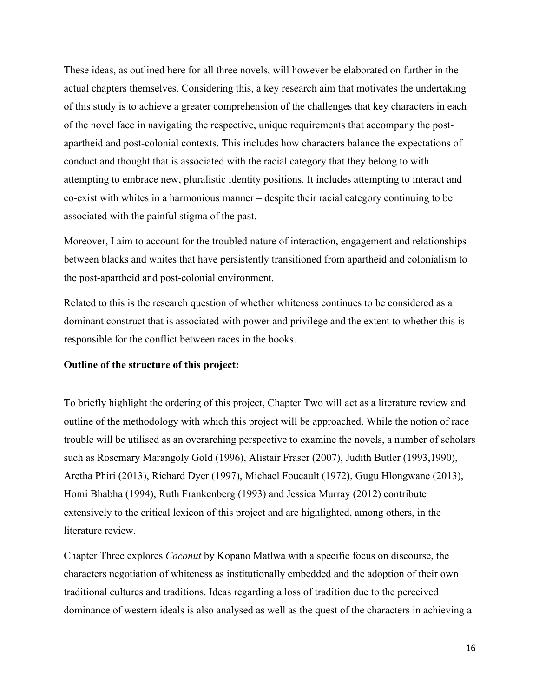These ideas, as outlined here for all three novels, will however be elaborated on further in the actual chapters themselves. Considering this, a key research aim that motivates the undertaking of this study is to achieve a greater comprehension of the challenges that key characters in each of the novel face in navigating the respective, unique requirements that accompany the postapartheid and post-colonial contexts. This includes how characters balance the expectations of conduct and thought that is associated with the racial category that they belong to with attempting to embrace new, pluralistic identity positions. It includes attempting to interact and co-exist with whites in a harmonious manner – despite their racial category continuing to be associated with the painful stigma of the past.

Moreover, I aim to account for the troubled nature of interaction, engagement and relationships between blacks and whites that have persistently transitioned from apartheid and colonialism to the post-apartheid and post-colonial environment.

Related to this is the research question of whether whiteness continues to be considered as a dominant construct that is associated with power and privilege and the extent to whether this is responsible for the conflict between races in the books.

#### **Outline of the structure of this project:**

To briefly highlight the ordering of this project, Chapter Two will act as a literature review and outline of the methodology with which this project will be approached. While the notion of race trouble will be utilised as an overarching perspective to examine the novels, a number of scholars such as Rosemary Marangoly Gold (1996), Alistair Fraser (2007), Judith Butler (1993,1990), Aretha Phiri (2013), Richard Dyer (1997), Michael Foucault (1972), Gugu Hlongwane (2013), Homi Bhabha (1994), Ruth Frankenberg (1993) and Jessica Murray (2012) contribute extensively to the critical lexicon of this project and are highlighted, among others, in the literature review.

Chapter Three explores *Coconut* by Kopano Matlwa with a specific focus on discourse, the characters negotiation of whiteness as institutionally embedded and the adoption of their own traditional cultures and traditions. Ideas regarding a loss of tradition due to the perceived dominance of western ideals is also analysed as well as the quest of the characters in achieving a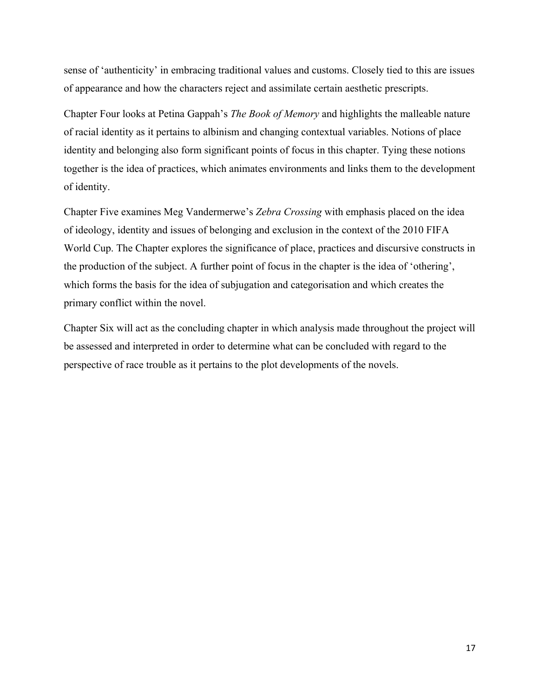sense of 'authenticity' in embracing traditional values and customs. Closely tied to this are issues of appearance and how the characters reject and assimilate certain aesthetic prescripts.

Chapter Four looks at Petina Gappah's *The Book of Memory* and highlights the malleable nature of racial identity as it pertains to albinism and changing contextual variables. Notions of place identity and belonging also form significant points of focus in this chapter. Tying these notions together is the idea of practices, which animates environments and links them to the development of identity.

Chapter Five examines Meg Vandermerwe's *Zebra Crossing* with emphasis placed on the idea of ideology, identity and issues of belonging and exclusion in the context of the 2010 FIFA World Cup. The Chapter explores the significance of place, practices and discursive constructs in the production of the subject. A further point of focus in the chapter is the idea of 'othering', which forms the basis for the idea of subjugation and categorisation and which creates the primary conflict within the novel.

Chapter Six will act as the concluding chapter in which analysis made throughout the project will be assessed and interpreted in order to determine what can be concluded with regard to the perspective of race trouble as it pertains to the plot developments of the novels.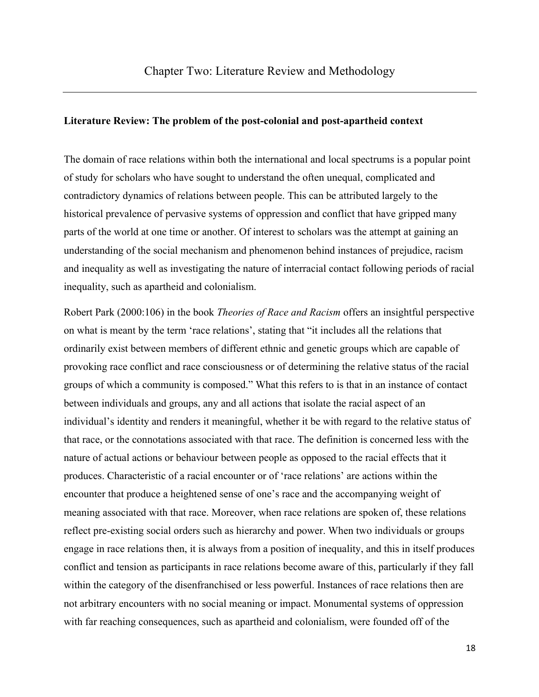#### **Literature Review: The problem of the post-colonial and post-apartheid context**

The domain of race relations within both the international and local spectrums is a popular point of study for scholars who have sought to understand the often unequal, complicated and contradictory dynamics of relations between people. This can be attributed largely to the historical prevalence of pervasive systems of oppression and conflict that have gripped many parts of the world at one time or another. Of interest to scholars was the attempt at gaining an understanding of the social mechanism and phenomenon behind instances of prejudice, racism and inequality as well as investigating the nature of interracial contact following periods of racial inequality, such as apartheid and colonialism.

Robert Park (2000:106) in the book *Theories of Race and Racism* offers an insightful perspective on what is meant by the term 'race relations', stating that "it includes all the relations that ordinarily exist between members of different ethnic and genetic groups which are capable of provoking race conflict and race consciousness or of determining the relative status of the racial groups of which a community is composed." What this refers to is that in an instance of contact between individuals and groups, any and all actions that isolate the racial aspect of an individual's identity and renders it meaningful, whether it be with regard to the relative status of that race, or the connotations associated with that race. The definition is concerned less with the nature of actual actions or behaviour between people as opposed to the racial effects that it produces. Characteristic of a racial encounter or of 'race relations' are actions within the encounter that produce a heightened sense of one's race and the accompanying weight of meaning associated with that race. Moreover, when race relations are spoken of, these relations reflect pre-existing social orders such as hierarchy and power. When two individuals or groups engage in race relations then, it is always from a position of inequality, and this in itself produces conflict and tension as participants in race relations become aware of this, particularly if they fall within the category of the disenfranchised or less powerful. Instances of race relations then are not arbitrary encounters with no social meaning or impact. Monumental systems of oppression with far reaching consequences, such as apartheid and colonialism, were founded off of the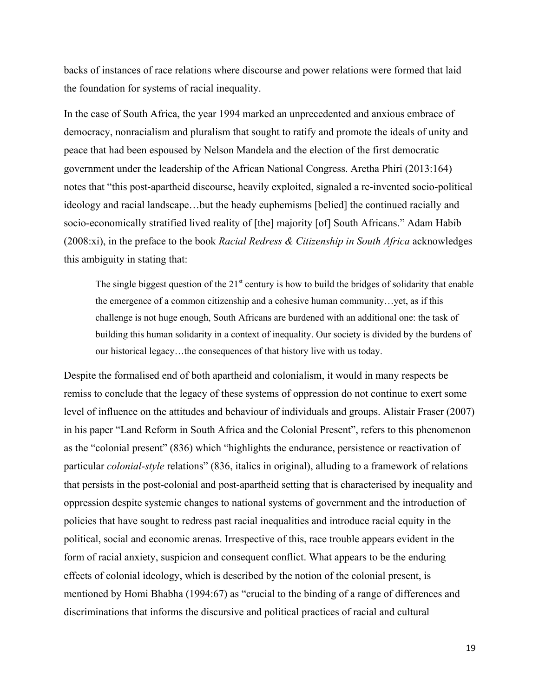backs of instances of race relations where discourse and power relations were formed that laid the foundation for systems of racial inequality.

In the case of South Africa, the year 1994 marked an unprecedented and anxious embrace of democracy, nonracialism and pluralism that sought to ratify and promote the ideals of unity and peace that had been espoused by Nelson Mandela and the election of the first democratic government under the leadership of the African National Congress. Aretha Phiri (2013:164) notes that "this post-apartheid discourse, heavily exploited, signaled a re-invented socio-political ideology and racial landscape…but the heady euphemisms [belied] the continued racially and socio-economically stratified lived reality of [the] majority [of] South Africans." Adam Habib (2008:xi), in the preface to the book *Racial Redress & Citizenship in South Africa* acknowledges this ambiguity in stating that:

The single biggest question of the  $21<sup>st</sup>$  century is how to build the bridges of solidarity that enable the emergence of a common citizenship and a cohesive human community…yet, as if this challenge is not huge enough, South Africans are burdened with an additional one: the task of building this human solidarity in a context of inequality. Our society is divided by the burdens of our historical legacy…the consequences of that history live with us today.

Despite the formalised end of both apartheid and colonialism, it would in many respects be remiss to conclude that the legacy of these systems of oppression do not continue to exert some level of influence on the attitudes and behaviour of individuals and groups. Alistair Fraser (2007) in his paper "Land Reform in South Africa and the Colonial Present", refers to this phenomenon as the "colonial present" (836) which "highlights the endurance, persistence or reactivation of particular *colonial-style* relations" (836, italics in original), alluding to a framework of relations that persists in the post-colonial and post-apartheid setting that is characterised by inequality and oppression despite systemic changes to national systems of government and the introduction of policies that have sought to redress past racial inequalities and introduce racial equity in the political, social and economic arenas. Irrespective of this, race trouble appears evident in the form of racial anxiety, suspicion and consequent conflict. What appears to be the enduring effects of colonial ideology, which is described by the notion of the colonial present, is mentioned by Homi Bhabha (1994:67) as "crucial to the binding of a range of differences and discriminations that informs the discursive and political practices of racial and cultural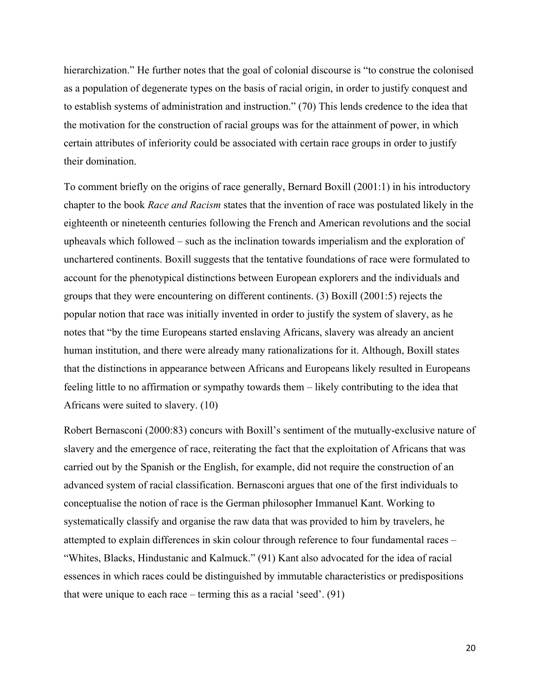hierarchization." He further notes that the goal of colonial discourse is "to construe the colonised as a population of degenerate types on the basis of racial origin, in order to justify conquest and to establish systems of administration and instruction." (70) This lends credence to the idea that the motivation for the construction of racial groups was for the attainment of power, in which certain attributes of inferiority could be associated with certain race groups in order to justify their domination.

To comment briefly on the origins of race generally, Bernard Boxill (2001:1) in his introductory chapter to the book *Race and Racism* states that the invention of race was postulated likely in the eighteenth or nineteenth centuries following the French and American revolutions and the social upheavals which followed – such as the inclination towards imperialism and the exploration of unchartered continents. Boxill suggests that the tentative foundations of race were formulated to account for the phenotypical distinctions between European explorers and the individuals and groups that they were encountering on different continents. (3) Boxill (2001:5) rejects the popular notion that race was initially invented in order to justify the system of slavery, as he notes that "by the time Europeans started enslaving Africans, slavery was already an ancient human institution, and there were already many rationalizations for it. Although, Boxill states that the distinctions in appearance between Africans and Europeans likely resulted in Europeans feeling little to no affirmation or sympathy towards them – likely contributing to the idea that Africans were suited to slavery. (10)

Robert Bernasconi (2000:83) concurs with Boxill's sentiment of the mutually-exclusive nature of slavery and the emergence of race, reiterating the fact that the exploitation of Africans that was carried out by the Spanish or the English, for example, did not require the construction of an advanced system of racial classification. Bernasconi argues that one of the first individuals to conceptualise the notion of race is the German philosopher Immanuel Kant. Working to systematically classify and organise the raw data that was provided to him by travelers, he attempted to explain differences in skin colour through reference to four fundamental races – "Whites, Blacks, Hindustanic and Kalmuck." (91) Kant also advocated for the idea of racial essences in which races could be distinguished by immutable characteristics or predispositions that were unique to each race – terming this as a racial 'seed'. (91)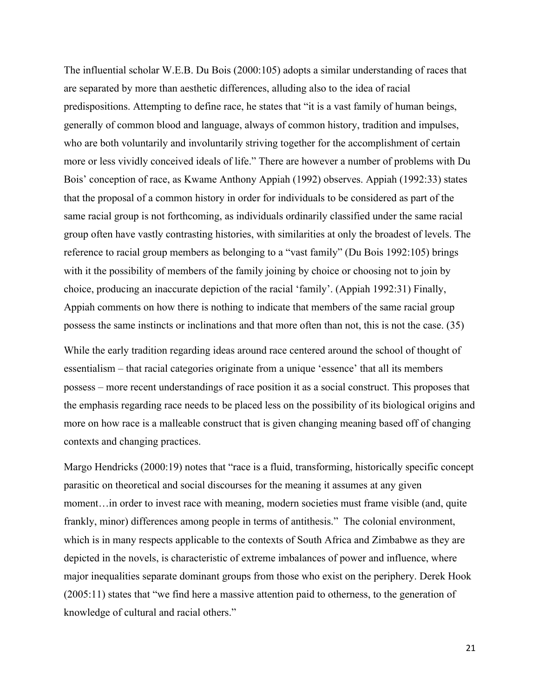The influential scholar W.E.B. Du Bois (2000:105) adopts a similar understanding of races that are separated by more than aesthetic differences, alluding also to the idea of racial predispositions. Attempting to define race, he states that "it is a vast family of human beings, generally of common blood and language, always of common history, tradition and impulses, who are both voluntarily and involuntarily striving together for the accomplishment of certain more or less vividly conceived ideals of life." There are however a number of problems with Du Bois' conception of race, as Kwame Anthony Appiah (1992) observes. Appiah (1992:33) states that the proposal of a common history in order for individuals to be considered as part of the same racial group is not forthcoming, as individuals ordinarily classified under the same racial group often have vastly contrasting histories, with similarities at only the broadest of levels. The reference to racial group members as belonging to a "vast family" (Du Bois 1992:105) brings with it the possibility of members of the family joining by choice or choosing not to join by choice, producing an inaccurate depiction of the racial 'family'. (Appiah 1992:31) Finally, Appiah comments on how there is nothing to indicate that members of the same racial group possess the same instincts or inclinations and that more often than not, this is not the case. (35)

While the early tradition regarding ideas around race centered around the school of thought of essentialism – that racial categories originate from a unique 'essence' that all its members possess – more recent understandings of race position it as a social construct. This proposes that the emphasis regarding race needs to be placed less on the possibility of its biological origins and more on how race is a malleable construct that is given changing meaning based off of changing contexts and changing practices.

Margo Hendricks (2000:19) notes that "race is a fluid, transforming, historically specific concept parasitic on theoretical and social discourses for the meaning it assumes at any given moment…in order to invest race with meaning, modern societies must frame visible (and, quite frankly, minor) differences among people in terms of antithesis." The colonial environment, which is in many respects applicable to the contexts of South Africa and Zimbabwe as they are depicted in the novels, is characteristic of extreme imbalances of power and influence, where major inequalities separate dominant groups from those who exist on the periphery. Derek Hook (2005:11) states that "we find here a massive attention paid to otherness, to the generation of knowledge of cultural and racial others."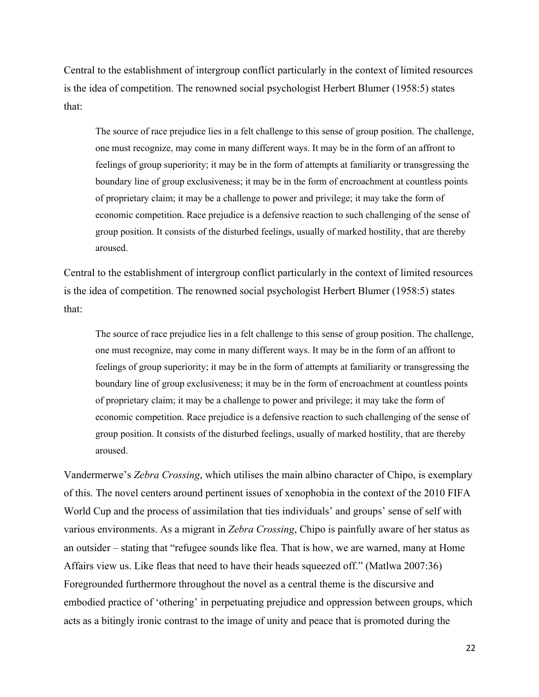Central to the establishment of intergroup conflict particularly in the context of limited resources is the idea of competition. The renowned social psychologist Herbert Blumer (1958:5) states that:

The source of race prejudice lies in a felt challenge to this sense of group position. The challenge, one must recognize, may come in many different ways. It may be in the form of an affront to feelings of group superiority; it may be in the form of attempts at familiarity or transgressing the boundary line of group exclusiveness; it may be in the form of encroachment at countless points of proprietary claim; it may be a challenge to power and privilege; it may take the form of economic competition. Race prejudice is a defensive reaction to such challenging of the sense of group position. It consists of the disturbed feelings, usually of marked hostility, that are thereby aroused.

Central to the establishment of intergroup conflict particularly in the context of limited resources is the idea of competition. The renowned social psychologist Herbert Blumer (1958:5) states that:

The source of race prejudice lies in a felt challenge to this sense of group position. The challenge, one must recognize, may come in many different ways. It may be in the form of an affront to feelings of group superiority; it may be in the form of attempts at familiarity or transgressing the boundary line of group exclusiveness; it may be in the form of encroachment at countless points of proprietary claim; it may be a challenge to power and privilege; it may take the form of economic competition. Race prejudice is a defensive reaction to such challenging of the sense of group position. It consists of the disturbed feelings, usually of marked hostility, that are thereby aroused.

Vandermerwe's *Zebra Crossing*, which utilises the main albino character of Chipo, is exemplary of this. The novel centers around pertinent issues of xenophobia in the context of the 2010 FIFA World Cup and the process of assimilation that ties individuals' and groups' sense of self with various environments. As a migrant in *Zebra Crossing*, Chipo is painfully aware of her status as an outsider – stating that "refugee sounds like flea. That is how, we are warned, many at Home Affairs view us. Like fleas that need to have their heads squeezed off." (Matlwa 2007:36) Foregrounded furthermore throughout the novel as a central theme is the discursive and embodied practice of 'othering' in perpetuating prejudice and oppression between groups, which acts as a bitingly ironic contrast to the image of unity and peace that is promoted during the

22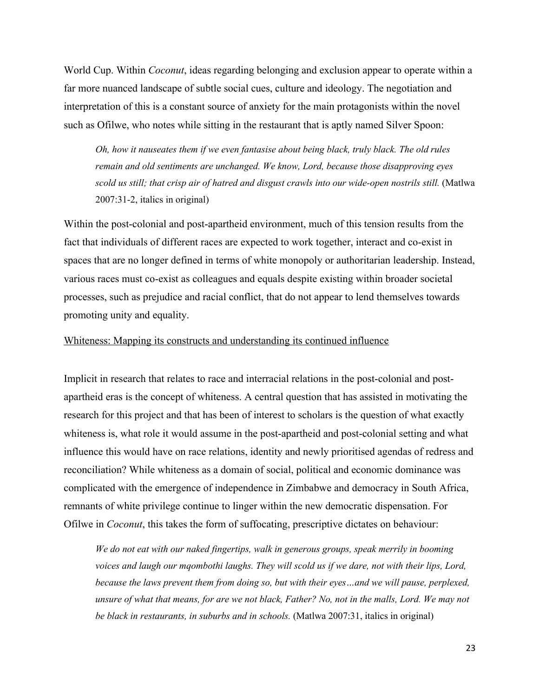World Cup. Within *Coconut*, ideas regarding belonging and exclusion appear to operate within a far more nuanced landscape of subtle social cues, culture and ideology. The negotiation and interpretation of this is a constant source of anxiety for the main protagonists within the novel such as Ofilwe, who notes while sitting in the restaurant that is aptly named Silver Spoon:

*Oh, how it nauseates them if we even fantasise about being black, truly black. The old rules remain and old sentiments are unchanged. We know, Lord, because those disapproving eyes scold us still; that crisp air of hatred and disgust crawls into our wide-open nostrils still.* (Matlwa 2007:31-2, italics in original)

Within the post-colonial and post-apartheid environment, much of this tension results from the fact that individuals of different races are expected to work together, interact and co-exist in spaces that are no longer defined in terms of white monopoly or authoritarian leadership. Instead, various races must co-exist as colleagues and equals despite existing within broader societal processes, such as prejudice and racial conflict, that do not appear to lend themselves towards promoting unity and equality.

### Whiteness: Mapping its constructs and understanding its continued influence

Implicit in research that relates to race and interracial relations in the post-colonial and postapartheid eras is the concept of whiteness. A central question that has assisted in motivating the research for this project and that has been of interest to scholars is the question of what exactly whiteness is, what role it would assume in the post-apartheid and post-colonial setting and what influence this would have on race relations, identity and newly prioritised agendas of redress and reconciliation? While whiteness as a domain of social, political and economic dominance was complicated with the emergence of independence in Zimbabwe and democracy in South Africa, remnants of white privilege continue to linger within the new democratic dispensation. For Ofilwe in *Coconut*, this takes the form of suffocating, prescriptive dictates on behaviour:

*We do not eat with our naked fingertips, walk in generous groups, speak merrily in booming voices and laugh our mqombothi laughs. They will scold us if we dare, not with their lips, Lord, because the laws prevent them from doing so, but with their eyes…and we will pause, perplexed, unsure of what that means, for are we not black, Father? No, not in the malls, Lord. We may not be black in restaurants, in suburbs and in schools.* (Matlwa 2007:31, italics in original)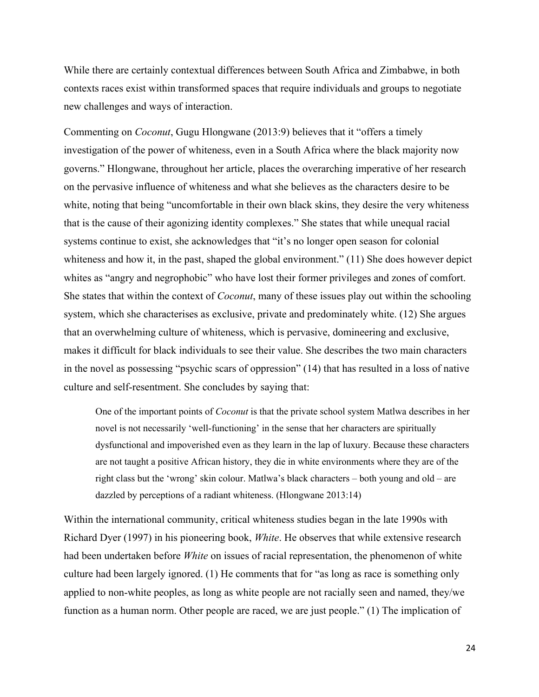While there are certainly contextual differences between South Africa and Zimbabwe, in both contexts races exist within transformed spaces that require individuals and groups to negotiate new challenges and ways of interaction.

Commenting on *Coconut*, Gugu Hlongwane (2013:9) believes that it "offers a timely investigation of the power of whiteness, even in a South Africa where the black majority now governs." Hlongwane, throughout her article, places the overarching imperative of her research on the pervasive influence of whiteness and what she believes as the characters desire to be white, noting that being "uncomfortable in their own black skins, they desire the very whiteness that is the cause of their agonizing identity complexes." She states that while unequal racial systems continue to exist, she acknowledges that "it's no longer open season for colonial whiteness and how it, in the past, shaped the global environment." (11) She does however depict whites as "angry and negrophobic" who have lost their former privileges and zones of comfort. She states that within the context of *Coconut*, many of these issues play out within the schooling system, which she characterises as exclusive, private and predominately white. (12) She argues that an overwhelming culture of whiteness, which is pervasive, domineering and exclusive, makes it difficult for black individuals to see their value. She describes the two main characters in the novel as possessing "psychic scars of oppression" (14) that has resulted in a loss of native culture and self-resentment. She concludes by saying that:

One of the important points of *Coconut* is that the private school system Matlwa describes in her novel is not necessarily 'well-functioning' in the sense that her characters are spiritually dysfunctional and impoverished even as they learn in the lap of luxury. Because these characters are not taught a positive African history, they die in white environments where they are of the right class but the 'wrong' skin colour. Matlwa's black characters – both young and old – are dazzled by perceptions of a radiant whiteness. (Hlongwane 2013:14)

Within the international community, critical whiteness studies began in the late 1990s with Richard Dyer (1997) in his pioneering book, *White*. He observes that while extensive research had been undertaken before *White* on issues of racial representation, the phenomenon of white culture had been largely ignored. (1) He comments that for "as long as race is something only applied to non-white peoples, as long as white people are not racially seen and named, they/we function as a human norm. Other people are raced, we are just people." (1) The implication of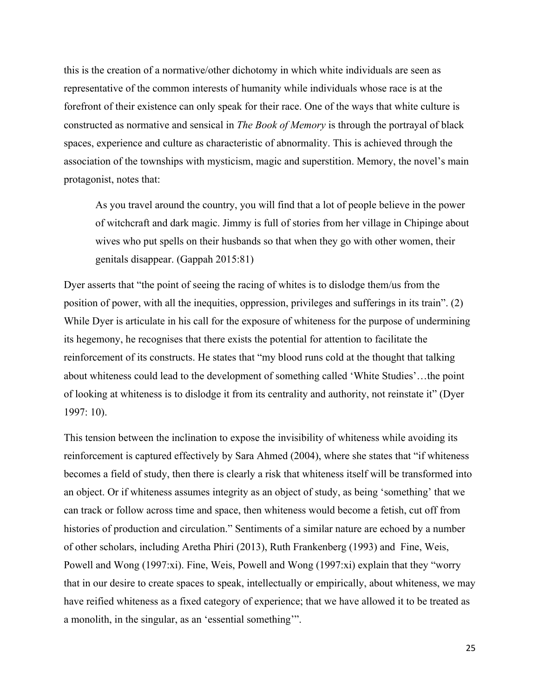this is the creation of a normative/other dichotomy in which white individuals are seen as representative of the common interests of humanity while individuals whose race is at the forefront of their existence can only speak for their race. One of the ways that white culture is constructed as normative and sensical in *The Book of Memory* is through the portrayal of black spaces, experience and culture as characteristic of abnormality. This is achieved through the association of the townships with mysticism, magic and superstition. Memory, the novel's main protagonist, notes that:

As you travel around the country, you will find that a lot of people believe in the power of witchcraft and dark magic. Jimmy is full of stories from her village in Chipinge about wives who put spells on their husbands so that when they go with other women, their genitals disappear. (Gappah 2015:81)

Dyer asserts that "the point of seeing the racing of whites is to dislodge them/us from the position of power, with all the inequities, oppression, privileges and sufferings in its train". (2) While Dyer is articulate in his call for the exposure of whiteness for the purpose of undermining its hegemony, he recognises that there exists the potential for attention to facilitate the reinforcement of its constructs. He states that "my blood runs cold at the thought that talking about whiteness could lead to the development of something called 'White Studies'…the point of looking at whiteness is to dislodge it from its centrality and authority, not reinstate it" (Dyer 1997: 10).

This tension between the inclination to expose the invisibility of whiteness while avoiding its reinforcement is captured effectively by Sara Ahmed (2004), where she states that "if whiteness becomes a field of study, then there is clearly a risk that whiteness itself will be transformed into an object. Or if whiteness assumes integrity as an object of study, as being 'something' that we can track or follow across time and space, then whiteness would become a fetish, cut off from histories of production and circulation." Sentiments of a similar nature are echoed by a number of other scholars, including Aretha Phiri (2013), Ruth Frankenberg (1993) and Fine, Weis, Powell and Wong (1997:xi). Fine, Weis, Powell and Wong (1997:xi) explain that they "worry that in our desire to create spaces to speak, intellectually or empirically, about whiteness, we may have reified whiteness as a fixed category of experience; that we have allowed it to be treated as a monolith, in the singular, as an 'essential something'".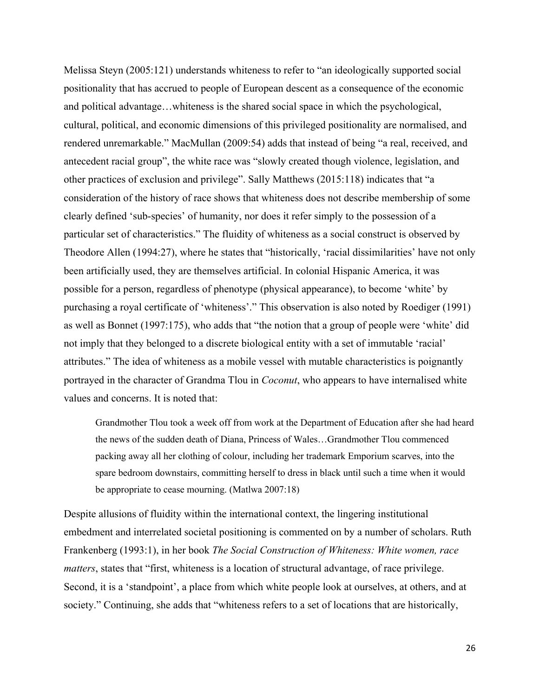Melissa Steyn (2005:121) understands whiteness to refer to "an ideologically supported social positionality that has accrued to people of European descent as a consequence of the economic and political advantage…whiteness is the shared social space in which the psychological, cultural, political, and economic dimensions of this privileged positionality are normalised, and rendered unremarkable." MacMullan (2009:54) adds that instead of being "a real, received, and antecedent racial group", the white race was "slowly created though violence, legislation, and other practices of exclusion and privilege". Sally Matthews (2015:118) indicates that "a consideration of the history of race shows that whiteness does not describe membership of some clearly defined 'sub-species' of humanity, nor does it refer simply to the possession of a particular set of characteristics." The fluidity of whiteness as a social construct is observed by Theodore Allen (1994:27), where he states that "historically, 'racial dissimilarities' have not only been artificially used, they are themselves artificial. In colonial Hispanic America, it was possible for a person, regardless of phenotype (physical appearance), to become 'white' by purchasing a royal certificate of 'whiteness'." This observation is also noted by Roediger (1991) as well as Bonnet (1997:175), who adds that "the notion that a group of people were 'white' did not imply that they belonged to a discrete biological entity with a set of immutable 'racial' attributes." The idea of whiteness as a mobile vessel with mutable characteristics is poignantly portrayed in the character of Grandma Tlou in *Coconut*, who appears to have internalised white values and concerns. It is noted that:

Grandmother Tlou took a week off from work at the Department of Education after she had heard the news of the sudden death of Diana, Princess of Wales…Grandmother Tlou commenced packing away all her clothing of colour, including her trademark Emporium scarves, into the spare bedroom downstairs, committing herself to dress in black until such a time when it would be appropriate to cease mourning. (Matlwa 2007:18)

Despite allusions of fluidity within the international context, the lingering institutional embedment and interrelated societal positioning is commented on by a number of scholars. Ruth Frankenberg (1993:1), in her book *The Social Construction of Whiteness: White women, race matters*, states that "first, whiteness is a location of structural advantage, of race privilege. Second, it is a 'standpoint', a place from which white people look at ourselves, at others, and at society." Continuing, she adds that "whiteness refers to a set of locations that are historically,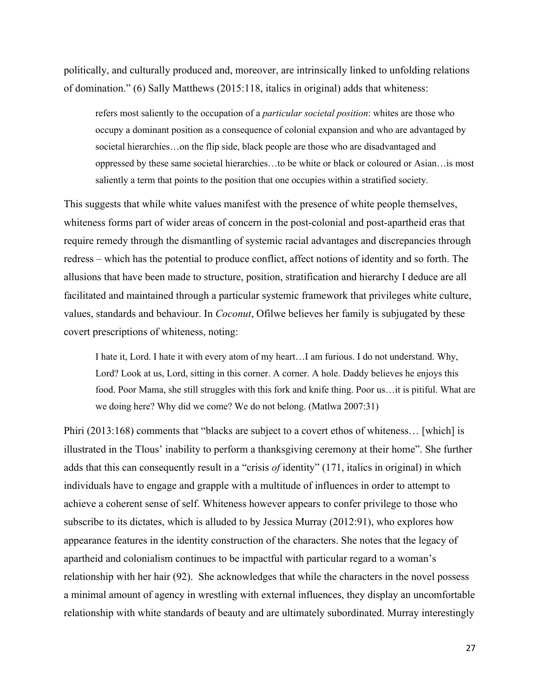politically, and culturally produced and, moreover, are intrinsically linked to unfolding relations of domination." (6) Sally Matthews (2015:118, italics in original) adds that whiteness:

refers most saliently to the occupation of a *particular societal position*: whites are those who occupy a dominant position as a consequence of colonial expansion and who are advantaged by societal hierarchies…on the flip side, black people are those who are disadvantaged and oppressed by these same societal hierarchies…to be white or black or coloured or Asian…is most saliently a term that points to the position that one occupies within a stratified society.

This suggests that while white values manifest with the presence of white people themselves, whiteness forms part of wider areas of concern in the post-colonial and post-apartheid eras that require remedy through the dismantling of systemic racial advantages and discrepancies through redress – which has the potential to produce conflict, affect notions of identity and so forth. The allusions that have been made to structure, position, stratification and hierarchy I deduce are all facilitated and maintained through a particular systemic framework that privileges white culture, values, standards and behaviour. In *Coconut*, Ofilwe believes her family is subjugated by these covert prescriptions of whiteness, noting:

I hate it, Lord. I hate it with every atom of my heart…I am furious. I do not understand. Why, Lord? Look at us, Lord, sitting in this corner. A corner. A hole. Daddy believes he enjoys this food. Poor Mama, she still struggles with this fork and knife thing. Poor us…it is pitiful. What are we doing here? Why did we come? We do not belong. (Matlwa 2007:31)

Phiri (2013:168) comments that "blacks are subject to a covert ethos of whiteness… [which] is illustrated in the Tlous' inability to perform a thanksgiving ceremony at their home". She further adds that this can consequently result in a "crisis *of* identity" (171, italics in original) in which individuals have to engage and grapple with a multitude of influences in order to attempt to achieve a coherent sense of self. Whiteness however appears to confer privilege to those who subscribe to its dictates, which is alluded to by Jessica Murray (2012:91), who explores how appearance features in the identity construction of the characters. She notes that the legacy of apartheid and colonialism continues to be impactful with particular regard to a woman's relationship with her hair (92). She acknowledges that while the characters in the novel possess a minimal amount of agency in wrestling with external influences, they display an uncomfortable relationship with white standards of beauty and are ultimately subordinated. Murray interestingly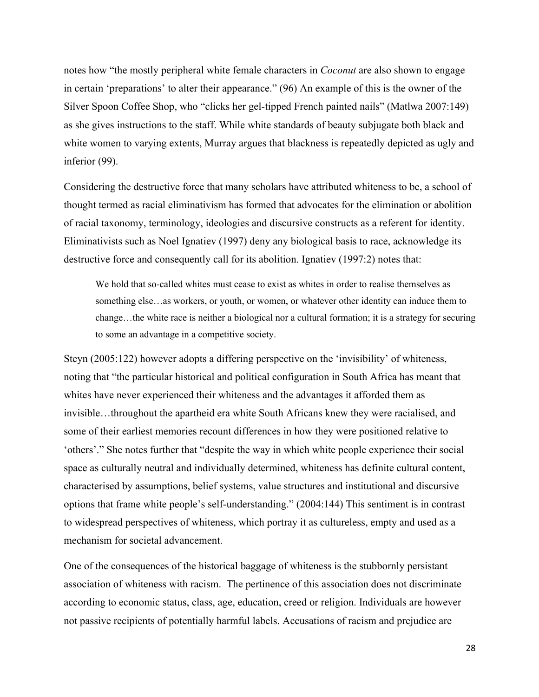notes how "the mostly peripheral white female characters in *Coconut* are also shown to engage in certain 'preparations' to alter their appearance." (96) An example of this is the owner of the Silver Spoon Coffee Shop, who "clicks her gel-tipped French painted nails" (Matlwa 2007:149) as she gives instructions to the staff. While white standards of beauty subjugate both black and white women to varying extents, Murray argues that blackness is repeatedly depicted as ugly and inferior (99).

Considering the destructive force that many scholars have attributed whiteness to be, a school of thought termed as racial eliminativism has formed that advocates for the elimination or abolition of racial taxonomy, terminology, ideologies and discursive constructs as a referent for identity. Eliminativists such as Noel Ignatiev (1997) deny any biological basis to race, acknowledge its destructive force and consequently call for its abolition. Ignatiev (1997:2) notes that:

We hold that so-called whites must cease to exist as whites in order to realise themselves as something else…as workers, or youth, or women, or whatever other identity can induce them to change…the white race is neither a biological nor a cultural formation; it is a strategy for securing to some an advantage in a competitive society.

Steyn (2005:122) however adopts a differing perspective on the 'invisibility' of whiteness, noting that "the particular historical and political configuration in South Africa has meant that whites have never experienced their whiteness and the advantages it afforded them as invisible…throughout the apartheid era white South Africans knew they were racialised, and some of their earliest memories recount differences in how they were positioned relative to 'others'." She notes further that "despite the way in which white people experience their social space as culturally neutral and individually determined, whiteness has definite cultural content, characterised by assumptions, belief systems, value structures and institutional and discursive options that frame white people's self-understanding." (2004:144) This sentiment is in contrast to widespread perspectives of whiteness, which portray it as cultureless, empty and used as a mechanism for societal advancement.

One of the consequences of the historical baggage of whiteness is the stubbornly persistant association of whiteness with racism. The pertinence of this association does not discriminate according to economic status, class, age, education, creed or religion. Individuals are however not passive recipients of potentially harmful labels. Accusations of racism and prejudice are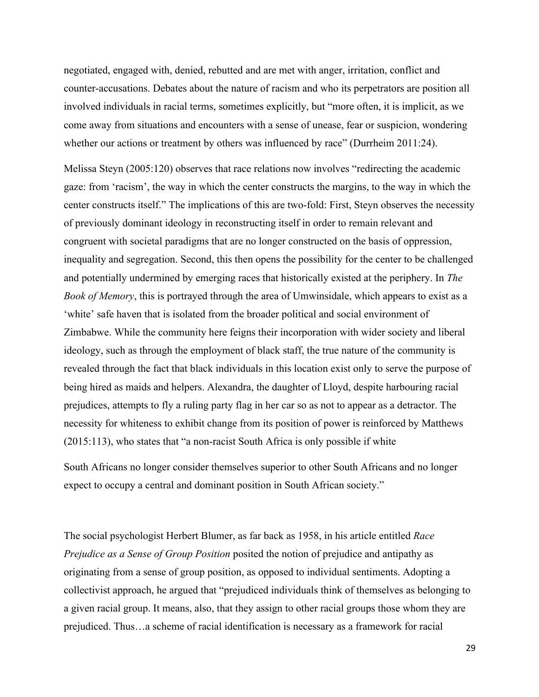negotiated, engaged with, denied, rebutted and are met with anger, irritation, conflict and counter-accusations. Debates about the nature of racism and who its perpetrators are position all involved individuals in racial terms, sometimes explicitly, but "more often, it is implicit, as we come away from situations and encounters with a sense of unease, fear or suspicion, wondering whether our actions or treatment by others was influenced by race" (Durrheim 2011:24).

Melissa Steyn (2005:120) observes that race relations now involves "redirecting the academic gaze: from 'racism', the way in which the center constructs the margins, to the way in which the center constructs itself." The implications of this are two-fold: First, Steyn observes the necessity of previously dominant ideology in reconstructing itself in order to remain relevant and congruent with societal paradigms that are no longer constructed on the basis of oppression, inequality and segregation. Second, this then opens the possibility for the center to be challenged and potentially undermined by emerging races that historically existed at the periphery. In *The Book of Memory*, this is portrayed through the area of Umwinsidale, which appears to exist as a 'white' safe haven that is isolated from the broader political and social environment of Zimbabwe. While the community here feigns their incorporation with wider society and liberal ideology, such as through the employment of black staff, the true nature of the community is revealed through the fact that black individuals in this location exist only to serve the purpose of being hired as maids and helpers. Alexandra, the daughter of Lloyd, despite harbouring racial prejudices, attempts to fly a ruling party flag in her car so as not to appear as a detractor. The necessity for whiteness to exhibit change from its position of power is reinforced by Matthews (2015:113), who states that "a non-racist South Africa is only possible if white

South Africans no longer consider themselves superior to other South Africans and no longer expect to occupy a central and dominant position in South African society."

The social psychologist Herbert Blumer, as far back as 1958, in his article entitled *Race Prejudice as a Sense of Group Position* posited the notion of prejudice and antipathy as originating from a sense of group position, as opposed to individual sentiments. Adopting a collectivist approach, he argued that "prejudiced individuals think of themselves as belonging to a given racial group. It means, also, that they assign to other racial groups those whom they are prejudiced. Thus…a scheme of racial identification is necessary as a framework for racial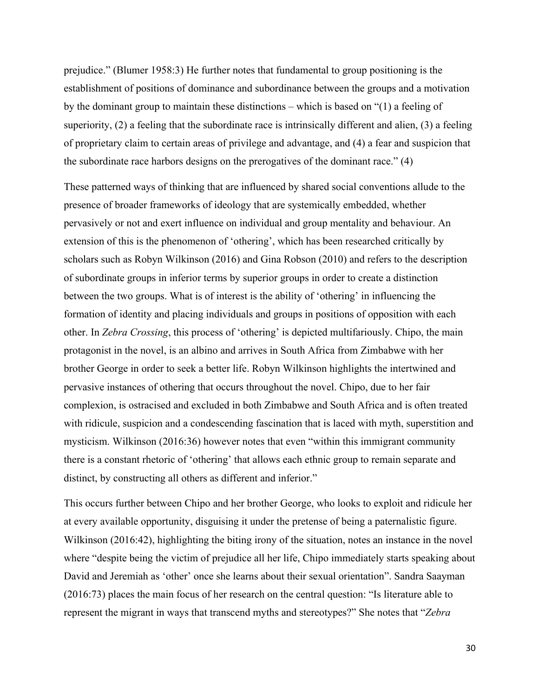prejudice." (Blumer 1958:3) He further notes that fundamental to group positioning is the establishment of positions of dominance and subordinance between the groups and a motivation by the dominant group to maintain these distinctions – which is based on "(1) a feeling of superiority, (2) a feeling that the subordinate race is intrinsically different and alien, (3) a feeling of proprietary claim to certain areas of privilege and advantage, and (4) a fear and suspicion that the subordinate race harbors designs on the prerogatives of the dominant race." (4)

These patterned ways of thinking that are influenced by shared social conventions allude to the presence of broader frameworks of ideology that are systemically embedded, whether pervasively or not and exert influence on individual and group mentality and behaviour. An extension of this is the phenomenon of 'othering', which has been researched critically by scholars such as Robyn Wilkinson (2016) and Gina Robson (2010) and refers to the description of subordinate groups in inferior terms by superior groups in order to create a distinction between the two groups. What is of interest is the ability of 'othering' in influencing the formation of identity and placing individuals and groups in positions of opposition with each other. In *Zebra Crossing*, this process of 'othering' is depicted multifariously. Chipo, the main protagonist in the novel, is an albino and arrives in South Africa from Zimbabwe with her brother George in order to seek a better life. Robyn Wilkinson highlights the intertwined and pervasive instances of othering that occurs throughout the novel. Chipo, due to her fair complexion, is ostracised and excluded in both Zimbabwe and South Africa and is often treated with ridicule, suspicion and a condescending fascination that is laced with myth, superstition and mysticism. Wilkinson (2016:36) however notes that even "within this immigrant community there is a constant rhetoric of 'othering' that allows each ethnic group to remain separate and distinct, by constructing all others as different and inferior."

This occurs further between Chipo and her brother George, who looks to exploit and ridicule her at every available opportunity, disguising it under the pretense of being a paternalistic figure. Wilkinson (2016:42), highlighting the biting irony of the situation, notes an instance in the novel where "despite being the victim of prejudice all her life, Chipo immediately starts speaking about David and Jeremiah as 'other' once she learns about their sexual orientation". Sandra Saayman (2016:73) places the main focus of her research on the central question: "Is literature able to represent the migrant in ways that transcend myths and stereotypes?" She notes that "*Zebra*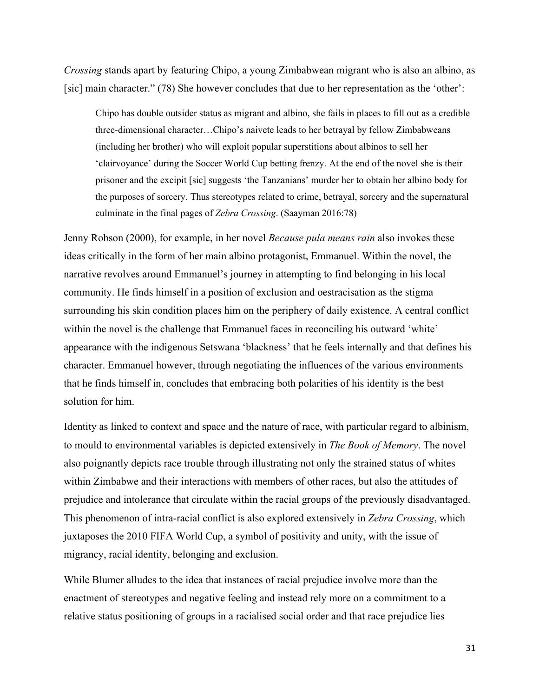*Crossing* stands apart by featuring Chipo, a young Zimbabwean migrant who is also an albino, as [sic] main character." (78) She however concludes that due to her representation as the 'other':

Chipo has double outsider status as migrant and albino, she fails in places to fill out as a credible three-dimensional character…Chipo's naivete leads to her betrayal by fellow Zimbabweans (including her brother) who will exploit popular superstitions about albinos to sell her 'clairvoyance' during the Soccer World Cup betting frenzy. At the end of the novel she is their prisoner and the excipit [sic] suggests 'the Tanzanians' murder her to obtain her albino body for the purposes of sorcery. Thus stereotypes related to crime, betrayal, sorcery and the supernatural culminate in the final pages of *Zebra Crossing*. (Saayman 2016:78)

Jenny Robson (2000), for example, in her novel *Because pula means rain* also invokes these ideas critically in the form of her main albino protagonist, Emmanuel. Within the novel, the narrative revolves around Emmanuel's journey in attempting to find belonging in his local community. He finds himself in a position of exclusion and oestracisation as the stigma surrounding his skin condition places him on the periphery of daily existence. A central conflict within the novel is the challenge that Emmanuel faces in reconciling his outward 'white' appearance with the indigenous Setswana 'blackness' that he feels internally and that defines his character. Emmanuel however, through negotiating the influences of the various environments that he finds himself in, concludes that embracing both polarities of his identity is the best solution for him.

Identity as linked to context and space and the nature of race, with particular regard to albinism, to mould to environmental variables is depicted extensively in *The Book of Memory*. The novel also poignantly depicts race trouble through illustrating not only the strained status of whites within Zimbabwe and their interactions with members of other races, but also the attitudes of prejudice and intolerance that circulate within the racial groups of the previously disadvantaged. This phenomenon of intra-racial conflict is also explored extensively in *Zebra Crossing*, which juxtaposes the 2010 FIFA World Cup, a symbol of positivity and unity, with the issue of migrancy, racial identity, belonging and exclusion.

While Blumer alludes to the idea that instances of racial prejudice involve more than the enactment of stereotypes and negative feeling and instead rely more on a commitment to a relative status positioning of groups in a racialised social order and that race prejudice lies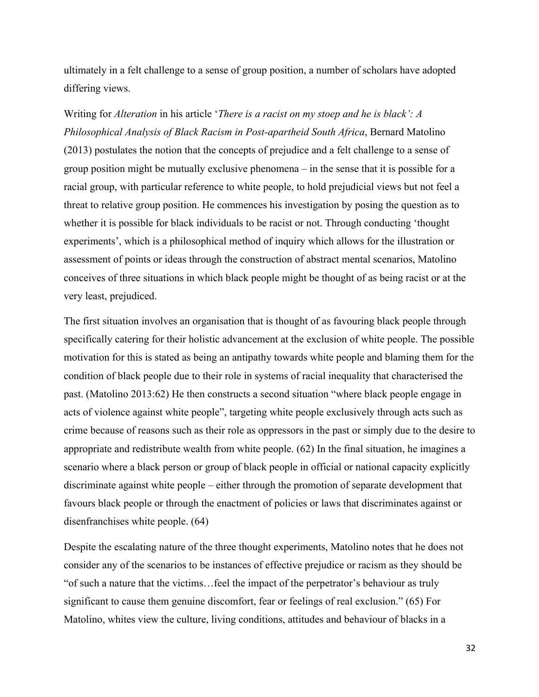ultimately in a felt challenge to a sense of group position, a number of scholars have adopted differing views.

Writing for *Alteration* in his article '*There is a racist on my stoep and he is black': A Philosophical Analysis of Black Racism in Post-apartheid South Africa*, Bernard Matolino (2013) postulates the notion that the concepts of prejudice and a felt challenge to a sense of group position might be mutually exclusive phenomena – in the sense that it is possible for a racial group, with particular reference to white people, to hold prejudicial views but not feel a threat to relative group position. He commences his investigation by posing the question as to whether it is possible for black individuals to be racist or not. Through conducting 'thought experiments', which is a philosophical method of inquiry which allows for the illustration or assessment of points or ideas through the construction of abstract mental scenarios, Matolino conceives of three situations in which black people might be thought of as being racist or at the very least, prejudiced.

The first situation involves an organisation that is thought of as favouring black people through specifically catering for their holistic advancement at the exclusion of white people. The possible motivation for this is stated as being an antipathy towards white people and blaming them for the condition of black people due to their role in systems of racial inequality that characterised the past. (Matolino 2013:62) He then constructs a second situation "where black people engage in acts of violence against white people", targeting white people exclusively through acts such as crime because of reasons such as their role as oppressors in the past or simply due to the desire to appropriate and redistribute wealth from white people. (62) In the final situation, he imagines a scenario where a black person or group of black people in official or national capacity explicitly discriminate against white people – either through the promotion of separate development that favours black people or through the enactment of policies or laws that discriminates against or disenfranchises white people. (64)

Despite the escalating nature of the three thought experiments, Matolino notes that he does not consider any of the scenarios to be instances of effective prejudice or racism as they should be "of such a nature that the victims…feel the impact of the perpetrator's behaviour as truly significant to cause them genuine discomfort, fear or feelings of real exclusion." (65) For Matolino, whites view the culture, living conditions, attitudes and behaviour of blacks in a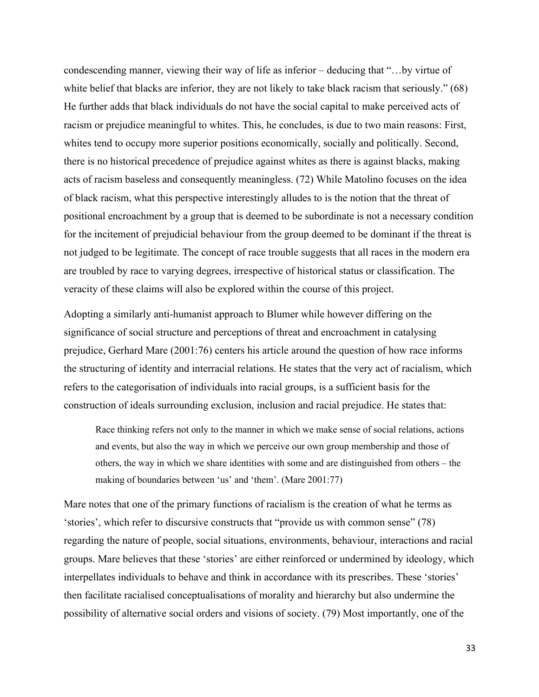condescending manner, viewing their way of life as inferior – deducing that "…by virtue of white belief that blacks are inferior, they are not likely to take black racism that seriously." (68) He further adds that black individuals do not have the social capital to make perceived acts of racism or prejudice meaningful to whites. This, he concludes, is due to two main reasons: First, whites tend to occupy more superior positions economically, socially and politically. Second, there is no historical precedence of prejudice against whites as there is against blacks, making acts of racism baseless and consequently meaningless. (72) While Matolino focuses on the idea of black racism, what this perspective interestingly alludes to is the notion that the threat of positional encroachment by a group that is deemed to be subordinate is not a necessary condition for the incitement of prejudicial behaviour from the group deemed to be dominant if the threat is not judged to be legitimate. The concept of race trouble suggests that all races in the modern era are troubled by race to varying degrees, irrespective of historical status or classification. The veracity of these claims will also be explored within the course of this project.

Adopting a similarly anti-humanist approach to Blumer while however differing on the significance of social structure and perceptions of threat and encroachment in catalysing prejudice, Gerhard Mare (2001:76) centers his article around the question of how race informs the structuring of identity and interracial relations. He states that the very act of racialism, which refers to the categorisation of individuals into racial groups, is a sufficient basis for the construction of ideals surrounding exclusion, inclusion and racial prejudice. He states that:

Race thinking refers not only to the manner in which we make sense of social relations, actions and events, but also the way in which we perceive our own group membership and those of others, the way in which we share identities with some and are distinguished from others – the making of boundaries between 'us' and 'them'. (Mare 2001:77)

Mare notes that one of the primary functions of racialism is the creation of what he terms as 'stories', which refer to discursive constructs that "provide us with common sense" (78) regarding the nature of people, social situations, environments, behaviour, interactions and racial groups. Mare believes that these 'stories' are either reinforced or undermined by ideology, which interpellates individuals to behave and think in accordance with its prescribes. These 'stories' then facilitate racialised conceptualisations of morality and hierarchy but also undermine the possibility of alternative social orders and visions of society. (79) Most importantly, one of the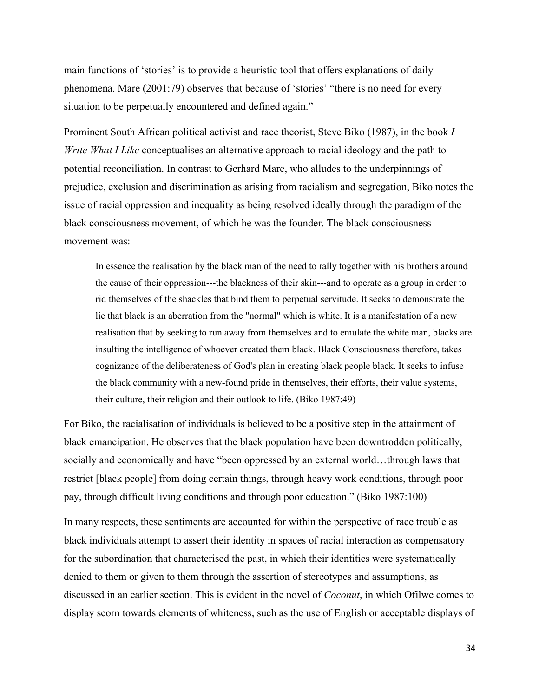main functions of 'stories' is to provide a heuristic tool that offers explanations of daily phenomena. Mare (2001:79) observes that because of 'stories' "there is no need for every situation to be perpetually encountered and defined again."

Prominent South African political activist and race theorist, Steve Biko (1987), in the book *I Write What I Like* conceptualises an alternative approach to racial ideology and the path to potential reconciliation. In contrast to Gerhard Mare, who alludes to the underpinnings of prejudice, exclusion and discrimination as arising from racialism and segregation, Biko notes the issue of racial oppression and inequality as being resolved ideally through the paradigm of the black consciousness movement, of which he was the founder. The black consciousness movement was:

In essence the realisation by the black man of the need to rally together with his brothers around the cause of their oppression---the blackness of their skin---and to operate as a group in order to rid themselves of the shackles that bind them to perpetual servitude. It seeks to demonstrate the lie that black is an aberration from the "normal" which is white. It is a manifestation of a new realisation that by seeking to run away from themselves and to emulate the white man, blacks are insulting the intelligence of whoever created them black. Black Consciousness therefore, takes cognizance of the deliberateness of God's plan in creating black people black. It seeks to infuse the black community with a new-found pride in themselves, their efforts, their value systems, their culture, their religion and their outlook to life. (Biko 1987:49)

For Biko, the racialisation of individuals is believed to be a positive step in the attainment of black emancipation. He observes that the black population have been downtrodden politically, socially and economically and have "been oppressed by an external world…through laws that restrict [black people] from doing certain things, through heavy work conditions, through poor pay, through difficult living conditions and through poor education." (Biko 1987:100)

In many respects, these sentiments are accounted for within the perspective of race trouble as black individuals attempt to assert their identity in spaces of racial interaction as compensatory for the subordination that characterised the past, in which their identities were systematically denied to them or given to them through the assertion of stereotypes and assumptions, as discussed in an earlier section. This is evident in the novel of *Coconut*, in which Ofilwe comes to display scorn towards elements of whiteness, such as the use of English or acceptable displays of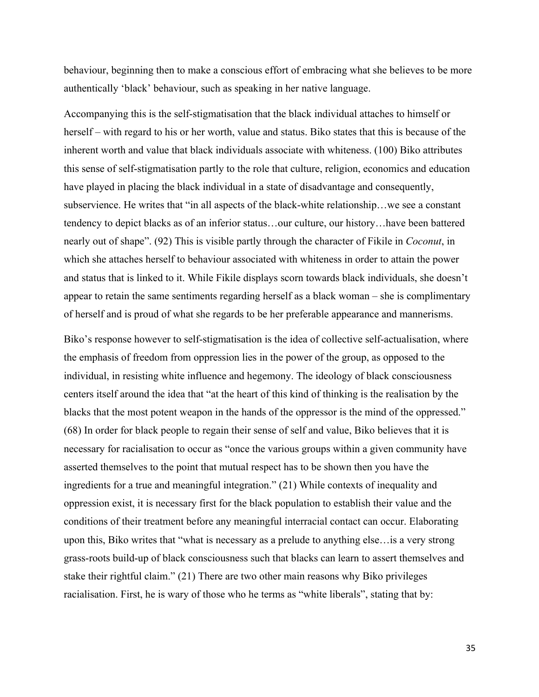behaviour, beginning then to make a conscious effort of embracing what she believes to be more authentically 'black' behaviour, such as speaking in her native language.

Accompanying this is the self-stigmatisation that the black individual attaches to himself or herself – with regard to his or her worth, value and status. Biko states that this is because of the inherent worth and value that black individuals associate with whiteness. (100) Biko attributes this sense of self-stigmatisation partly to the role that culture, religion, economics and education have played in placing the black individual in a state of disadvantage and consequently, subservience. He writes that "in all aspects of the black-white relationship…we see a constant tendency to depict blacks as of an inferior status…our culture, our history…have been battered nearly out of shape". (92) This is visible partly through the character of Fikile in *Coconut*, in which she attaches herself to behaviour associated with whiteness in order to attain the power and status that is linked to it. While Fikile displays scorn towards black individuals, she doesn't appear to retain the same sentiments regarding herself as a black woman – she is complimentary of herself and is proud of what she regards to be her preferable appearance and mannerisms.

Biko's response however to self-stigmatisation is the idea of collective self-actualisation, where the emphasis of freedom from oppression lies in the power of the group, as opposed to the individual, in resisting white influence and hegemony. The ideology of black consciousness centers itself around the idea that "at the heart of this kind of thinking is the realisation by the blacks that the most potent weapon in the hands of the oppressor is the mind of the oppressed." (68) In order for black people to regain their sense of self and value, Biko believes that it is necessary for racialisation to occur as "once the various groups within a given community have asserted themselves to the point that mutual respect has to be shown then you have the ingredients for a true and meaningful integration." (21) While contexts of inequality and oppression exist, it is necessary first for the black population to establish their value and the conditions of their treatment before any meaningful interracial contact can occur. Elaborating upon this, Biko writes that "what is necessary as a prelude to anything else…is a very strong grass-roots build-up of black consciousness such that blacks can learn to assert themselves and stake their rightful claim." (21) There are two other main reasons why Biko privileges racialisation. First, he is wary of those who he terms as "white liberals", stating that by: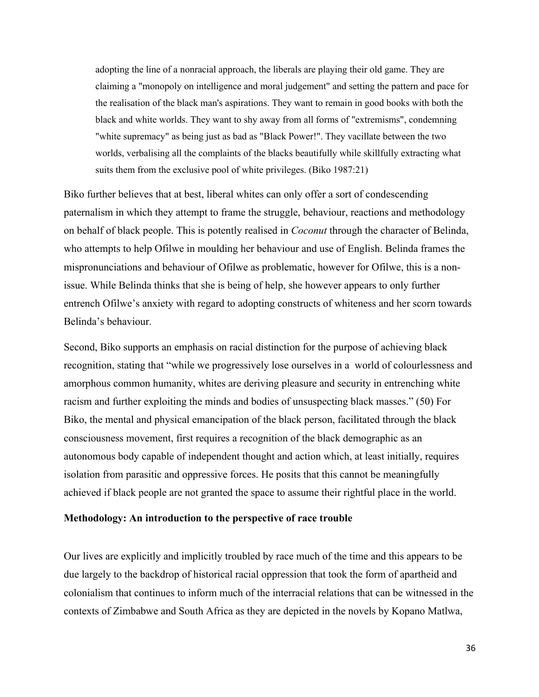adopting the line of a nonracial approach, the liberals are playing their old game. They are claiming a "monopoly on intelligence and moral judgement" and setting the pattern and pace for the realisation of the black man's aspirations. They want to remain in good books with both the black and white worlds. They want to shy away from all forms of "extremisms", condemning "white supremacy" as being just as bad as "Black Power!". They vacillate between the two worlds, verbalising all the complaints of the blacks beautifully while skillfully extracting what suits them from the exclusive pool of white privileges. (Biko 1987:21)

Biko further believes that at best, liberal whites can only offer a sort of condescending paternalism in which they attempt to frame the struggle, behaviour, reactions and methodology on behalf of black people. This is potently realised in *Coconut* through the character of Belinda, who attempts to help Ofilwe in moulding her behaviour and use of English. Belinda frames the mispronunciations and behaviour of Ofilwe as problematic, however for Ofilwe, this is a nonissue. While Belinda thinks that she is being of help, she however appears to only further entrench Ofilwe's anxiety with regard to adopting constructs of whiteness and her scorn towards Belinda's behaviour.

Second, Biko supports an emphasis on racial distinction for the purpose of achieving black recognition, stating that "while we progressively lose ourselves in a world of colourlessness and amorphous common humanity, whites are deriving pleasure and security in entrenching white racism and further exploiting the minds and bodies of unsuspecting black masses." (50) For Biko, the mental and physical emancipation of the black person, facilitated through the black consciousness movement, first requires a recognition of the black demographic as an autonomous body capable of independent thought and action which, at least initially, requires isolation from parasitic and oppressive forces. He posits that this cannot be meaningfully achieved if black people are not granted the space to assume their rightful place in the world.

#### **Methodology: An introduction to the perspective of race trouble**

Our lives are explicitly and implicitly troubled by race much of the time and this appears to be due largely to the backdrop of historical racial oppression that took the form of apartheid and colonialism that continues to inform much of the interracial relations that can be witnessed in the contexts of Zimbabwe and South Africa as they are depicted in the novels by Kopano Matlwa,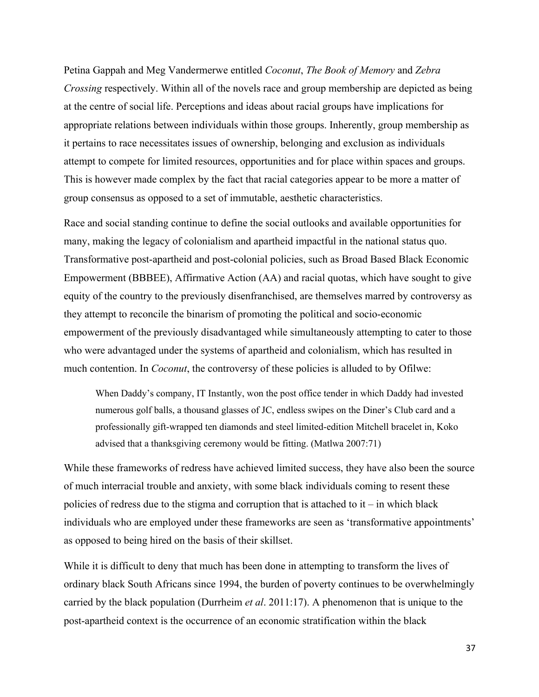Petina Gappah and Meg Vandermerwe entitled *Coconut*, *The Book of Memory* and *Zebra Crossing* respectively. Within all of the novels race and group membership are depicted as being at the centre of social life. Perceptions and ideas about racial groups have implications for appropriate relations between individuals within those groups. Inherently, group membership as it pertains to race necessitates issues of ownership, belonging and exclusion as individuals attempt to compete for limited resources, opportunities and for place within spaces and groups. This is however made complex by the fact that racial categories appear to be more a matter of group consensus as opposed to a set of immutable, aesthetic characteristics.

Race and social standing continue to define the social outlooks and available opportunities for many, making the legacy of colonialism and apartheid impactful in the national status quo. Transformative post-apartheid and post-colonial policies, such as Broad Based Black Economic Empowerment (BBBEE), Affirmative Action (AA) and racial quotas, which have sought to give equity of the country to the previously disenfranchised, are themselves marred by controversy as they attempt to reconcile the binarism of promoting the political and socio-economic empowerment of the previously disadvantaged while simultaneously attempting to cater to those who were advantaged under the systems of apartheid and colonialism, which has resulted in much contention. In *Coconut*, the controversy of these policies is alluded to by Ofilwe:

When Daddy's company, IT Instantly, won the post office tender in which Daddy had invested numerous golf balls, a thousand glasses of JC, endless swipes on the Diner's Club card and a professionally gift-wrapped ten diamonds and steel limited-edition Mitchell bracelet in, Koko advised that a thanksgiving ceremony would be fitting. (Matlwa 2007:71)

While these frameworks of redress have achieved limited success, they have also been the source of much interracial trouble and anxiety, with some black individuals coming to resent these policies of redress due to the stigma and corruption that is attached to  $it$  – in which black individuals who are employed under these frameworks are seen as 'transformative appointments' as opposed to being hired on the basis of their skillset.

While it is difficult to deny that much has been done in attempting to transform the lives of ordinary black South Africans since 1994, the burden of poverty continues to be overwhelmingly carried by the black population (Durrheim *et al*. 2011:17). A phenomenon that is unique to the post-apartheid context is the occurrence of an economic stratification within the black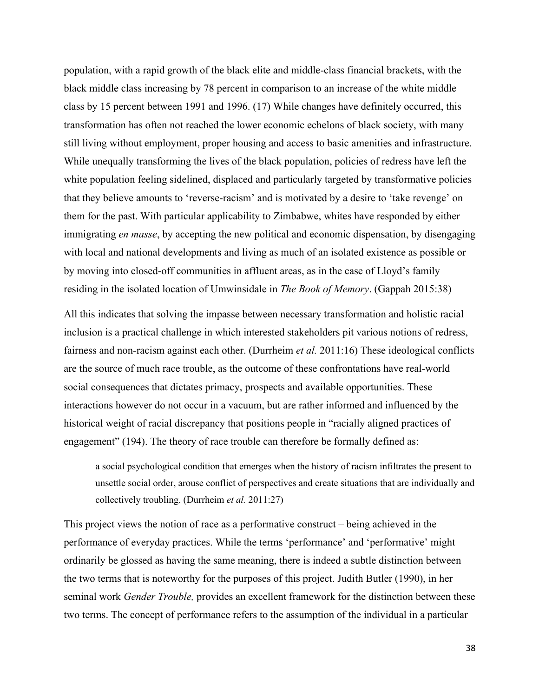population, with a rapid growth of the black elite and middle-class financial brackets, with the black middle class increasing by 78 percent in comparison to an increase of the white middle class by 15 percent between 1991 and 1996. (17) While changes have definitely occurred, this transformation has often not reached the lower economic echelons of black society, with many still living without employment, proper housing and access to basic amenities and infrastructure. While unequally transforming the lives of the black population, policies of redress have left the white population feeling sidelined, displaced and particularly targeted by transformative policies that they believe amounts to 'reverse-racism' and is motivated by a desire to 'take revenge' on them for the past. With particular applicability to Zimbabwe, whites have responded by either immigrating *en masse*, by accepting the new political and economic dispensation, by disengaging with local and national developments and living as much of an isolated existence as possible or by moving into closed-off communities in affluent areas, as in the case of Lloyd's family residing in the isolated location of Umwinsidale in *The Book of Memory*. (Gappah 2015:38)

All this indicates that solving the impasse between necessary transformation and holistic racial inclusion is a practical challenge in which interested stakeholders pit various notions of redress, fairness and non-racism against each other. (Durrheim *et al.* 2011:16) These ideological conflicts are the source of much race trouble, as the outcome of these confrontations have real-world social consequences that dictates primacy, prospects and available opportunities. These interactions however do not occur in a vacuum, but are rather informed and influenced by the historical weight of racial discrepancy that positions people in "racially aligned practices of engagement" (194). The theory of race trouble can therefore be formally defined as:

a social psychological condition that emerges when the history of racism infiltrates the present to unsettle social order, arouse conflict of perspectives and create situations that are individually and collectively troubling. (Durrheim *et al.* 2011:27)

This project views the notion of race as a performative construct – being achieved in the performance of everyday practices. While the terms 'performance' and 'performative' might ordinarily be glossed as having the same meaning, there is indeed a subtle distinction between the two terms that is noteworthy for the purposes of this project. Judith Butler (1990), in her seminal work *Gender Trouble,* provides an excellent framework for the distinction between these two terms. The concept of performance refers to the assumption of the individual in a particular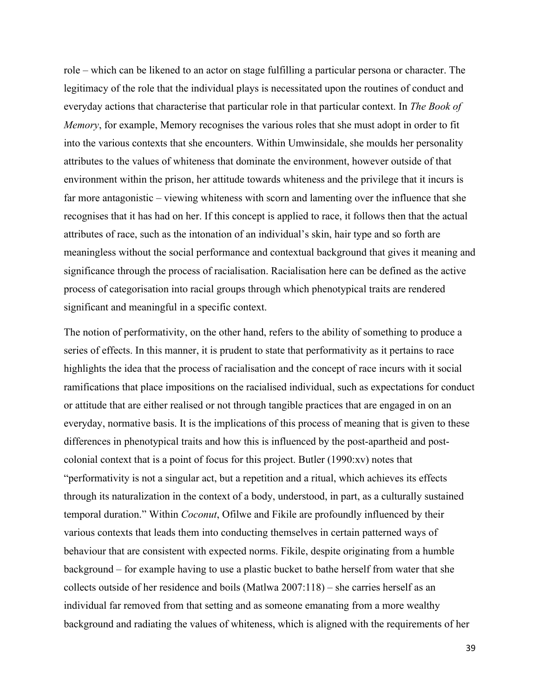role – which can be likened to an actor on stage fulfilling a particular persona or character. The legitimacy of the role that the individual plays is necessitated upon the routines of conduct and everyday actions that characterise that particular role in that particular context. In *The Book of Memory*, for example, Memory recognises the various roles that she must adopt in order to fit into the various contexts that she encounters. Within Umwinsidale, she moulds her personality attributes to the values of whiteness that dominate the environment, however outside of that environment within the prison, her attitude towards whiteness and the privilege that it incurs is far more antagonistic – viewing whiteness with scorn and lamenting over the influence that she recognises that it has had on her. If this concept is applied to race, it follows then that the actual attributes of race, such as the intonation of an individual's skin, hair type and so forth are meaningless without the social performance and contextual background that gives it meaning and significance through the process of racialisation. Racialisation here can be defined as the active process of categorisation into racial groups through which phenotypical traits are rendered significant and meaningful in a specific context.

The notion of performativity, on the other hand, refers to the ability of something to produce a series of effects. In this manner, it is prudent to state that performativity as it pertains to race highlights the idea that the process of racialisation and the concept of race incurs with it social ramifications that place impositions on the racialised individual, such as expectations for conduct or attitude that are either realised or not through tangible practices that are engaged in on an everyday, normative basis. It is the implications of this process of meaning that is given to these differences in phenotypical traits and how this is influenced by the post-apartheid and postcolonial context that is a point of focus for this project. Butler (1990:xv) notes that "performativity is not a singular act, but a repetition and a ritual, which achieves its effects through its naturalization in the context of a body, understood, in part, as a culturally sustained temporal duration." Within *Coconut*, Ofilwe and Fikile are profoundly influenced by their various contexts that leads them into conducting themselves in certain patterned ways of behaviour that are consistent with expected norms. Fikile, despite originating from a humble background – for example having to use a plastic bucket to bathe herself from water that she collects outside of her residence and boils (Matlwa 2007:118) – she carries herself as an individual far removed from that setting and as someone emanating from a more wealthy background and radiating the values of whiteness, which is aligned with the requirements of her

39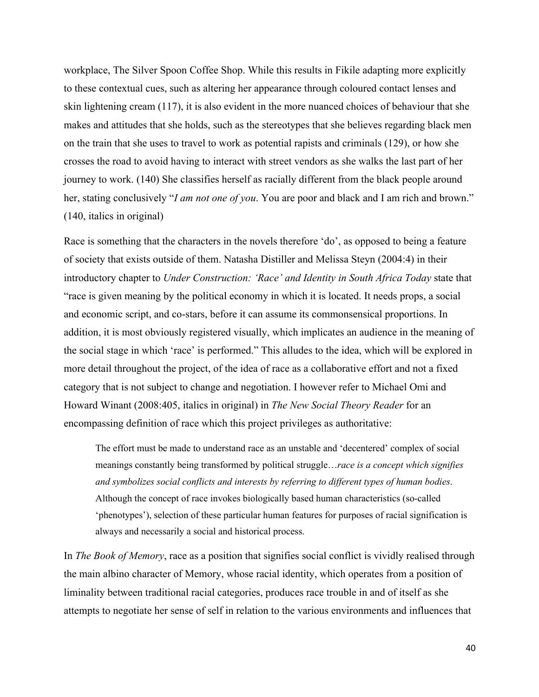workplace, The Silver Spoon Coffee Shop. While this results in Fikile adapting more explicitly to these contextual cues, such as altering her appearance through coloured contact lenses and skin lightening cream (117), it is also evident in the more nuanced choices of behaviour that she makes and attitudes that she holds, such as the stereotypes that she believes regarding black men on the train that she uses to travel to work as potential rapists and criminals (129), or how she crosses the road to avoid having to interact with street vendors as she walks the last part of her journey to work. (140) She classifies herself as racially different from the black people around her, stating conclusively "*I am not one of you*. You are poor and black and I am rich and brown." (140, italics in original)

Race is something that the characters in the novels therefore 'do', as opposed to being a feature of society that exists outside of them. Natasha Distiller and Melissa Steyn (2004:4) in their introductory chapter to *Under Construction: 'Race' and Identity in South Africa Today* state that "race is given meaning by the political economy in which it is located. It needs props, a social and economic script, and co-stars, before it can assume its commonsensical proportions. In addition, it is most obviously registered visually, which implicates an audience in the meaning of the social stage in which 'race' is performed." This alludes to the idea, which will be explored in more detail throughout the project, of the idea of race as a collaborative effort and not a fixed category that is not subject to change and negotiation. I however refer to Michael Omi and Howard Winant (2008:405, italics in original) in *The New Social Theory Reader* for an encompassing definition of race which this project privileges as authoritative:

The effort must be made to understand race as an unstable and 'decentered' complex of social meanings constantly being transformed by political struggle…*race is a concept which signifies and symbolizes social conflicts and interests by referring to different types of human bodies*. Although the concept of race invokes biologically based human characteristics (so-called 'phenotypes'), selection of these particular human features for purposes of racial signification is always and necessarily a social and historical process.

In *The Book of Memory*, race as a position that signifies social conflict is vividly realised through the main albino character of Memory, whose racial identity, which operates from a position of liminality between traditional racial categories, produces race trouble in and of itself as she attempts to negotiate her sense of self in relation to the various environments and influences that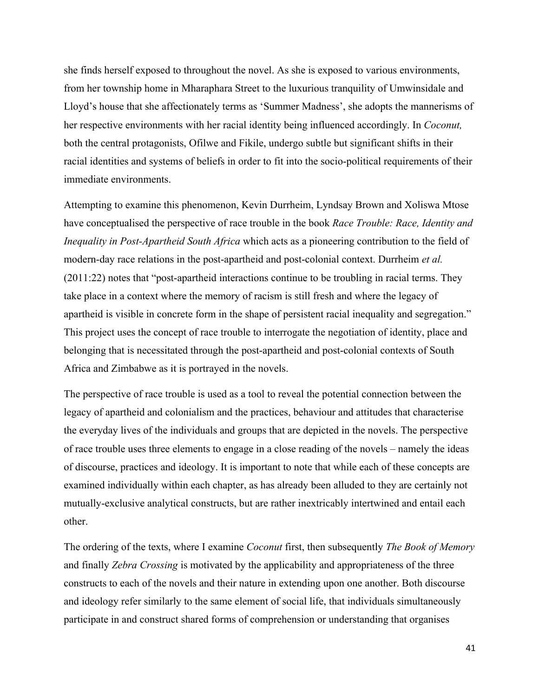she finds herself exposed to throughout the novel. As she is exposed to various environments, from her township home in Mharaphara Street to the luxurious tranquility of Umwinsidale and Lloyd's house that she affectionately terms as 'Summer Madness', she adopts the mannerisms of her respective environments with her racial identity being influenced accordingly. In *Coconut,*  both the central protagonists, Ofilwe and Fikile, undergo subtle but significant shifts in their racial identities and systems of beliefs in order to fit into the socio-political requirements of their immediate environments.

Attempting to examine this phenomenon, Kevin Durrheim, Lyndsay Brown and Xoliswa Mtose have conceptualised the perspective of race trouble in the book *Race Trouble: Race, Identity and Inequality in Post-Apartheid South Africa* which acts as a pioneering contribution to the field of modern-day race relations in the post-apartheid and post-colonial context. Durrheim *et al.*  (2011:22) notes that "post-apartheid interactions continue to be troubling in racial terms. They take place in a context where the memory of racism is still fresh and where the legacy of apartheid is visible in concrete form in the shape of persistent racial inequality and segregation." This project uses the concept of race trouble to interrogate the negotiation of identity, place and belonging that is necessitated through the post-apartheid and post-colonial contexts of South Africa and Zimbabwe as it is portrayed in the novels.

The perspective of race trouble is used as a tool to reveal the potential connection between the legacy of apartheid and colonialism and the practices, behaviour and attitudes that characterise the everyday lives of the individuals and groups that are depicted in the novels. The perspective of race trouble uses three elements to engage in a close reading of the novels – namely the ideas of discourse, practices and ideology. It is important to note that while each of these concepts are examined individually within each chapter, as has already been alluded to they are certainly not mutually-exclusive analytical constructs, but are rather inextricably intertwined and entail each other.

The ordering of the texts, where I examine *Coconut* first, then subsequently *The Book of Memory* and finally *Zebra Crossing* is motivated by the applicability and appropriateness of the three constructs to each of the novels and their nature in extending upon one another. Both discourse and ideology refer similarly to the same element of social life, that individuals simultaneously participate in and construct shared forms of comprehension or understanding that organises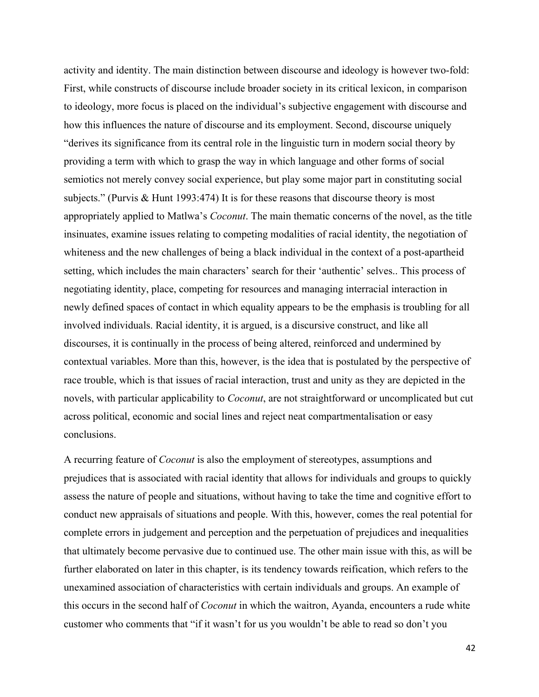activity and identity. The main distinction between discourse and ideology is however two-fold: First, while constructs of discourse include broader society in its critical lexicon, in comparison to ideology, more focus is placed on the individual's subjective engagement with discourse and how this influences the nature of discourse and its employment. Second, discourse uniquely "derives its significance from its central role in the linguistic turn in modern social theory by providing a term with which to grasp the way in which language and other forms of social semiotics not merely convey social experience, but play some major part in constituting social subjects." (Purvis & Hunt 1993:474) It is for these reasons that discourse theory is most appropriately applied to Matlwa's *Coconut*. The main thematic concerns of the novel, as the title insinuates, examine issues relating to competing modalities of racial identity, the negotiation of whiteness and the new challenges of being a black individual in the context of a post-apartheid setting, which includes the main characters' search for their 'authentic' selves.. This process of negotiating identity, place, competing for resources and managing interracial interaction in newly defined spaces of contact in which equality appears to be the emphasis is troubling for all involved individuals. Racial identity, it is argued, is a discursive construct, and like all discourses, it is continually in the process of being altered, reinforced and undermined by contextual variables. More than this, however, is the idea that is postulated by the perspective of race trouble, which is that issues of racial interaction, trust and unity as they are depicted in the novels, with particular applicability to *Coconut*, are not straightforward or uncomplicated but cut across political, economic and social lines and reject neat compartmentalisation or easy conclusions.

A recurring feature of *Coconut* is also the employment of stereotypes, assumptions and prejudices that is associated with racial identity that allows for individuals and groups to quickly assess the nature of people and situations, without having to take the time and cognitive effort to conduct new appraisals of situations and people. With this, however, comes the real potential for complete errors in judgement and perception and the perpetuation of prejudices and inequalities that ultimately become pervasive due to continued use. The other main issue with this, as will be further elaborated on later in this chapter, is its tendency towards reification, which refers to the unexamined association of characteristics with certain individuals and groups. An example of this occurs in the second half of *Coconut* in which the waitron, Ayanda, encounters a rude white customer who comments that "if it wasn't for us you wouldn't be able to read so don't you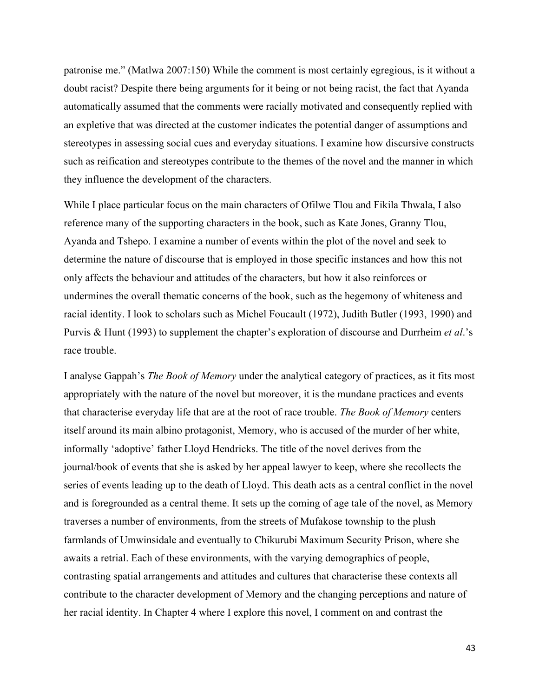patronise me." (Matlwa 2007:150) While the comment is most certainly egregious, is it without a doubt racist? Despite there being arguments for it being or not being racist, the fact that Ayanda automatically assumed that the comments were racially motivated and consequently replied with an expletive that was directed at the customer indicates the potential danger of assumptions and stereotypes in assessing social cues and everyday situations. I examine how discursive constructs such as reification and stereotypes contribute to the themes of the novel and the manner in which they influence the development of the characters.

While I place particular focus on the main characters of Ofilwe Tlou and Fikila Thwala, I also reference many of the supporting characters in the book, such as Kate Jones, Granny Tlou, Ayanda and Tshepo. I examine a number of events within the plot of the novel and seek to determine the nature of discourse that is employed in those specific instances and how this not only affects the behaviour and attitudes of the characters, but how it also reinforces or undermines the overall thematic concerns of the book, such as the hegemony of whiteness and racial identity. I look to scholars such as Michel Foucault (1972), Judith Butler (1993, 1990) and Purvis & Hunt (1993) to supplement the chapter's exploration of discourse and Durrheim *et al*.'s race trouble.

I analyse Gappah's *The Book of Memory* under the analytical category of practices, as it fits most appropriately with the nature of the novel but moreover, it is the mundane practices and events that characterise everyday life that are at the root of race trouble. *The Book of Memory* centers itself around its main albino protagonist, Memory, who is accused of the murder of her white, informally 'adoptive' father Lloyd Hendricks. The title of the novel derives from the journal/book of events that she is asked by her appeal lawyer to keep, where she recollects the series of events leading up to the death of Lloyd. This death acts as a central conflict in the novel and is foregrounded as a central theme. It sets up the coming of age tale of the novel, as Memory traverses a number of environments, from the streets of Mufakose township to the plush farmlands of Umwinsidale and eventually to Chikurubi Maximum Security Prison, where she awaits a retrial. Each of these environments, with the varying demographics of people, contrasting spatial arrangements and attitudes and cultures that characterise these contexts all contribute to the character development of Memory and the changing perceptions and nature of her racial identity. In Chapter 4 where I explore this novel, I comment on and contrast the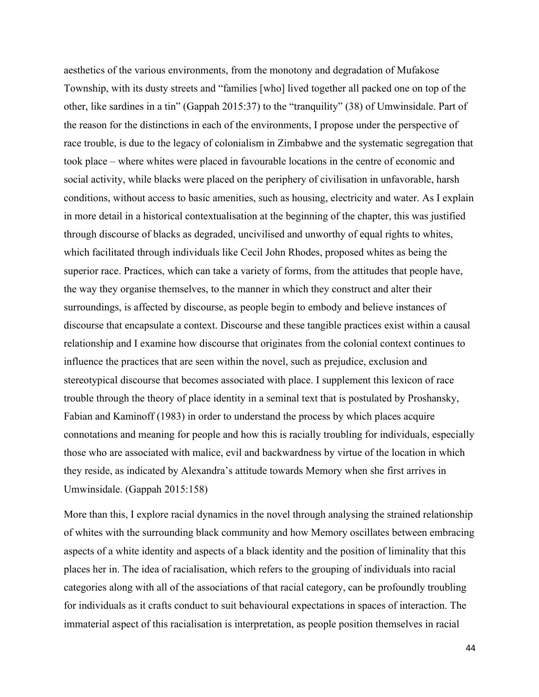aesthetics of the various environments, from the monotony and degradation of Mufakose Township, with its dusty streets and "families [who] lived together all packed one on top of the other, like sardines in a tin" (Gappah 2015:37) to the "tranquility" (38) of Umwinsidale. Part of the reason for the distinctions in each of the environments, I propose under the perspective of race trouble, is due to the legacy of colonialism in Zimbabwe and the systematic segregation that took place – where whites were placed in favourable locations in the centre of economic and social activity, while blacks were placed on the periphery of civilisation in unfavorable, harsh conditions, without access to basic amenities, such as housing, electricity and water. As I explain in more detail in a historical contextualisation at the beginning of the chapter, this was justified through discourse of blacks as degraded, uncivilised and unworthy of equal rights to whites, which facilitated through individuals like Cecil John Rhodes, proposed whites as being the superior race. Practices, which can take a variety of forms, from the attitudes that people have, the way they organise themselves, to the manner in which they construct and alter their surroundings, is affected by discourse, as people begin to embody and believe instances of discourse that encapsulate a context. Discourse and these tangible practices exist within a causal relationship and I examine how discourse that originates from the colonial context continues to influence the practices that are seen within the novel, such as prejudice, exclusion and stereotypical discourse that becomes associated with place. I supplement this lexicon of race trouble through the theory of place identity in a seminal text that is postulated by Proshansky, Fabian and Kaminoff (1983) in order to understand the process by which places acquire connotations and meaning for people and how this is racially troubling for individuals, especially those who are associated with malice, evil and backwardness by virtue of the location in which they reside, as indicated by Alexandra's attitude towards Memory when she first arrives in Umwinsidale. (Gappah 2015:158)

More than this, I explore racial dynamics in the novel through analysing the strained relationship of whites with the surrounding black community and how Memory oscillates between embracing aspects of a white identity and aspects of a black identity and the position of liminality that this places her in. The idea of racialisation, which refers to the grouping of individuals into racial categories along with all of the associations of that racial category, can be profoundly troubling for individuals as it crafts conduct to suit behavioural expectations in spaces of interaction. The immaterial aspect of this racialisation is interpretation, as people position themselves in racial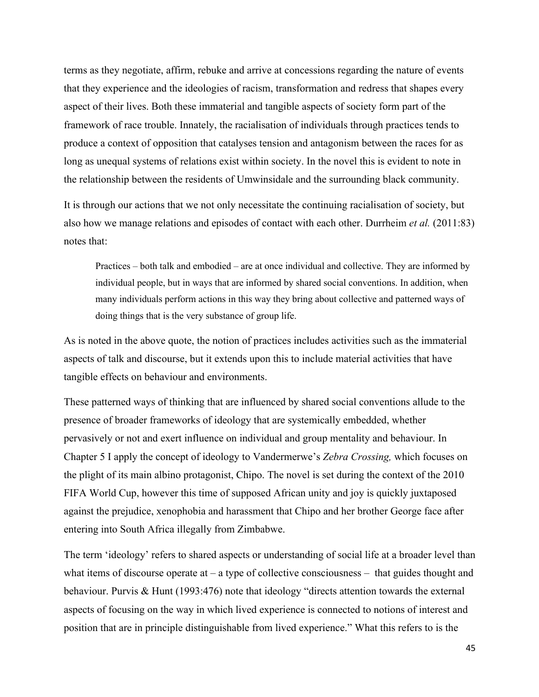terms as they negotiate, affirm, rebuke and arrive at concessions regarding the nature of events that they experience and the ideologies of racism, transformation and redress that shapes every aspect of their lives. Both these immaterial and tangible aspects of society form part of the framework of race trouble. Innately, the racialisation of individuals through practices tends to produce a context of opposition that catalyses tension and antagonism between the races for as long as unequal systems of relations exist within society. In the novel this is evident to note in the relationship between the residents of Umwinsidale and the surrounding black community.

It is through our actions that we not only necessitate the continuing racialisation of society, but also how we manage relations and episodes of contact with each other. Durrheim *et al.* (2011:83) notes that:

Practices – both talk and embodied – are at once individual and collective. They are informed by individual people, but in ways that are informed by shared social conventions. In addition, when many individuals perform actions in this way they bring about collective and patterned ways of doing things that is the very substance of group life.

As is noted in the above quote, the notion of practices includes activities such as the immaterial aspects of talk and discourse, but it extends upon this to include material activities that have tangible effects on behaviour and environments.

These patterned ways of thinking that are influenced by shared social conventions allude to the presence of broader frameworks of ideology that are systemically embedded, whether pervasively or not and exert influence on individual and group mentality and behaviour. In Chapter 5 I apply the concept of ideology to Vandermerwe's *Zebra Crossing,* which focuses on the plight of its main albino protagonist, Chipo. The novel is set during the context of the 2010 FIFA World Cup, however this time of supposed African unity and joy is quickly juxtaposed against the prejudice, xenophobia and harassment that Chipo and her brother George face after entering into South Africa illegally from Zimbabwe.

The term 'ideology' refers to shared aspects or understanding of social life at a broader level than what items of discourse operate at  $-$  a type of collective consciousness  $-$  that guides thought and behaviour. Purvis & Hunt (1993:476) note that ideology "directs attention towards the external aspects of focusing on the way in which lived experience is connected to notions of interest and position that are in principle distinguishable from lived experience." What this refers to is the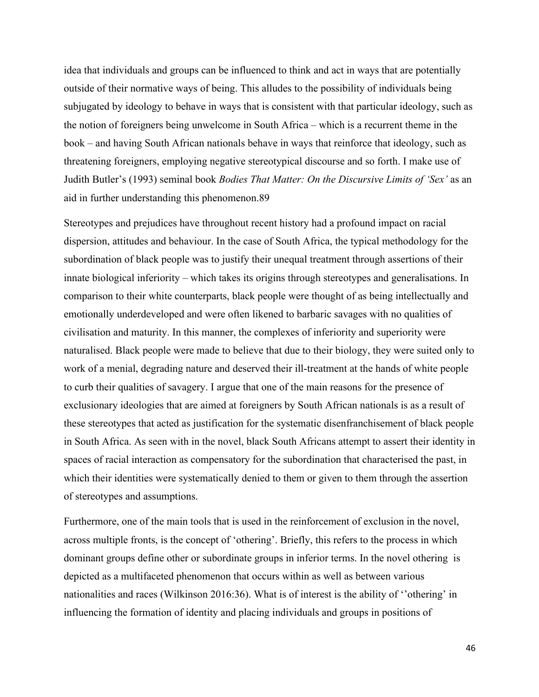idea that individuals and groups can be influenced to think and act in ways that are potentially outside of their normative ways of being. This alludes to the possibility of individuals being subjugated by ideology to behave in ways that is consistent with that particular ideology, such as the notion of foreigners being unwelcome in South Africa – which is a recurrent theme in the book – and having South African nationals behave in ways that reinforce that ideology, such as threatening foreigners, employing negative stereotypical discourse and so forth. I make use of Judith Butler's (1993) seminal book *Bodies That Matter: On the Discursive Limits of 'Sex'* as an aid in further understanding this phenomenon.89

Stereotypes and prejudices have throughout recent history had a profound impact on racial dispersion, attitudes and behaviour. In the case of South Africa, the typical methodology for the subordination of black people was to justify their unequal treatment through assertions of their innate biological inferiority – which takes its origins through stereotypes and generalisations. In comparison to their white counterparts, black people were thought of as being intellectually and emotionally underdeveloped and were often likened to barbaric savages with no qualities of civilisation and maturity. In this manner, the complexes of inferiority and superiority were naturalised. Black people were made to believe that due to their biology, they were suited only to work of a menial, degrading nature and deserved their ill-treatment at the hands of white people to curb their qualities of savagery. I argue that one of the main reasons for the presence of exclusionary ideologies that are aimed at foreigners by South African nationals is as a result of these stereotypes that acted as justification for the systematic disenfranchisement of black people in South Africa. As seen with in the novel, black South Africans attempt to assert their identity in spaces of racial interaction as compensatory for the subordination that characterised the past, in which their identities were systematically denied to them or given to them through the assertion of stereotypes and assumptions.

Furthermore, one of the main tools that is used in the reinforcement of exclusion in the novel, across multiple fronts, is the concept of 'othering'. Briefly, this refers to the process in which dominant groups define other or subordinate groups in inferior terms. In the novel othering is depicted as a multifaceted phenomenon that occurs within as well as between various nationalities and races (Wilkinson 2016:36). What is of interest is the ability of ''othering' in influencing the formation of identity and placing individuals and groups in positions of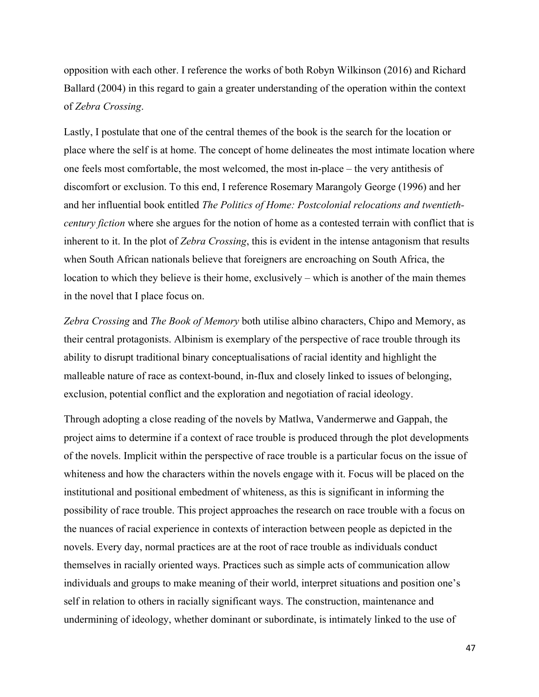opposition with each other. I reference the works of both Robyn Wilkinson (2016) and Richard Ballard (2004) in this regard to gain a greater understanding of the operation within the context of *Zebra Crossing*.

Lastly, I postulate that one of the central themes of the book is the search for the location or place where the self is at home. The concept of home delineates the most intimate location where one feels most comfortable, the most welcomed, the most in-place – the very antithesis of discomfort or exclusion. To this end, I reference Rosemary Marangoly George (1996) and her and her influential book entitled *The Politics of Home: Postcolonial relocations and twentiethcentury fiction* where she argues for the notion of home as a contested terrain with conflict that is inherent to it. In the plot of *Zebra Crossing*, this is evident in the intense antagonism that results when South African nationals believe that foreigners are encroaching on South Africa, the location to which they believe is their home, exclusively – which is another of the main themes in the novel that I place focus on.

*Zebra Crossing* and *The Book of Memory* both utilise albino characters, Chipo and Memory, as their central protagonists. Albinism is exemplary of the perspective of race trouble through its ability to disrupt traditional binary conceptualisations of racial identity and highlight the malleable nature of race as context-bound, in-flux and closely linked to issues of belonging, exclusion, potential conflict and the exploration and negotiation of racial ideology.

Through adopting a close reading of the novels by Matlwa, Vandermerwe and Gappah, the project aims to determine if a context of race trouble is produced through the plot developments of the novels. Implicit within the perspective of race trouble is a particular focus on the issue of whiteness and how the characters within the novels engage with it. Focus will be placed on the institutional and positional embedment of whiteness, as this is significant in informing the possibility of race trouble. This project approaches the research on race trouble with a focus on the nuances of racial experience in contexts of interaction between people as depicted in the novels. Every day, normal practices are at the root of race trouble as individuals conduct themselves in racially oriented ways. Practices such as simple acts of communication allow individuals and groups to make meaning of their world, interpret situations and position one's self in relation to others in racially significant ways. The construction, maintenance and undermining of ideology, whether dominant or subordinate, is intimately linked to the use of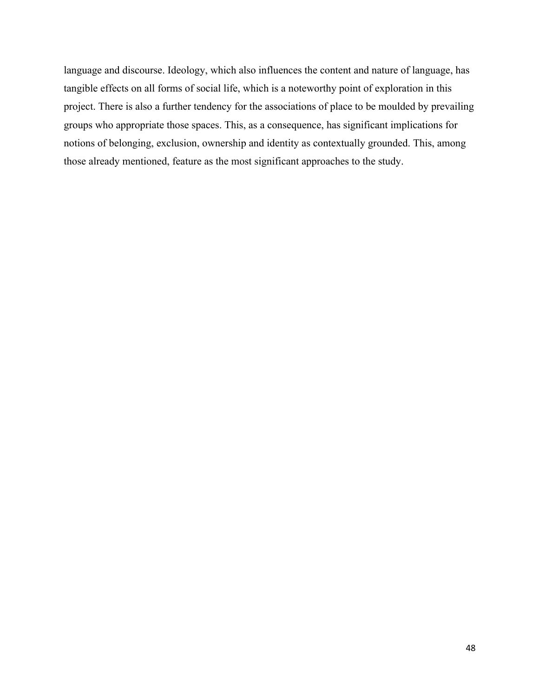language and discourse. Ideology, which also influences the content and nature of language, has tangible effects on all forms of social life, which is a noteworthy point of exploration in this project. There is also a further tendency for the associations of place to be moulded by prevailing groups who appropriate those spaces. This, as a consequence, has significant implications for notions of belonging, exclusion, ownership and identity as contextually grounded. This, among those already mentioned, feature as the most significant approaches to the study.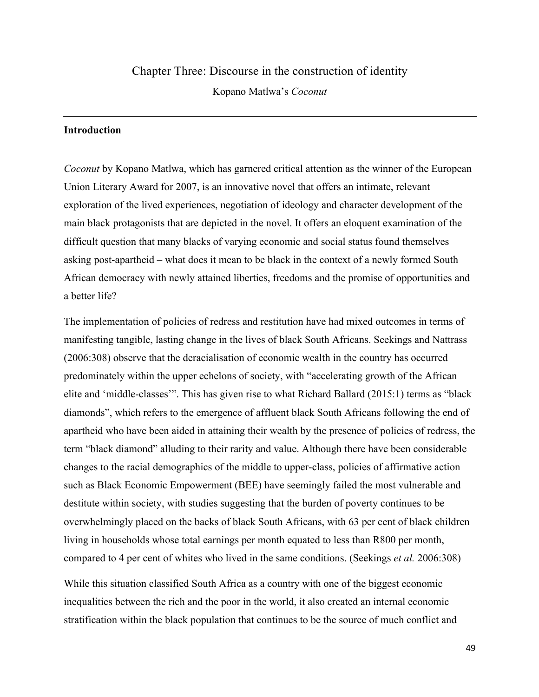# Chapter Three: Discourse in the construction of identity

Kopano Matlwa's *Coconut*

### **Introduction**

*Coconut* by Kopano Matlwa, which has garnered critical attention as the winner of the European Union Literary Award for 2007, is an innovative novel that offers an intimate, relevant exploration of the lived experiences, negotiation of ideology and character development of the main black protagonists that are depicted in the novel. It offers an eloquent examination of the difficult question that many blacks of varying economic and social status found themselves asking post-apartheid – what does it mean to be black in the context of a newly formed South African democracy with newly attained liberties, freedoms and the promise of opportunities and a better life?

The implementation of policies of redress and restitution have had mixed outcomes in terms of manifesting tangible, lasting change in the lives of black South Africans. Seekings and Nattrass (2006:308) observe that the deracialisation of economic wealth in the country has occurred predominately within the upper echelons of society, with "accelerating growth of the African elite and 'middle-classes'". This has given rise to what Richard Ballard (2015:1) terms as "black diamonds", which refers to the emergence of affluent black South Africans following the end of apartheid who have been aided in attaining their wealth by the presence of policies of redress, the term "black diamond" alluding to their rarity and value. Although there have been considerable changes to the racial demographics of the middle to upper-class, policies of affirmative action such as Black Economic Empowerment (BEE) have seemingly failed the most vulnerable and destitute within society, with studies suggesting that the burden of poverty continues to be overwhelmingly placed on the backs of black South Africans, with 63 per cent of black children living in households whose total earnings per month equated to less than R800 per month, compared to 4 per cent of whites who lived in the same conditions. (Seekings *et al.* 2006:308)

While this situation classified South Africa as a country with one of the biggest economic inequalities between the rich and the poor in the world, it also created an internal economic stratification within the black population that continues to be the source of much conflict and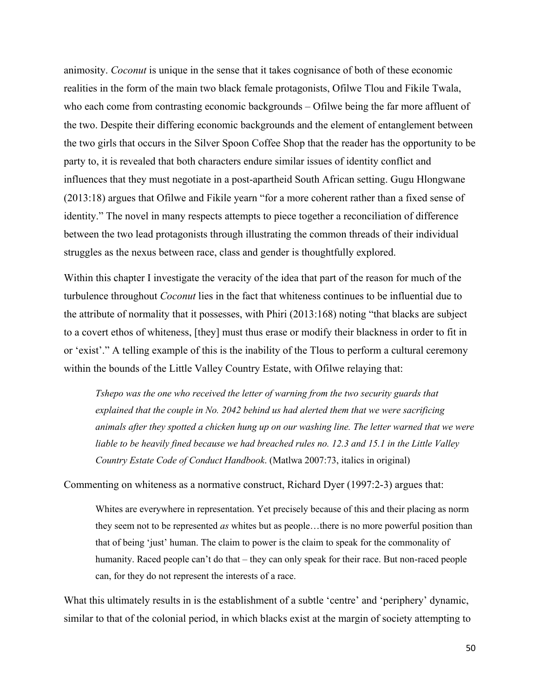animosity. *Coconut* is unique in the sense that it takes cognisance of both of these economic realities in the form of the main two black female protagonists, Ofilwe Tlou and Fikile Twala, who each come from contrasting economic backgrounds – Ofilwe being the far more affluent of the two. Despite their differing economic backgrounds and the element of entanglement between the two girls that occurs in the Silver Spoon Coffee Shop that the reader has the opportunity to be party to, it is revealed that both characters endure similar issues of identity conflict and influences that they must negotiate in a post-apartheid South African setting. Gugu Hlongwane (2013:18) argues that Ofilwe and Fikile yearn "for a more coherent rather than a fixed sense of identity." The novel in many respects attempts to piece together a reconciliation of difference between the two lead protagonists through illustrating the common threads of their individual struggles as the nexus between race, class and gender is thoughtfully explored.

Within this chapter I investigate the veracity of the idea that part of the reason for much of the turbulence throughout *Coconut* lies in the fact that whiteness continues to be influential due to the attribute of normality that it possesses, with Phiri (2013:168) noting "that blacks are subject to a covert ethos of whiteness, [they] must thus erase or modify their blackness in order to fit in or 'exist'." A telling example of this is the inability of the Tlous to perform a cultural ceremony within the bounds of the Little Valley Country Estate, with Ofilwe relaying that:

*Tshepo was the one who received the letter of warning from the two security guards that explained that the couple in No. 2042 behind us had alerted them that we were sacrificing animals after they spotted a chicken hung up on our washing line. The letter warned that we were liable to be heavily fined because we had breached rules no. 12.3 and 15.1 in the Little Valley Country Estate Code of Conduct Handbook*. (Matlwa 2007:73, italics in original)

Commenting on whiteness as a normative construct, Richard Dyer (1997:2-3) argues that:

Whites are everywhere in representation. Yet precisely because of this and their placing as norm they seem not to be represented *as* whites but as people…there is no more powerful position than that of being 'just' human. The claim to power is the claim to speak for the commonality of humanity. Raced people can't do that – they can only speak for their race. But non-raced people can, for they do not represent the interests of a race.

What this ultimately results in is the establishment of a subtle 'centre' and 'periphery' dynamic, similar to that of the colonial period, in which blacks exist at the margin of society attempting to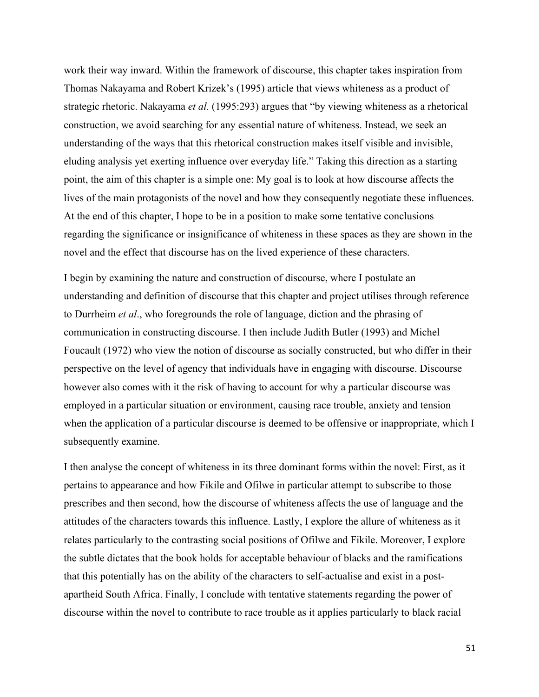work their way inward. Within the framework of discourse, this chapter takes inspiration from Thomas Nakayama and Robert Krizek's (1995) article that views whiteness as a product of strategic rhetoric. Nakayama *et al.* (1995:293) argues that "by viewing whiteness as a rhetorical construction, we avoid searching for any essential nature of whiteness. Instead, we seek an understanding of the ways that this rhetorical construction makes itself visible and invisible, eluding analysis yet exerting influence over everyday life." Taking this direction as a starting point, the aim of this chapter is a simple one: My goal is to look at how discourse affects the lives of the main protagonists of the novel and how they consequently negotiate these influences. At the end of this chapter, I hope to be in a position to make some tentative conclusions regarding the significance or insignificance of whiteness in these spaces as they are shown in the novel and the effect that discourse has on the lived experience of these characters.

I begin by examining the nature and construction of discourse, where I postulate an understanding and definition of discourse that this chapter and project utilises through reference to Durrheim *et al*., who foregrounds the role of language, diction and the phrasing of communication in constructing discourse. I then include Judith Butler (1993) and Michel Foucault (1972) who view the notion of discourse as socially constructed, but who differ in their perspective on the level of agency that individuals have in engaging with discourse. Discourse however also comes with it the risk of having to account for why a particular discourse was employed in a particular situation or environment, causing race trouble, anxiety and tension when the application of a particular discourse is deemed to be offensive or inappropriate, which I subsequently examine.

I then analyse the concept of whiteness in its three dominant forms within the novel: First, as it pertains to appearance and how Fikile and Ofilwe in particular attempt to subscribe to those prescribes and then second, how the discourse of whiteness affects the use of language and the attitudes of the characters towards this influence. Lastly, I explore the allure of whiteness as it relates particularly to the contrasting social positions of Ofilwe and Fikile. Moreover, I explore the subtle dictates that the book holds for acceptable behaviour of blacks and the ramifications that this potentially has on the ability of the characters to self-actualise and exist in a postapartheid South Africa. Finally, I conclude with tentative statements regarding the power of discourse within the novel to contribute to race trouble as it applies particularly to black racial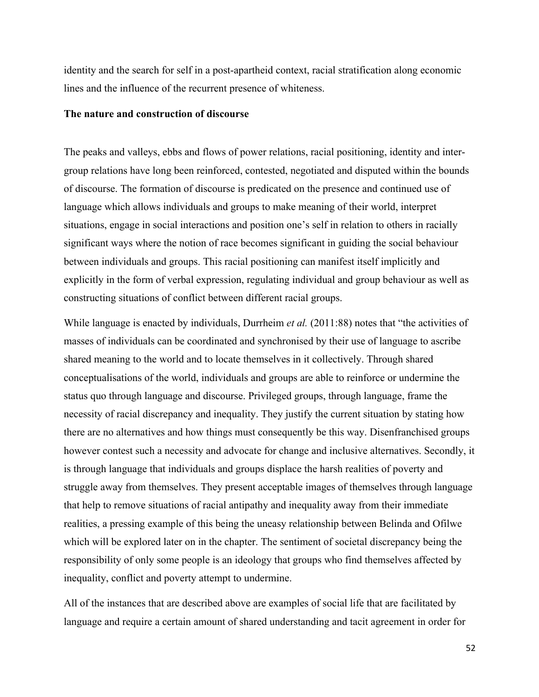identity and the search for self in a post-apartheid context, racial stratification along economic lines and the influence of the recurrent presence of whiteness.

### **The nature and construction of discourse**

The peaks and valleys, ebbs and flows of power relations, racial positioning, identity and intergroup relations have long been reinforced, contested, negotiated and disputed within the bounds of discourse. The formation of discourse is predicated on the presence and continued use of language which allows individuals and groups to make meaning of their world, interpret situations, engage in social interactions and position one's self in relation to others in racially significant ways where the notion of race becomes significant in guiding the social behaviour between individuals and groups. This racial positioning can manifest itself implicitly and explicitly in the form of verbal expression, regulating individual and group behaviour as well as constructing situations of conflict between different racial groups.

While language is enacted by individuals, Durrheim *et al.* (2011:88) notes that "the activities of masses of individuals can be coordinated and synchronised by their use of language to ascribe shared meaning to the world and to locate themselves in it collectively. Through shared conceptualisations of the world, individuals and groups are able to reinforce or undermine the status quo through language and discourse. Privileged groups, through language, frame the necessity of racial discrepancy and inequality. They justify the current situation by stating how there are no alternatives and how things must consequently be this way. Disenfranchised groups however contest such a necessity and advocate for change and inclusive alternatives. Secondly, it is through language that individuals and groups displace the harsh realities of poverty and struggle away from themselves. They present acceptable images of themselves through language that help to remove situations of racial antipathy and inequality away from their immediate realities, a pressing example of this being the uneasy relationship between Belinda and Ofilwe which will be explored later on in the chapter. The sentiment of societal discrepancy being the responsibility of only some people is an ideology that groups who find themselves affected by inequality, conflict and poverty attempt to undermine.

All of the instances that are described above are examples of social life that are facilitated by language and require a certain amount of shared understanding and tacit agreement in order for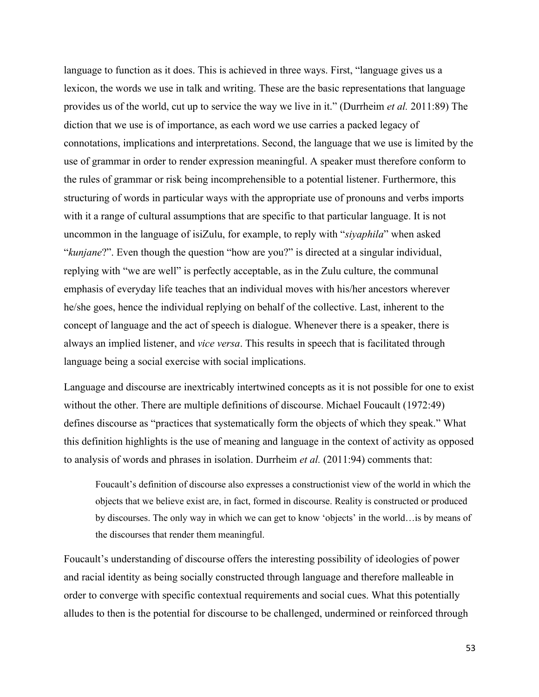language to function as it does. This is achieved in three ways. First, "language gives us a lexicon, the words we use in talk and writing. These are the basic representations that language provides us of the world, cut up to service the way we live in it." (Durrheim *et al.* 2011:89) The diction that we use is of importance, as each word we use carries a packed legacy of connotations, implications and interpretations. Second, the language that we use is limited by the use of grammar in order to render expression meaningful. A speaker must therefore conform to the rules of grammar or risk being incomprehensible to a potential listener. Furthermore, this structuring of words in particular ways with the appropriate use of pronouns and verbs imports with it a range of cultural assumptions that are specific to that particular language. It is not uncommon in the language of isiZulu, for example, to reply with "*siyaphila*" when asked "*kunjane*?". Even though the question "how are you?" is directed at a singular individual, replying with "we are well" is perfectly acceptable, as in the Zulu culture, the communal emphasis of everyday life teaches that an individual moves with his/her ancestors wherever he/she goes, hence the individual replying on behalf of the collective. Last, inherent to the concept of language and the act of speech is dialogue. Whenever there is a speaker, there is always an implied listener, and *vice versa*. This results in speech that is facilitated through language being a social exercise with social implications.

Language and discourse are inextricably intertwined concepts as it is not possible for one to exist without the other. There are multiple definitions of discourse. Michael Foucault (1972:49) defines discourse as "practices that systematically form the objects of which they speak." What this definition highlights is the use of meaning and language in the context of activity as opposed to analysis of words and phrases in isolation. Durrheim *et al.* (2011:94) comments that:

Foucault's definition of discourse also expresses a constructionist view of the world in which the objects that we believe exist are, in fact, formed in discourse. Reality is constructed or produced by discourses. The only way in which we can get to know 'objects' in the world…is by means of the discourses that render them meaningful.

Foucault's understanding of discourse offers the interesting possibility of ideologies of power and racial identity as being socially constructed through language and therefore malleable in order to converge with specific contextual requirements and social cues. What this potentially alludes to then is the potential for discourse to be challenged, undermined or reinforced through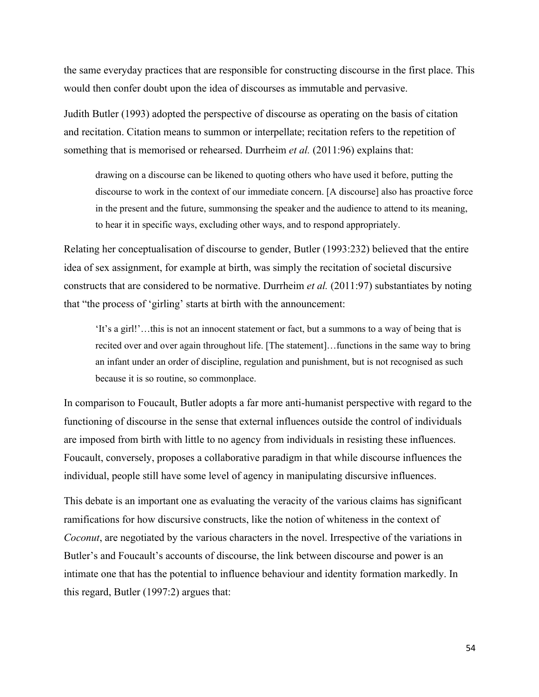the same everyday practices that are responsible for constructing discourse in the first place. This would then confer doubt upon the idea of discourses as immutable and pervasive.

Judith Butler (1993) adopted the perspective of discourse as operating on the basis of citation and recitation. Citation means to summon or interpellate; recitation refers to the repetition of something that is memorised or rehearsed. Durrheim *et al.* (2011:96) explains that:

drawing on a discourse can be likened to quoting others who have used it before, putting the discourse to work in the context of our immediate concern. [A discourse] also has proactive force in the present and the future, summonsing the speaker and the audience to attend to its meaning, to hear it in specific ways, excluding other ways, and to respond appropriately.

Relating her conceptualisation of discourse to gender, Butler (1993:232) believed that the entire idea of sex assignment, for example at birth, was simply the recitation of societal discursive constructs that are considered to be normative. Durrheim *et al.* (2011:97) substantiates by noting that "the process of 'girling' starts at birth with the announcement:

'It's a girl!'…this is not an innocent statement or fact, but a summons to a way of being that is recited over and over again throughout life. [The statement]…functions in the same way to bring an infant under an order of discipline, regulation and punishment, but is not recognised as such because it is so routine, so commonplace.

In comparison to Foucault, Butler adopts a far more anti-humanist perspective with regard to the functioning of discourse in the sense that external influences outside the control of individuals are imposed from birth with little to no agency from individuals in resisting these influences. Foucault, conversely, proposes a collaborative paradigm in that while discourse influences the individual, people still have some level of agency in manipulating discursive influences.

This debate is an important one as evaluating the veracity of the various claims has significant ramifications for how discursive constructs, like the notion of whiteness in the context of *Coconut*, are negotiated by the various characters in the novel. Irrespective of the variations in Butler's and Foucault's accounts of discourse, the link between discourse and power is an intimate one that has the potential to influence behaviour and identity formation markedly. In this regard, Butler (1997:2) argues that: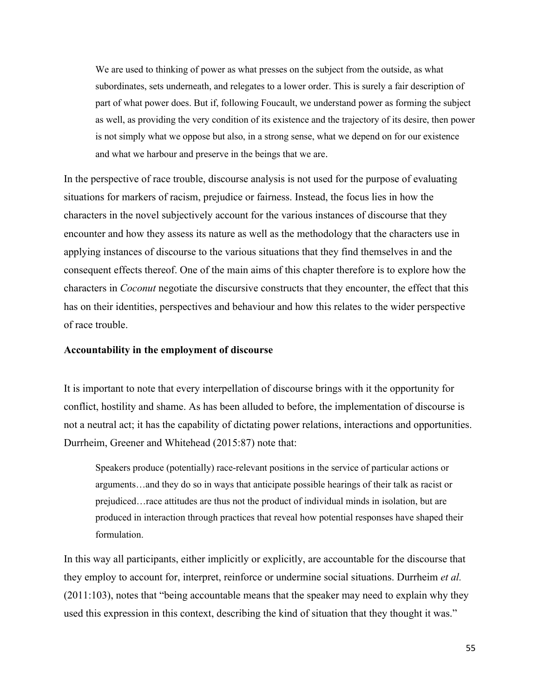We are used to thinking of power as what presses on the subject from the outside, as what subordinates, sets underneath, and relegates to a lower order. This is surely a fair description of part of what power does. But if, following Foucault, we understand power as forming the subject as well, as providing the very condition of its existence and the trajectory of its desire, then power is not simply what we oppose but also, in a strong sense, what we depend on for our existence and what we harbour and preserve in the beings that we are.

In the perspective of race trouble, discourse analysis is not used for the purpose of evaluating situations for markers of racism, prejudice or fairness. Instead, the focus lies in how the characters in the novel subjectively account for the various instances of discourse that they encounter and how they assess its nature as well as the methodology that the characters use in applying instances of discourse to the various situations that they find themselves in and the consequent effects thereof. One of the main aims of this chapter therefore is to explore how the characters in *Coconut* negotiate the discursive constructs that they encounter, the effect that this has on their identities, perspectives and behaviour and how this relates to the wider perspective of race trouble.

#### **Accountability in the employment of discourse**

It is important to note that every interpellation of discourse brings with it the opportunity for conflict, hostility and shame. As has been alluded to before, the implementation of discourse is not a neutral act; it has the capability of dictating power relations, interactions and opportunities. Durrheim, Greener and Whitehead (2015:87) note that:

Speakers produce (potentially) race-relevant positions in the service of particular actions or arguments…and they do so in ways that anticipate possible hearings of their talk as racist or prejudiced…race attitudes are thus not the product of individual minds in isolation, but are produced in interaction through practices that reveal how potential responses have shaped their formulation.

In this way all participants, either implicitly or explicitly, are accountable for the discourse that they employ to account for, interpret, reinforce or undermine social situations. Durrheim *et al.* (2011:103), notes that "being accountable means that the speaker may need to explain why they used this expression in this context, describing the kind of situation that they thought it was."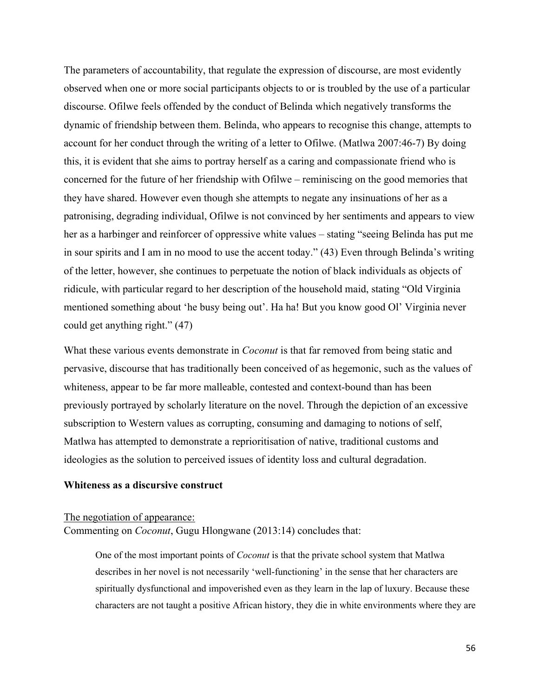The parameters of accountability, that regulate the expression of discourse, are most evidently observed when one or more social participants objects to or is troubled by the use of a particular discourse. Ofilwe feels offended by the conduct of Belinda which negatively transforms the dynamic of friendship between them. Belinda, who appears to recognise this change, attempts to account for her conduct through the writing of a letter to Ofilwe. (Matlwa 2007:46-7) By doing this, it is evident that she aims to portray herself as a caring and compassionate friend who is concerned for the future of her friendship with Ofilwe – reminiscing on the good memories that they have shared. However even though she attempts to negate any insinuations of her as a patronising, degrading individual, Ofilwe is not convinced by her sentiments and appears to view her as a harbinger and reinforcer of oppressive white values – stating "seeing Belinda has put me in sour spirits and I am in no mood to use the accent today." (43) Even through Belinda's writing of the letter, however, she continues to perpetuate the notion of black individuals as objects of ridicule, with particular regard to her description of the household maid, stating "Old Virginia mentioned something about 'he busy being out'. Ha ha! But you know good Ol' Virginia never could get anything right." (47)

What these various events demonstrate in *Coconut* is that far removed from being static and pervasive, discourse that has traditionally been conceived of as hegemonic, such as the values of whiteness, appear to be far more malleable, contested and context-bound than has been previously portrayed by scholarly literature on the novel. Through the depiction of an excessive subscription to Western values as corrupting, consuming and damaging to notions of self, Matlwa has attempted to demonstrate a reprioritisation of native, traditional customs and ideologies as the solution to perceived issues of identity loss and cultural degradation.

# **Whiteness as a discursive construct**

### The negotiation of appearance:

Commenting on *Coconut*, Gugu Hlongwane (2013:14) concludes that:

One of the most important points of *Coconut* is that the private school system that Matlwa describes in her novel is not necessarily 'well-functioning' in the sense that her characters are spiritually dysfunctional and impoverished even as they learn in the lap of luxury. Because these characters are not taught a positive African history, they die in white environments where they are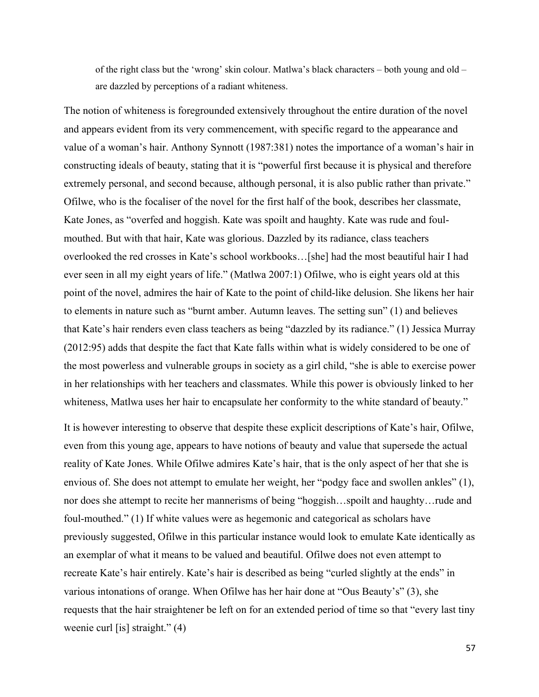of the right class but the 'wrong' skin colour. Matlwa's black characters – both young and old – are dazzled by perceptions of a radiant whiteness.

The notion of whiteness is foregrounded extensively throughout the entire duration of the novel and appears evident from its very commencement, with specific regard to the appearance and value of a woman's hair. Anthony Synnott (1987:381) notes the importance of a woman's hair in constructing ideals of beauty, stating that it is "powerful first because it is physical and therefore extremely personal, and second because, although personal, it is also public rather than private." Ofilwe, who is the focaliser of the novel for the first half of the book, describes her classmate, Kate Jones, as "overfed and hoggish. Kate was spoilt and haughty. Kate was rude and foulmouthed. But with that hair, Kate was glorious. Dazzled by its radiance, class teachers overlooked the red crosses in Kate's school workbooks…[she] had the most beautiful hair I had ever seen in all my eight years of life." (Matlwa 2007:1) Ofilwe, who is eight years old at this point of the novel, admires the hair of Kate to the point of child-like delusion. She likens her hair to elements in nature such as "burnt amber. Autumn leaves. The setting sun" (1) and believes that Kate's hair renders even class teachers as being "dazzled by its radiance." (1) Jessica Murray (2012:95) adds that despite the fact that Kate falls within what is widely considered to be one of the most powerless and vulnerable groups in society as a girl child, "she is able to exercise power in her relationships with her teachers and classmates. While this power is obviously linked to her whiteness, Matlwa uses her hair to encapsulate her conformity to the white standard of beauty."

It is however interesting to observe that despite these explicit descriptions of Kate's hair, Ofilwe, even from this young age, appears to have notions of beauty and value that supersede the actual reality of Kate Jones. While Ofilwe admires Kate's hair, that is the only aspect of her that she is envious of. She does not attempt to emulate her weight, her "podgy face and swollen ankles" (1), nor does she attempt to recite her mannerisms of being "hoggish…spoilt and haughty…rude and foul-mouthed." (1) If white values were as hegemonic and categorical as scholars have previously suggested, Ofilwe in this particular instance would look to emulate Kate identically as an exemplar of what it means to be valued and beautiful. Ofilwe does not even attempt to recreate Kate's hair entirely. Kate's hair is described as being "curled slightly at the ends" in various intonations of orange. When Ofilwe has her hair done at "Ous Beauty's" (3), she requests that the hair straightener be left on for an extended period of time so that "every last tiny weenie curl [is] straight." (4)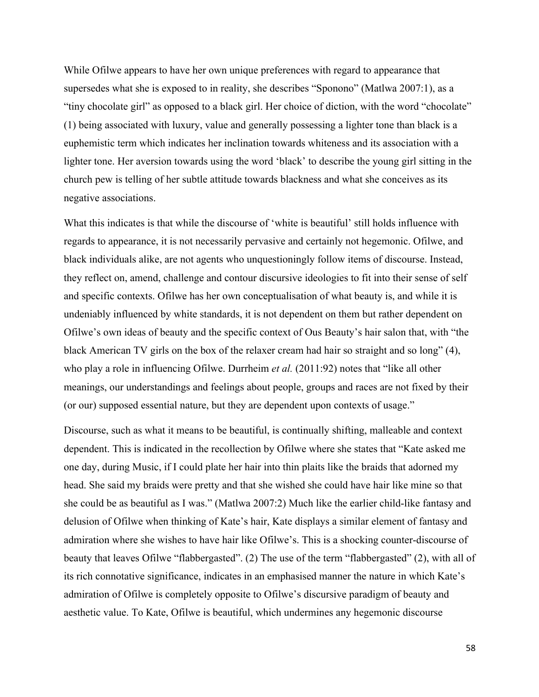While Ofilwe appears to have her own unique preferences with regard to appearance that supersedes what she is exposed to in reality, she describes "Sponono" (Matlwa 2007:1), as a "tiny chocolate girl" as opposed to a black girl. Her choice of diction, with the word "chocolate" (1) being associated with luxury, value and generally possessing a lighter tone than black is a euphemistic term which indicates her inclination towards whiteness and its association with a lighter tone. Her aversion towards using the word 'black' to describe the young girl sitting in the church pew is telling of her subtle attitude towards blackness and what she conceives as its negative associations.

What this indicates is that while the discourse of 'white is beautiful' still holds influence with regards to appearance, it is not necessarily pervasive and certainly not hegemonic. Ofilwe, and black individuals alike, are not agents who unquestioningly follow items of discourse. Instead, they reflect on, amend, challenge and contour discursive ideologies to fit into their sense of self and specific contexts. Ofilwe has her own conceptualisation of what beauty is, and while it is undeniably influenced by white standards, it is not dependent on them but rather dependent on Ofilwe's own ideas of beauty and the specific context of Ous Beauty's hair salon that, with "the black American TV girls on the box of the relaxer cream had hair so straight and so long" (4), who play a role in influencing Ofilwe. Durrheim *et al.* (2011:92) notes that "like all other meanings, our understandings and feelings about people, groups and races are not fixed by their (or our) supposed essential nature, but they are dependent upon contexts of usage."

Discourse, such as what it means to be beautiful, is continually shifting, malleable and context dependent. This is indicated in the recollection by Ofilwe where she states that "Kate asked me one day, during Music, if I could plate her hair into thin plaits like the braids that adorned my head. She said my braids were pretty and that she wished she could have hair like mine so that she could be as beautiful as I was." (Matlwa 2007:2) Much like the earlier child-like fantasy and delusion of Ofilwe when thinking of Kate's hair, Kate displays a similar element of fantasy and admiration where she wishes to have hair like Ofilwe's. This is a shocking counter-discourse of beauty that leaves Ofilwe "flabbergasted". (2) The use of the term "flabbergasted" (2), with all of its rich connotative significance, indicates in an emphasised manner the nature in which Kate's admiration of Ofilwe is completely opposite to Ofilwe's discursive paradigm of beauty and aesthetic value. To Kate, Ofilwe is beautiful, which undermines any hegemonic discourse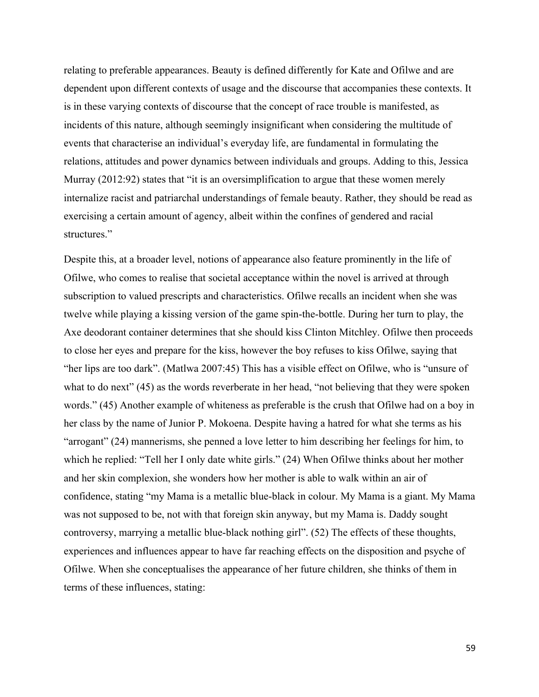relating to preferable appearances. Beauty is defined differently for Kate and Ofilwe and are dependent upon different contexts of usage and the discourse that accompanies these contexts. It is in these varying contexts of discourse that the concept of race trouble is manifested, as incidents of this nature, although seemingly insignificant when considering the multitude of events that characterise an individual's everyday life, are fundamental in formulating the relations, attitudes and power dynamics between individuals and groups. Adding to this, Jessica Murray (2012:92) states that "it is an oversimplification to argue that these women merely internalize racist and patriarchal understandings of female beauty. Rather, they should be read as exercising a certain amount of agency, albeit within the confines of gendered and racial structures."

Despite this, at a broader level, notions of appearance also feature prominently in the life of Ofilwe, who comes to realise that societal acceptance within the novel is arrived at through subscription to valued prescripts and characteristics. Ofilwe recalls an incident when she was twelve while playing a kissing version of the game spin-the-bottle. During her turn to play, the Axe deodorant container determines that she should kiss Clinton Mitchley. Ofilwe then proceeds to close her eyes and prepare for the kiss, however the boy refuses to kiss Ofilwe, saying that "her lips are too dark". (Matlwa 2007:45) This has a visible effect on Ofilwe, who is "unsure of what to do next" (45) as the words reverberate in her head, "not believing that they were spoken words." (45) Another example of whiteness as preferable is the crush that Ofilwe had on a boy in her class by the name of Junior P. Mokoena. Despite having a hatred for what she terms as his "arrogant" (24) mannerisms, she penned a love letter to him describing her feelings for him, to which he replied: "Tell her I only date white girls." (24) When Ofilwe thinks about her mother and her skin complexion, she wonders how her mother is able to walk within an air of confidence, stating "my Mama is a metallic blue-black in colour. My Mama is a giant. My Mama was not supposed to be, not with that foreign skin anyway, but my Mama is. Daddy sought controversy, marrying a metallic blue-black nothing girl". (52) The effects of these thoughts, experiences and influences appear to have far reaching effects on the disposition and psyche of Ofilwe. When she conceptualises the appearance of her future children, she thinks of them in terms of these influences, stating: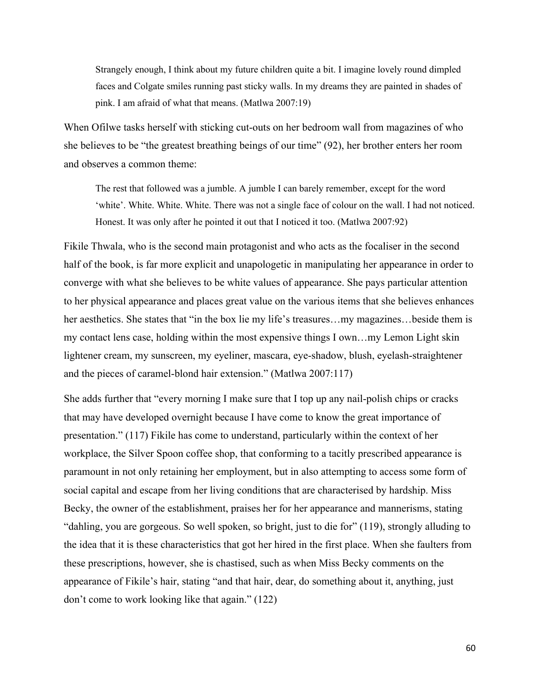Strangely enough, I think about my future children quite a bit. I imagine lovely round dimpled faces and Colgate smiles running past sticky walls. In my dreams they are painted in shades of pink. I am afraid of what that means. (Matlwa 2007:19)

When Ofilwe tasks herself with sticking cut-outs on her bedroom wall from magazines of who she believes to be "the greatest breathing beings of our time" (92), her brother enters her room and observes a common theme:

The rest that followed was a jumble. A jumble I can barely remember, except for the word 'white'. White. White. White. There was not a single face of colour on the wall. I had not noticed. Honest. It was only after he pointed it out that I noticed it too. (Matlwa 2007:92)

Fikile Thwala, who is the second main protagonist and who acts as the focaliser in the second half of the book, is far more explicit and unapologetic in manipulating her appearance in order to converge with what she believes to be white values of appearance. She pays particular attention to her physical appearance and places great value on the various items that she believes enhances her aesthetics. She states that "in the box lie my life's treasures...my magazines...beside them is my contact lens case, holding within the most expensive things I own…my Lemon Light skin lightener cream, my sunscreen, my eyeliner, mascara, eye-shadow, blush, eyelash-straightener and the pieces of caramel-blond hair extension." (Matlwa 2007:117)

She adds further that "every morning I make sure that I top up any nail-polish chips or cracks that may have developed overnight because I have come to know the great importance of presentation." (117) Fikile has come to understand, particularly within the context of her workplace, the Silver Spoon coffee shop, that conforming to a tacitly prescribed appearance is paramount in not only retaining her employment, but in also attempting to access some form of social capital and escape from her living conditions that are characterised by hardship. Miss Becky, the owner of the establishment, praises her for her appearance and mannerisms, stating "dahling, you are gorgeous. So well spoken, so bright, just to die for" (119), strongly alluding to the idea that it is these characteristics that got her hired in the first place. When she faulters from these prescriptions, however, she is chastised, such as when Miss Becky comments on the appearance of Fikile's hair, stating "and that hair, dear, do something about it, anything, just don't come to work looking like that again." (122)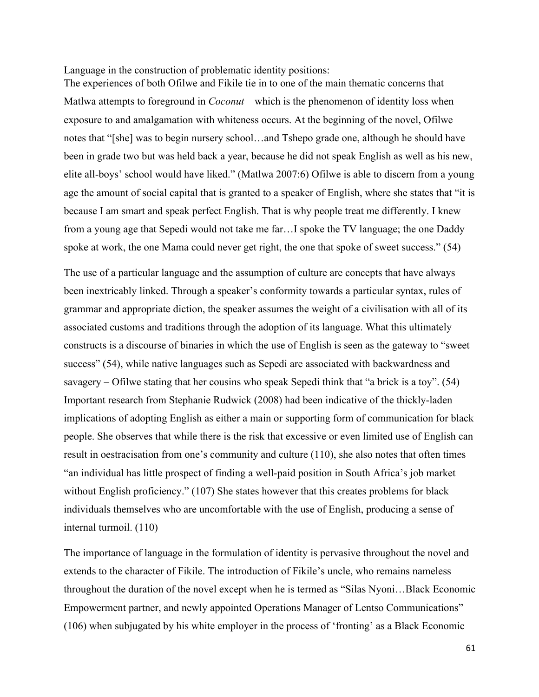#### Language in the construction of problematic identity positions:

The experiences of both Ofilwe and Fikile tie in to one of the main thematic concerns that Matlwa attempts to foreground in *Coconut* – which is the phenomenon of identity loss when exposure to and amalgamation with whiteness occurs. At the beginning of the novel, Ofilwe notes that "[she] was to begin nursery school…and Tshepo grade one, although he should have been in grade two but was held back a year, because he did not speak English as well as his new, elite all-boys' school would have liked." (Matlwa 2007:6) Ofilwe is able to discern from a young age the amount of social capital that is granted to a speaker of English, where she states that "it is because I am smart and speak perfect English. That is why people treat me differently. I knew from a young age that Sepedi would not take me far…I spoke the TV language; the one Daddy spoke at work, the one Mama could never get right, the one that spoke of sweet success." (54)

The use of a particular language and the assumption of culture are concepts that have always been inextricably linked. Through a speaker's conformity towards a particular syntax, rules of grammar and appropriate diction, the speaker assumes the weight of a civilisation with all of its associated customs and traditions through the adoption of its language. What this ultimately constructs is a discourse of binaries in which the use of English is seen as the gateway to "sweet success" (54), while native languages such as Sepedi are associated with backwardness and savagery – Ofilwe stating that her cousins who speak Sepedi think that "a brick is a toy". (54) Important research from Stephanie Rudwick (2008) had been indicative of the thickly-laden implications of adopting English as either a main or supporting form of communication for black people. She observes that while there is the risk that excessive or even limited use of English can result in oestracisation from one's community and culture (110), she also notes that often times "an individual has little prospect of finding a well-paid position in South Africa's job market without English proficiency." (107) She states however that this creates problems for black individuals themselves who are uncomfortable with the use of English, producing a sense of internal turmoil. (110)

The importance of language in the formulation of identity is pervasive throughout the novel and extends to the character of Fikile. The introduction of Fikile's uncle, who remains nameless throughout the duration of the novel except when he is termed as "Silas Nyoni…Black Economic Empowerment partner, and newly appointed Operations Manager of Lentso Communications" (106) when subjugated by his white employer in the process of 'fronting' as a Black Economic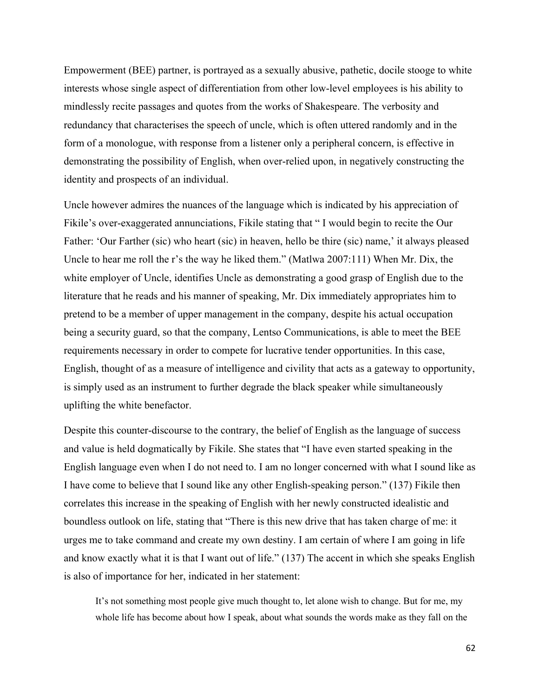Empowerment (BEE) partner, is portrayed as a sexually abusive, pathetic, docile stooge to white interests whose single aspect of differentiation from other low-level employees is his ability to mindlessly recite passages and quotes from the works of Shakespeare. The verbosity and redundancy that characterises the speech of uncle, which is often uttered randomly and in the form of a monologue, with response from a listener only a peripheral concern, is effective in demonstrating the possibility of English, when over-relied upon, in negatively constructing the identity and prospects of an individual.

Uncle however admires the nuances of the language which is indicated by his appreciation of Fikile's over-exaggerated annunciations, Fikile stating that " I would begin to recite the Our Father: 'Our Farther (sic) who heart (sic) in heaven, hello be thire (sic) name,' it always pleased Uncle to hear me roll the r's the way he liked them." (Matlwa 2007:111) When Mr. Dix, the white employer of Uncle, identifies Uncle as demonstrating a good grasp of English due to the literature that he reads and his manner of speaking, Mr. Dix immediately appropriates him to pretend to be a member of upper management in the company, despite his actual occupation being a security guard, so that the company, Lentso Communications, is able to meet the BEE requirements necessary in order to compete for lucrative tender opportunities. In this case, English, thought of as a measure of intelligence and civility that acts as a gateway to opportunity, is simply used as an instrument to further degrade the black speaker while simultaneously uplifting the white benefactor.

Despite this counter-discourse to the contrary, the belief of English as the language of success and value is held dogmatically by Fikile. She states that "I have even started speaking in the English language even when I do not need to. I am no longer concerned with what I sound like as I have come to believe that I sound like any other English-speaking person." (137) Fikile then correlates this increase in the speaking of English with her newly constructed idealistic and boundless outlook on life, stating that "There is this new drive that has taken charge of me: it urges me to take command and create my own destiny. I am certain of where I am going in life and know exactly what it is that I want out of life." (137) The accent in which she speaks English is also of importance for her, indicated in her statement:

It's not something most people give much thought to, let alone wish to change. But for me, my whole life has become about how I speak, about what sounds the words make as they fall on the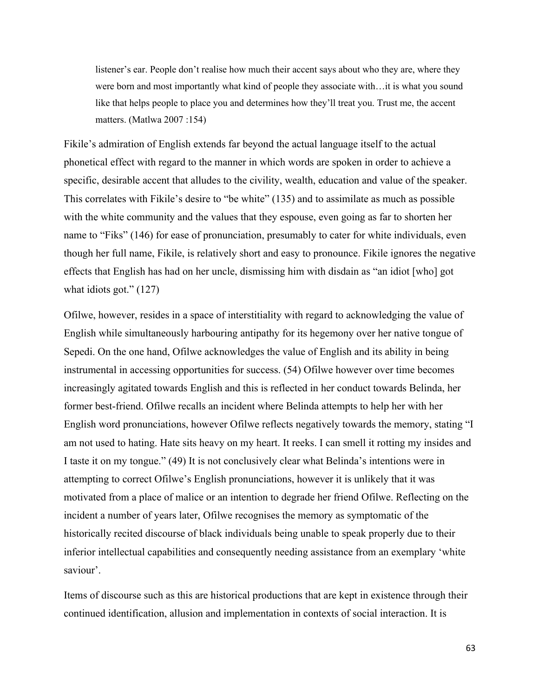listener's ear. People don't realise how much their accent says about who they are, where they were born and most importantly what kind of people they associate with…it is what you sound like that helps people to place you and determines how they'll treat you. Trust me, the accent matters. (Matlwa 2007 :154)

Fikile's admiration of English extends far beyond the actual language itself to the actual phonetical effect with regard to the manner in which words are spoken in order to achieve a specific, desirable accent that alludes to the civility, wealth, education and value of the speaker. This correlates with Fikile's desire to "be white" (135) and to assimilate as much as possible with the white community and the values that they espouse, even going as far to shorten her name to "Fiks" (146) for ease of pronunciation, presumably to cater for white individuals, even though her full name, Fikile, is relatively short and easy to pronounce. Fikile ignores the negative effects that English has had on her uncle, dismissing him with disdain as "an idiot [who] got what idiots got." (127)

Ofilwe, however, resides in a space of interstitiality with regard to acknowledging the value of English while simultaneously harbouring antipathy for its hegemony over her native tongue of Sepedi. On the one hand, Ofilwe acknowledges the value of English and its ability in being instrumental in accessing opportunities for success. (54) Ofilwe however over time becomes increasingly agitated towards English and this is reflected in her conduct towards Belinda, her former best-friend. Ofilwe recalls an incident where Belinda attempts to help her with her English word pronunciations, however Ofilwe reflects negatively towards the memory, stating "I am not used to hating. Hate sits heavy on my heart. It reeks. I can smell it rotting my insides and I taste it on my tongue." (49) It is not conclusively clear what Belinda's intentions were in attempting to correct Ofilwe's English pronunciations, however it is unlikely that it was motivated from a place of malice or an intention to degrade her friend Ofilwe. Reflecting on the incident a number of years later, Ofilwe recognises the memory as symptomatic of the historically recited discourse of black individuals being unable to speak properly due to their inferior intellectual capabilities and consequently needing assistance from an exemplary 'white saviour'.

Items of discourse such as this are historical productions that are kept in existence through their continued identification, allusion and implementation in contexts of social interaction. It is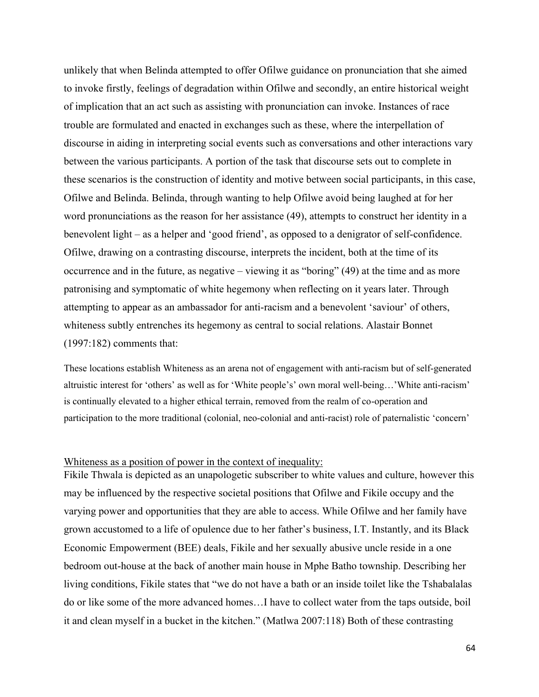unlikely that when Belinda attempted to offer Ofilwe guidance on pronunciation that she aimed to invoke firstly, feelings of degradation within Ofilwe and secondly, an entire historical weight of implication that an act such as assisting with pronunciation can invoke. Instances of race trouble are formulated and enacted in exchanges such as these, where the interpellation of discourse in aiding in interpreting social events such as conversations and other interactions vary between the various participants. A portion of the task that discourse sets out to complete in these scenarios is the construction of identity and motive between social participants, in this case, Ofilwe and Belinda. Belinda, through wanting to help Ofilwe avoid being laughed at for her word pronunciations as the reason for her assistance (49), attempts to construct her identity in a benevolent light – as a helper and 'good friend', as opposed to a denigrator of self-confidence. Ofilwe, drawing on a contrasting discourse, interprets the incident, both at the time of its occurrence and in the future, as negative – viewing it as "boring" (49) at the time and as more patronising and symptomatic of white hegemony when reflecting on it years later. Through attempting to appear as an ambassador for anti-racism and a benevolent 'saviour' of others, whiteness subtly entrenches its hegemony as central to social relations. Alastair Bonnet (1997:182) comments that:

These locations establish Whiteness as an arena not of engagement with anti-racism but of self-generated altruistic interest for 'others' as well as for 'White people's' own moral well-being…'White anti-racism' is continually elevated to a higher ethical terrain, removed from the realm of co-operation and participation to the more traditional (colonial, neo-colonial and anti-racist) role of paternalistic 'concern'

## Whiteness as a position of power in the context of inequality:

Fikile Thwala is depicted as an unapologetic subscriber to white values and culture, however this may be influenced by the respective societal positions that Ofilwe and Fikile occupy and the varying power and opportunities that they are able to access. While Ofilwe and her family have grown accustomed to a life of opulence due to her father's business, I.T. Instantly, and its Black Economic Empowerment (BEE) deals, Fikile and her sexually abusive uncle reside in a one bedroom out-house at the back of another main house in Mphe Batho township. Describing her living conditions, Fikile states that "we do not have a bath or an inside toilet like the Tshabalalas do or like some of the more advanced homes…I have to collect water from the taps outside, boil it and clean myself in a bucket in the kitchen." (Matlwa 2007:118) Both of these contrasting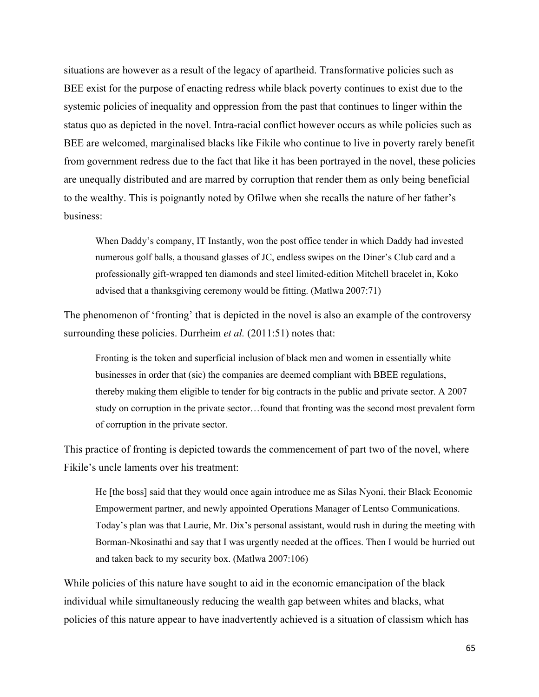situations are however as a result of the legacy of apartheid. Transformative policies such as BEE exist for the purpose of enacting redress while black poverty continues to exist due to the systemic policies of inequality and oppression from the past that continues to linger within the status quo as depicted in the novel. Intra-racial conflict however occurs as while policies such as BEE are welcomed, marginalised blacks like Fikile who continue to live in poverty rarely benefit from government redress due to the fact that like it has been portrayed in the novel, these policies are unequally distributed and are marred by corruption that render them as only being beneficial to the wealthy. This is poignantly noted by Ofilwe when she recalls the nature of her father's business:

When Daddy's company, IT Instantly, won the post office tender in which Daddy had invested numerous golf balls, a thousand glasses of JC, endless swipes on the Diner's Club card and a professionally gift-wrapped ten diamonds and steel limited-edition Mitchell bracelet in, Koko advised that a thanksgiving ceremony would be fitting. (Matlwa 2007:71)

The phenomenon of 'fronting' that is depicted in the novel is also an example of the controversy surrounding these policies. Durrheim *et al.* (2011:51) notes that:

Fronting is the token and superficial inclusion of black men and women in essentially white businesses in order that (sic) the companies are deemed compliant with BBEE regulations, thereby making them eligible to tender for big contracts in the public and private sector. A 2007 study on corruption in the private sector…found that fronting was the second most prevalent form of corruption in the private sector.

This practice of fronting is depicted towards the commencement of part two of the novel, where Fikile's uncle laments over his treatment:

He [the boss] said that they would once again introduce me as Silas Nyoni, their Black Economic Empowerment partner, and newly appointed Operations Manager of Lentso Communications. Today's plan was that Laurie, Mr. Dix's personal assistant, would rush in during the meeting with Borman-Nkosinathi and say that I was urgently needed at the offices. Then I would be hurried out and taken back to my security box. (Matlwa 2007:106)

While policies of this nature have sought to aid in the economic emancipation of the black individual while simultaneously reducing the wealth gap between whites and blacks, what policies of this nature appear to have inadvertently achieved is a situation of classism which has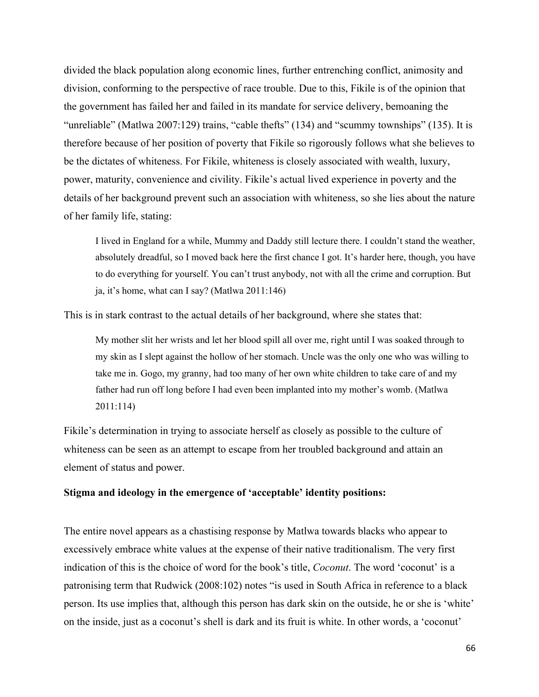divided the black population along economic lines, further entrenching conflict, animosity and division, conforming to the perspective of race trouble. Due to this, Fikile is of the opinion that the government has failed her and failed in its mandate for service delivery, bemoaning the "unreliable" (Matlwa 2007:129) trains, "cable thefts" (134) and "scummy townships" (135). It is therefore because of her position of poverty that Fikile so rigorously follows what she believes to be the dictates of whiteness. For Fikile, whiteness is closely associated with wealth, luxury, power, maturity, convenience and civility. Fikile's actual lived experience in poverty and the details of her background prevent such an association with whiteness, so she lies about the nature of her family life, stating:

I lived in England for a while, Mummy and Daddy still lecture there. I couldn't stand the weather, absolutely dreadful, so I moved back here the first chance I got. It's harder here, though, you have to do everything for yourself. You can't trust anybody, not with all the crime and corruption. But ja, it's home, what can I say? (Matlwa 2011:146)

This is in stark contrast to the actual details of her background, where she states that:

My mother slit her wrists and let her blood spill all over me, right until I was soaked through to my skin as I slept against the hollow of her stomach. Uncle was the only one who was willing to take me in. Gogo, my granny, had too many of her own white children to take care of and my father had run off long before I had even been implanted into my mother's womb. (Matlwa 2011:114)

Fikile's determination in trying to associate herself as closely as possible to the culture of whiteness can be seen as an attempt to escape from her troubled background and attain an element of status and power.

#### **Stigma and ideology in the emergence of 'acceptable' identity positions:**

The entire novel appears as a chastising response by Matlwa towards blacks who appear to excessively embrace white values at the expense of their native traditionalism. The very first indication of this is the choice of word for the book's title, *Coconut*. The word 'coconut' is a patronising term that Rudwick (2008:102) notes "is used in South Africa in reference to a black person. Its use implies that, although this person has dark skin on the outside, he or she is 'white' on the inside, just as a coconut's shell is dark and its fruit is white. In other words, a 'coconut'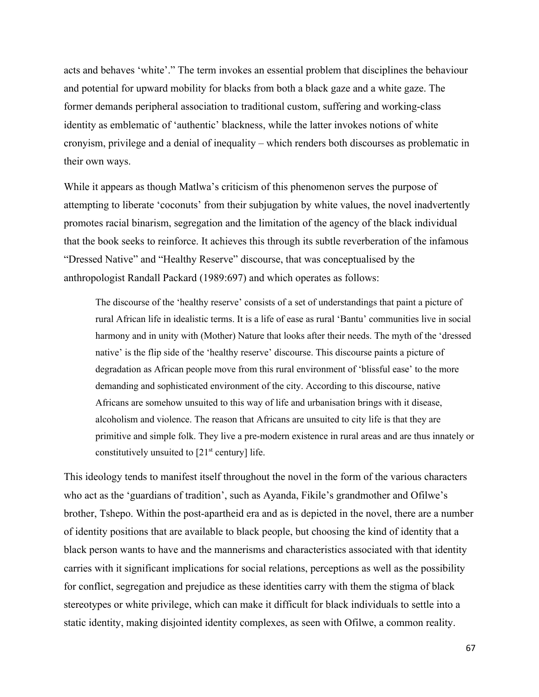acts and behaves 'white'." The term invokes an essential problem that disciplines the behaviour and potential for upward mobility for blacks from both a black gaze and a white gaze. The former demands peripheral association to traditional custom, suffering and working-class identity as emblematic of 'authentic' blackness, while the latter invokes notions of white cronyism, privilege and a denial of inequality – which renders both discourses as problematic in their own ways.

While it appears as though Matlwa's criticism of this phenomenon serves the purpose of attempting to liberate 'coconuts' from their subjugation by white values, the novel inadvertently promotes racial binarism, segregation and the limitation of the agency of the black individual that the book seeks to reinforce. It achieves this through its subtle reverberation of the infamous "Dressed Native" and "Healthy Reserve" discourse, that was conceptualised by the anthropologist Randall Packard (1989:697) and which operates as follows:

The discourse of the 'healthy reserve' consists of a set of understandings that paint a picture of rural African life in idealistic terms. It is a life of ease as rural 'Bantu' communities live in social harmony and in unity with (Mother) Nature that looks after their needs. The myth of the 'dressed native' is the flip side of the 'healthy reserve' discourse. This discourse paints a picture of degradation as African people move from this rural environment of 'blissful ease' to the more demanding and sophisticated environment of the city. According to this discourse, native Africans are somehow unsuited to this way of life and urbanisation brings with it disease, alcoholism and violence. The reason that Africans are unsuited to city life is that they are primitive and simple folk. They live a pre-modern existence in rural areas and are thus innately or constitutively unsuited to  $[21<sup>st</sup>$  century] life.

This ideology tends to manifest itself throughout the novel in the form of the various characters who act as the 'guardians of tradition', such as Ayanda, Fikile's grandmother and Ofilwe's brother, Tshepo. Within the post-apartheid era and as is depicted in the novel, there are a number of identity positions that are available to black people, but choosing the kind of identity that a black person wants to have and the mannerisms and characteristics associated with that identity carries with it significant implications for social relations, perceptions as well as the possibility for conflict, segregation and prejudice as these identities carry with them the stigma of black stereotypes or white privilege, which can make it difficult for black individuals to settle into a static identity, making disjointed identity complexes, as seen with Ofilwe, a common reality.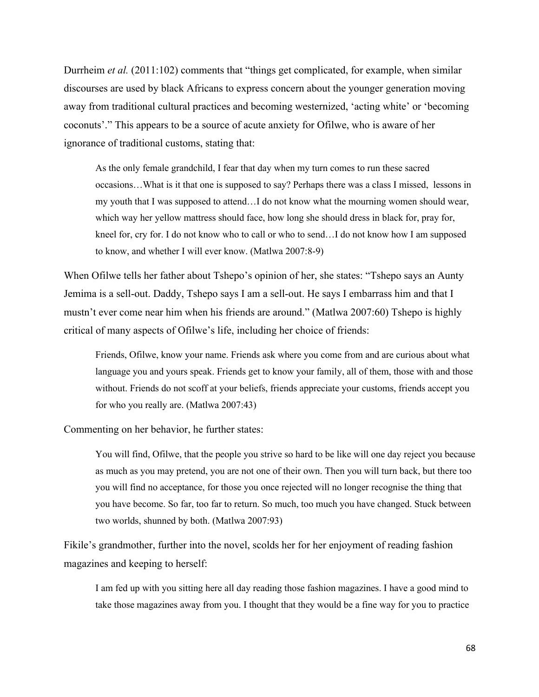Durrheim *et al.* (2011:102) comments that "things get complicated, for example, when similar discourses are used by black Africans to express concern about the younger generation moving away from traditional cultural practices and becoming westernized, 'acting white' or 'becoming coconuts'." This appears to be a source of acute anxiety for Ofilwe, who is aware of her ignorance of traditional customs, stating that:

As the only female grandchild, I fear that day when my turn comes to run these sacred occasions…What is it that one is supposed to say? Perhaps there was a class I missed, lessons in my youth that I was supposed to attend…I do not know what the mourning women should wear, which way her yellow mattress should face, how long she should dress in black for, pray for, kneel for, cry for. I do not know who to call or who to send…I do not know how I am supposed to know, and whether I will ever know. (Matlwa 2007:8-9)

When Ofilwe tells her father about Tshepo's opinion of her, she states: "Tshepo says an Aunty Jemima is a sell-out. Daddy, Tshepo says I am a sell-out. He says I embarrass him and that I mustn't ever come near him when his friends are around." (Matlwa 2007:60) Tshepo is highly critical of many aspects of Ofilwe's life, including her choice of friends:

Friends, Ofilwe, know your name. Friends ask where you come from and are curious about what language you and yours speak. Friends get to know your family, all of them, those with and those without. Friends do not scoff at your beliefs, friends appreciate your customs, friends accept you for who you really are. (Matlwa 2007:43)

Commenting on her behavior, he further states:

You will find, Ofilwe, that the people you strive so hard to be like will one day reject you because as much as you may pretend, you are not one of their own. Then you will turn back, but there too you will find no acceptance, for those you once rejected will no longer recognise the thing that you have become. So far, too far to return. So much, too much you have changed. Stuck between two worlds, shunned by both. (Matlwa 2007:93)

Fikile's grandmother, further into the novel, scolds her for her enjoyment of reading fashion magazines and keeping to herself:

I am fed up with you sitting here all day reading those fashion magazines. I have a good mind to take those magazines away from you. I thought that they would be a fine way for you to practice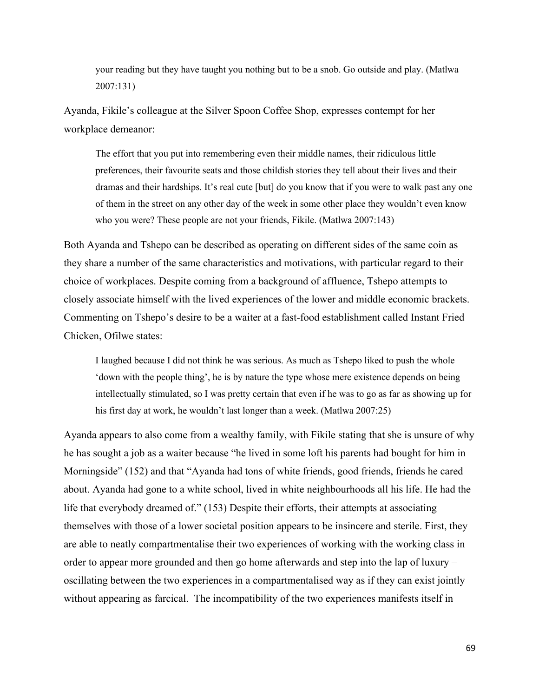your reading but they have taught you nothing but to be a snob. Go outside and play. (Matlwa 2007:131)

Ayanda, Fikile's colleague at the Silver Spoon Coffee Shop, expresses contempt for her workplace demeanor:

The effort that you put into remembering even their middle names, their ridiculous little preferences, their favourite seats and those childish stories they tell about their lives and their dramas and their hardships. It's real cute [but] do you know that if you were to walk past any one of them in the street on any other day of the week in some other place they wouldn't even know who you were? These people are not your friends, Fikile. (Matlwa 2007:143)

Both Ayanda and Tshepo can be described as operating on different sides of the same coin as they share a number of the same characteristics and motivations, with particular regard to their choice of workplaces. Despite coming from a background of affluence, Tshepo attempts to closely associate himself with the lived experiences of the lower and middle economic brackets. Commenting on Tshepo's desire to be a waiter at a fast-food establishment called Instant Fried Chicken, Ofilwe states:

I laughed because I did not think he was serious. As much as Tshepo liked to push the whole 'down with the people thing', he is by nature the type whose mere existence depends on being intellectually stimulated, so I was pretty certain that even if he was to go as far as showing up for his first day at work, he wouldn't last longer than a week. (Matlwa 2007:25)

Ayanda appears to also come from a wealthy family, with Fikile stating that she is unsure of why he has sought a job as a waiter because "he lived in some loft his parents had bought for him in Morningside" (152) and that "Ayanda had tons of white friends, good friends, friends he cared about. Ayanda had gone to a white school, lived in white neighbourhoods all his life. He had the life that everybody dreamed of." (153) Despite their efforts, their attempts at associating themselves with those of a lower societal position appears to be insincere and sterile. First, they are able to neatly compartmentalise their two experiences of working with the working class in order to appear more grounded and then go home afterwards and step into the lap of luxury – oscillating between the two experiences in a compartmentalised way as if they can exist jointly without appearing as farcical. The incompatibility of the two experiences manifests itself in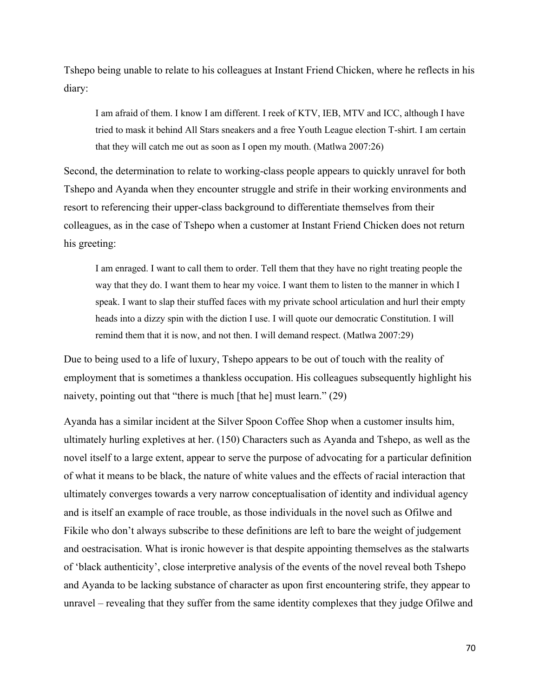Tshepo being unable to relate to his colleagues at Instant Friend Chicken, where he reflects in his diary:

I am afraid of them. I know I am different. I reek of KTV, IEB, MTV and ICC, although I have tried to mask it behind All Stars sneakers and a free Youth League election T-shirt. I am certain that they will catch me out as soon as I open my mouth. (Matlwa 2007:26)

Second, the determination to relate to working-class people appears to quickly unravel for both Tshepo and Ayanda when they encounter struggle and strife in their working environments and resort to referencing their upper-class background to differentiate themselves from their colleagues, as in the case of Tshepo when a customer at Instant Friend Chicken does not return his greeting:

I am enraged. I want to call them to order. Tell them that they have no right treating people the way that they do. I want them to hear my voice. I want them to listen to the manner in which I speak. I want to slap their stuffed faces with my private school articulation and hurl their empty heads into a dizzy spin with the diction I use. I will quote our democratic Constitution. I will remind them that it is now, and not then. I will demand respect. (Matlwa 2007:29)

Due to being used to a life of luxury, Tshepo appears to be out of touch with the reality of employment that is sometimes a thankless occupation. His colleagues subsequently highlight his naivety, pointing out that "there is much [that he] must learn." (29)

Ayanda has a similar incident at the Silver Spoon Coffee Shop when a customer insults him, ultimately hurling expletives at her. (150) Characters such as Ayanda and Tshepo, as well as the novel itself to a large extent, appear to serve the purpose of advocating for a particular definition of what it means to be black, the nature of white values and the effects of racial interaction that ultimately converges towards a very narrow conceptualisation of identity and individual agency and is itself an example of race trouble, as those individuals in the novel such as Ofilwe and Fikile who don't always subscribe to these definitions are left to bare the weight of judgement and oestracisation. What is ironic however is that despite appointing themselves as the stalwarts of 'black authenticity', close interpretive analysis of the events of the novel reveal both Tshepo and Ayanda to be lacking substance of character as upon first encountering strife, they appear to unravel – revealing that they suffer from the same identity complexes that they judge Ofilwe and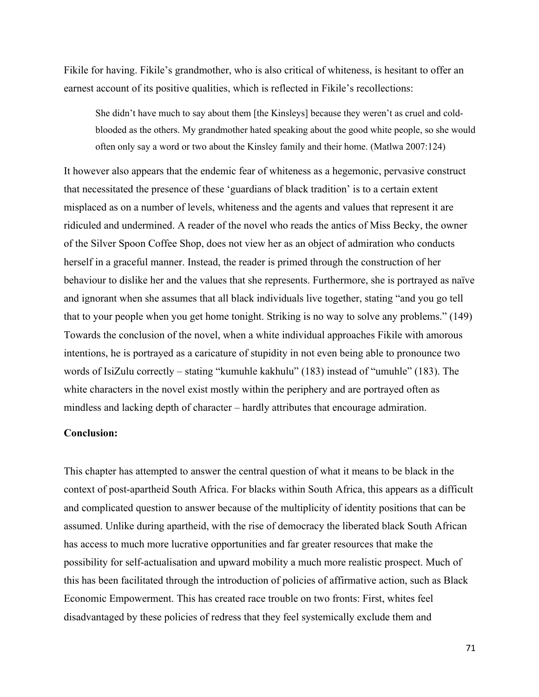Fikile for having. Fikile's grandmother, who is also critical of whiteness, is hesitant to offer an earnest account of its positive qualities, which is reflected in Fikile's recollections:

She didn't have much to say about them [the Kinsleys] because they weren't as cruel and coldblooded as the others. My grandmother hated speaking about the good white people, so she would often only say a word or two about the Kinsley family and their home. (Matlwa 2007:124)

It however also appears that the endemic fear of whiteness as a hegemonic, pervasive construct that necessitated the presence of these 'guardians of black tradition' is to a certain extent misplaced as on a number of levels, whiteness and the agents and values that represent it are ridiculed and undermined. A reader of the novel who reads the antics of Miss Becky, the owner of the Silver Spoon Coffee Shop, does not view her as an object of admiration who conducts herself in a graceful manner. Instead, the reader is primed through the construction of her behaviour to dislike her and the values that she represents. Furthermore, she is portrayed as naïve and ignorant when she assumes that all black individuals live together, stating "and you go tell that to your people when you get home tonight. Striking is no way to solve any problems." (149) Towards the conclusion of the novel, when a white individual approaches Fikile with amorous intentions, he is portrayed as a caricature of stupidity in not even being able to pronounce two words of IsiZulu correctly – stating "kumuhle kakhulu" (183) instead of "umuhle" (183). The white characters in the novel exist mostly within the periphery and are portrayed often as mindless and lacking depth of character – hardly attributes that encourage admiration.

# **Conclusion:**

This chapter has attempted to answer the central question of what it means to be black in the context of post-apartheid South Africa. For blacks within South Africa, this appears as a difficult and complicated question to answer because of the multiplicity of identity positions that can be assumed. Unlike during apartheid, with the rise of democracy the liberated black South African has access to much more lucrative opportunities and far greater resources that make the possibility for self-actualisation and upward mobility a much more realistic prospect. Much of this has been facilitated through the introduction of policies of affirmative action, such as Black Economic Empowerment. This has created race trouble on two fronts: First, whites feel disadvantaged by these policies of redress that they feel systemically exclude them and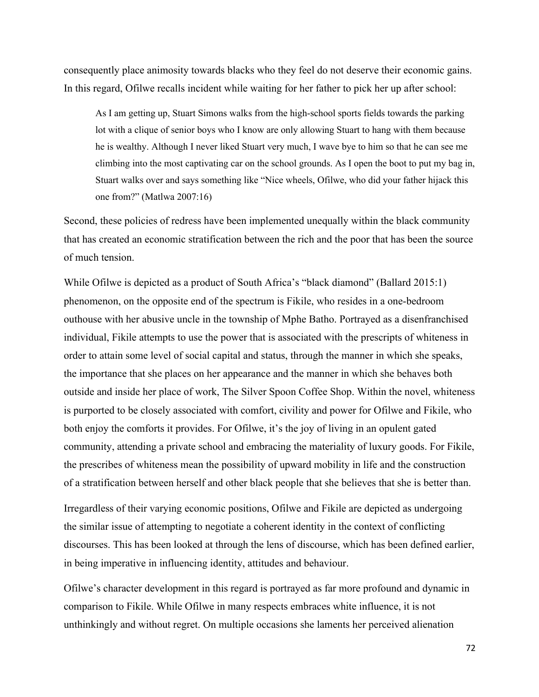consequently place animosity towards blacks who they feel do not deserve their economic gains. In this regard, Ofilwe recalls incident while waiting for her father to pick her up after school:

As I am getting up, Stuart Simons walks from the high-school sports fields towards the parking lot with a clique of senior boys who I know are only allowing Stuart to hang with them because he is wealthy. Although I never liked Stuart very much, I wave bye to him so that he can see me climbing into the most captivating car on the school grounds. As I open the boot to put my bag in, Stuart walks over and says something like "Nice wheels, Ofilwe, who did your father hijack this one from?" (Matlwa 2007:16)

Second, these policies of redress have been implemented unequally within the black community that has created an economic stratification between the rich and the poor that has been the source of much tension.

While Ofilwe is depicted as a product of South Africa's "black diamond" (Ballard 2015:1) phenomenon, on the opposite end of the spectrum is Fikile, who resides in a one-bedroom outhouse with her abusive uncle in the township of Mphe Batho. Portrayed as a disenfranchised individual, Fikile attempts to use the power that is associated with the prescripts of whiteness in order to attain some level of social capital and status, through the manner in which she speaks, the importance that she places on her appearance and the manner in which she behaves both outside and inside her place of work, The Silver Spoon Coffee Shop. Within the novel, whiteness is purported to be closely associated with comfort, civility and power for Ofilwe and Fikile, who both enjoy the comforts it provides. For Ofilwe, it's the joy of living in an opulent gated community, attending a private school and embracing the materiality of luxury goods. For Fikile, the prescribes of whiteness mean the possibility of upward mobility in life and the construction of a stratification between herself and other black people that she believes that she is better than.

Irregardless of their varying economic positions, Ofilwe and Fikile are depicted as undergoing the similar issue of attempting to negotiate a coherent identity in the context of conflicting discourses. This has been looked at through the lens of discourse, which has been defined earlier, in being imperative in influencing identity, attitudes and behaviour.

Ofilwe's character development in this regard is portrayed as far more profound and dynamic in comparison to Fikile. While Ofilwe in many respects embraces white influence, it is not unthinkingly and without regret. On multiple occasions she laments her perceived alienation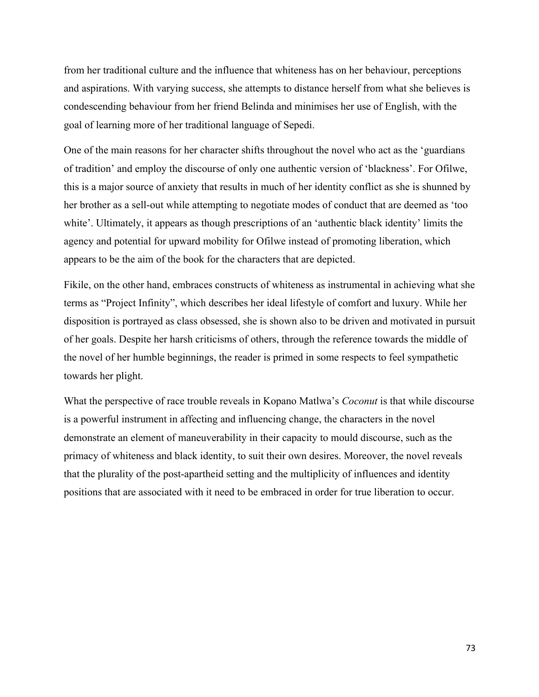from her traditional culture and the influence that whiteness has on her behaviour, perceptions and aspirations. With varying success, she attempts to distance herself from what she believes is condescending behaviour from her friend Belinda and minimises her use of English, with the goal of learning more of her traditional language of Sepedi.

One of the main reasons for her character shifts throughout the novel who act as the 'guardians of tradition' and employ the discourse of only one authentic version of 'blackness'. For Ofilwe, this is a major source of anxiety that results in much of her identity conflict as she is shunned by her brother as a sell-out while attempting to negotiate modes of conduct that are deemed as 'too white'. Ultimately, it appears as though prescriptions of an 'authentic black identity' limits the agency and potential for upward mobility for Ofilwe instead of promoting liberation, which appears to be the aim of the book for the characters that are depicted.

Fikile, on the other hand, embraces constructs of whiteness as instrumental in achieving what she terms as "Project Infinity", which describes her ideal lifestyle of comfort and luxury. While her disposition is portrayed as class obsessed, she is shown also to be driven and motivated in pursuit of her goals. Despite her harsh criticisms of others, through the reference towards the middle of the novel of her humble beginnings, the reader is primed in some respects to feel sympathetic towards her plight.

What the perspective of race trouble reveals in Kopano Matlwa's *Coconut* is that while discourse is a powerful instrument in affecting and influencing change, the characters in the novel demonstrate an element of maneuverability in their capacity to mould discourse, such as the primacy of whiteness and black identity, to suit their own desires. Moreover, the novel reveals that the plurality of the post-apartheid setting and the multiplicity of influences and identity positions that are associated with it need to be embraced in order for true liberation to occur.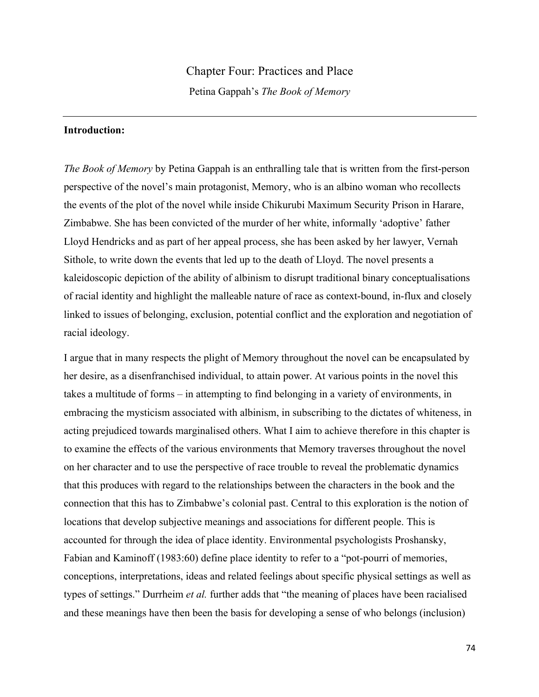## Chapter Four: Practices and Place

Petina Gappah's *The Book of Memory*

## **Introduction:**

*The Book of Memory* by Petina Gappah is an enthralling tale that is written from the first-person perspective of the novel's main protagonist, Memory, who is an albino woman who recollects the events of the plot of the novel while inside Chikurubi Maximum Security Prison in Harare, Zimbabwe. She has been convicted of the murder of her white, informally 'adoptive' father Lloyd Hendricks and as part of her appeal process, she has been asked by her lawyer, Vernah Sithole, to write down the events that led up to the death of Lloyd. The novel presents a kaleidoscopic depiction of the ability of albinism to disrupt traditional binary conceptualisations of racial identity and highlight the malleable nature of race as context-bound, in-flux and closely linked to issues of belonging, exclusion, potential conflict and the exploration and negotiation of racial ideology.

I argue that in many respects the plight of Memory throughout the novel can be encapsulated by her desire, as a disenfranchised individual, to attain power. At various points in the novel this takes a multitude of forms – in attempting to find belonging in a variety of environments, in embracing the mysticism associated with albinism, in subscribing to the dictates of whiteness, in acting prejudiced towards marginalised others. What I aim to achieve therefore in this chapter is to examine the effects of the various environments that Memory traverses throughout the novel on her character and to use the perspective of race trouble to reveal the problematic dynamics that this produces with regard to the relationships between the characters in the book and the connection that this has to Zimbabwe's colonial past. Central to this exploration is the notion of locations that develop subjective meanings and associations for different people. This is accounted for through the idea of place identity. Environmental psychologists Proshansky, Fabian and Kaminoff (1983:60) define place identity to refer to a "pot-pourri of memories, conceptions, interpretations, ideas and related feelings about specific physical settings as well as types of settings." Durrheim *et al.* further adds that "the meaning of places have been racialised and these meanings have then been the basis for developing a sense of who belongs (inclusion)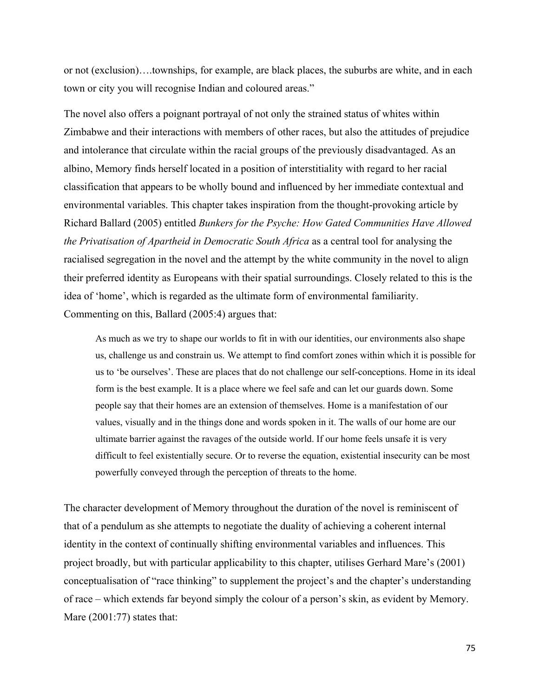or not (exclusion)….townships, for example, are black places, the suburbs are white, and in each town or city you will recognise Indian and coloured areas."

The novel also offers a poignant portrayal of not only the strained status of whites within Zimbabwe and their interactions with members of other races, but also the attitudes of prejudice and intolerance that circulate within the racial groups of the previously disadvantaged. As an albino, Memory finds herself located in a position of interstitiality with regard to her racial classification that appears to be wholly bound and influenced by her immediate contextual and environmental variables. This chapter takes inspiration from the thought-provoking article by Richard Ballard (2005) entitled *Bunkers for the Psyche: How Gated Communities Have Allowed the Privatisation of Apartheid in Democratic South Africa* as a central tool for analysing the racialised segregation in the novel and the attempt by the white community in the novel to align their preferred identity as Europeans with their spatial surroundings. Closely related to this is the idea of 'home', which is regarded as the ultimate form of environmental familiarity. Commenting on this, Ballard (2005:4) argues that:

As much as we try to shape our worlds to fit in with our identities, our environments also shape us, challenge us and constrain us. We attempt to find comfort zones within which it is possible for us to 'be ourselves'. These are places that do not challenge our self-conceptions. Home in its ideal form is the best example. It is a place where we feel safe and can let our guards down. Some people say that their homes are an extension of themselves. Home is a manifestation of our values, visually and in the things done and words spoken in it. The walls of our home are our ultimate barrier against the ravages of the outside world. If our home feels unsafe it is very difficult to feel existentially secure. Or to reverse the equation, existential insecurity can be most powerfully conveyed through the perception of threats to the home.

The character development of Memory throughout the duration of the novel is reminiscent of that of a pendulum as she attempts to negotiate the duality of achieving a coherent internal identity in the context of continually shifting environmental variables and influences. This project broadly, but with particular applicability to this chapter, utilises Gerhard Mare's (2001) conceptualisation of "race thinking" to supplement the project's and the chapter's understanding of race – which extends far beyond simply the colour of a person's skin, as evident by Memory. Mare (2001:77) states that: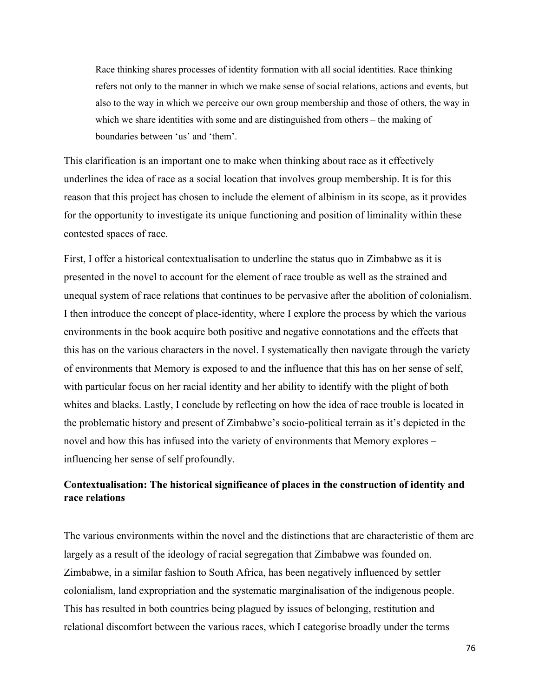Race thinking shares processes of identity formation with all social identities. Race thinking refers not only to the manner in which we make sense of social relations, actions and events, but also to the way in which we perceive our own group membership and those of others, the way in which we share identities with some and are distinguished from others – the making of boundaries between 'us' and 'them'.

This clarification is an important one to make when thinking about race as it effectively underlines the idea of race as a social location that involves group membership. It is for this reason that this project has chosen to include the element of albinism in its scope, as it provides for the opportunity to investigate its unique functioning and position of liminality within these contested spaces of race.

First, I offer a historical contextualisation to underline the status quo in Zimbabwe as it is presented in the novel to account for the element of race trouble as well as the strained and unequal system of race relations that continues to be pervasive after the abolition of colonialism. I then introduce the concept of place-identity, where I explore the process by which the various environments in the book acquire both positive and negative connotations and the effects that this has on the various characters in the novel. I systematically then navigate through the variety of environments that Memory is exposed to and the influence that this has on her sense of self, with particular focus on her racial identity and her ability to identify with the plight of both whites and blacks. Lastly, I conclude by reflecting on how the idea of race trouble is located in the problematic history and present of Zimbabwe's socio-political terrain as it's depicted in the novel and how this has infused into the variety of environments that Memory explores – influencing her sense of self profoundly.

# **Contextualisation: The historical significance of places in the construction of identity and race relations**

The various environments within the novel and the distinctions that are characteristic of them are largely as a result of the ideology of racial segregation that Zimbabwe was founded on. Zimbabwe, in a similar fashion to South Africa, has been negatively influenced by settler colonialism, land expropriation and the systematic marginalisation of the indigenous people. This has resulted in both countries being plagued by issues of belonging, restitution and relational discomfort between the various races, which I categorise broadly under the terms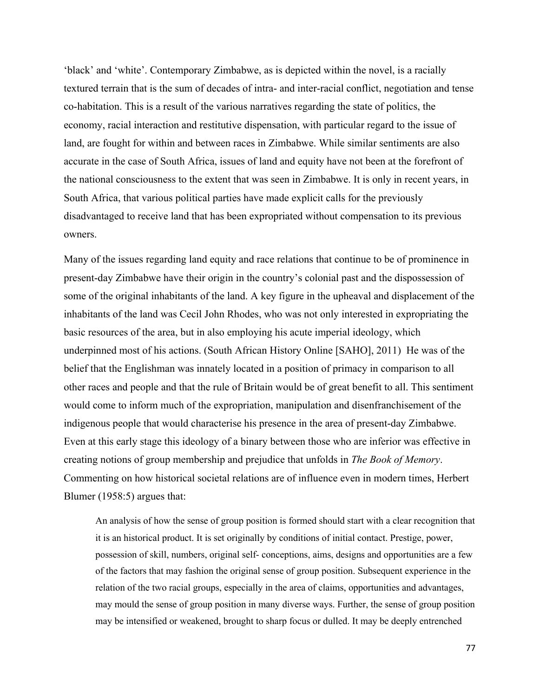'black' and 'white'. Contemporary Zimbabwe, as is depicted within the novel, is a racially textured terrain that is the sum of decades of intra- and inter-racial conflict, negotiation and tense co-habitation. This is a result of the various narratives regarding the state of politics, the economy, racial interaction and restitutive dispensation, with particular regard to the issue of land, are fought for within and between races in Zimbabwe. While similar sentiments are also accurate in the case of South Africa, issues of land and equity have not been at the forefront of the national consciousness to the extent that was seen in Zimbabwe. It is only in recent years, in South Africa, that various political parties have made explicit calls for the previously disadvantaged to receive land that has been expropriated without compensation to its previous owners.

Many of the issues regarding land equity and race relations that continue to be of prominence in present-day Zimbabwe have their origin in the country's colonial past and the dispossession of some of the original inhabitants of the land. A key figure in the upheaval and displacement of the inhabitants of the land was Cecil John Rhodes, who was not only interested in expropriating the basic resources of the area, but in also employing his acute imperial ideology, which underpinned most of his actions. (South African History Online [SAHO], 2011) He was of the belief that the Englishman was innately located in a position of primacy in comparison to all other races and people and that the rule of Britain would be of great benefit to all. This sentiment would come to inform much of the expropriation, manipulation and disenfranchisement of the indigenous people that would characterise his presence in the area of present-day Zimbabwe. Even at this early stage this ideology of a binary between those who are inferior was effective in creating notions of group membership and prejudice that unfolds in *The Book of Memory*. Commenting on how historical societal relations are of influence even in modern times, Herbert Blumer (1958:5) argues that:

An analysis of how the sense of group position is formed should start with a clear recognition that it is an historical product. It is set originally by conditions of initial contact. Prestige, power, possession of skill, numbers, original self- conceptions, aims, designs and opportunities are a few of the factors that may fashion the original sense of group position. Subsequent experience in the relation of the two racial groups, especially in the area of claims, opportunities and advantages, may mould the sense of group position in many diverse ways. Further, the sense of group position may be intensified or weakened, brought to sharp focus or dulled. It may be deeply entrenched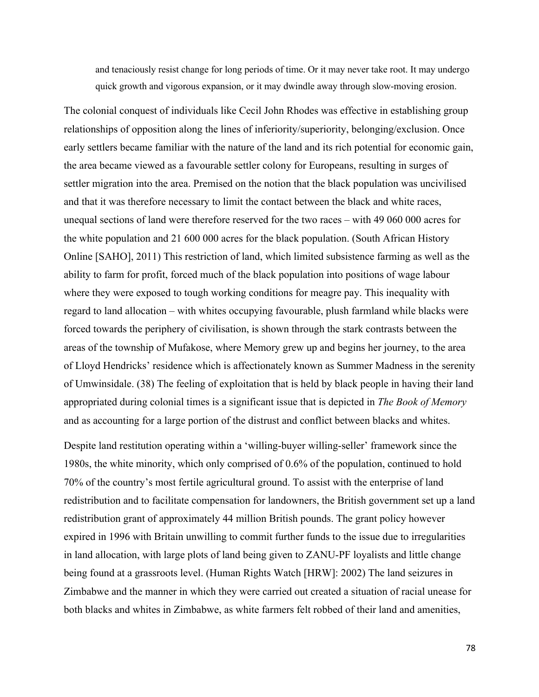and tenaciously resist change for long periods of time. Or it may never take root. It may undergo quick growth and vigorous expansion, or it may dwindle away through slow-moving erosion.

The colonial conquest of individuals like Cecil John Rhodes was effective in establishing group relationships of opposition along the lines of inferiority/superiority, belonging/exclusion. Once early settlers became familiar with the nature of the land and its rich potential for economic gain, the area became viewed as a favourable settler colony for Europeans, resulting in surges of settler migration into the area. Premised on the notion that the black population was uncivilised and that it was therefore necessary to limit the contact between the black and white races, unequal sections of land were therefore reserved for the two races – with 49 060 000 acres for the white population and 21 600 000 acres for the black population. (South African History Online [SAHO], 2011) This restriction of land, which limited subsistence farming as well as the ability to farm for profit, forced much of the black population into positions of wage labour where they were exposed to tough working conditions for meagre pay. This inequality with regard to land allocation – with whites occupying favourable, plush farmland while blacks were forced towards the periphery of civilisation, is shown through the stark contrasts between the areas of the township of Mufakose, where Memory grew up and begins her journey, to the area of Lloyd Hendricks' residence which is affectionately known as Summer Madness in the serenity of Umwinsidale. (38) The feeling of exploitation that is held by black people in having their land appropriated during colonial times is a significant issue that is depicted in *The Book of Memory*  and as accounting for a large portion of the distrust and conflict between blacks and whites.

Despite land restitution operating within a 'willing-buyer willing-seller' framework since the 1980s, the white minority, which only comprised of 0.6% of the population, continued to hold 70% of the country's most fertile agricultural ground. To assist with the enterprise of land redistribution and to facilitate compensation for landowners, the British government set up a land redistribution grant of approximately 44 million British pounds. The grant policy however expired in 1996 with Britain unwilling to commit further funds to the issue due to irregularities in land allocation, with large plots of land being given to ZANU-PF loyalists and little change being found at a grassroots level. (Human Rights Watch [HRW]: 2002) The land seizures in Zimbabwe and the manner in which they were carried out created a situation of racial unease for both blacks and whites in Zimbabwe, as white farmers felt robbed of their land and amenities,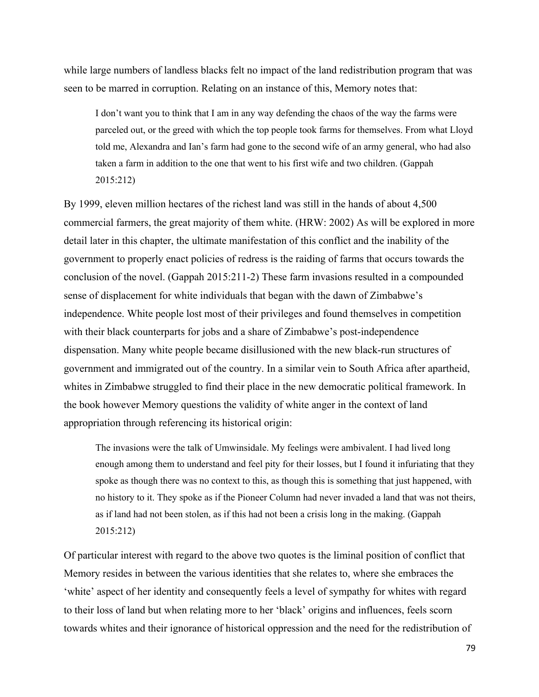while large numbers of landless blacks felt no impact of the land redistribution program that was seen to be marred in corruption. Relating on an instance of this, Memory notes that:

I don't want you to think that I am in any way defending the chaos of the way the farms were parceled out, or the greed with which the top people took farms for themselves. From what Lloyd told me, Alexandra and Ian's farm had gone to the second wife of an army general, who had also taken a farm in addition to the one that went to his first wife and two children. (Gappah 2015:212)

By 1999, eleven million hectares of the richest land was still in the hands of about 4,500 commercial farmers, the great majority of them white. (HRW: 2002) As will be explored in more detail later in this chapter, the ultimate manifestation of this conflict and the inability of the government to properly enact policies of redress is the raiding of farms that occurs towards the conclusion of the novel. (Gappah 2015:211-2) These farm invasions resulted in a compounded sense of displacement for white individuals that began with the dawn of Zimbabwe's independence. White people lost most of their privileges and found themselves in competition with their black counterparts for jobs and a share of Zimbabwe's post-independence dispensation. Many white people became disillusioned with the new black-run structures of government and immigrated out of the country. In a similar vein to South Africa after apartheid, whites in Zimbabwe struggled to find their place in the new democratic political framework. In the book however Memory questions the validity of white anger in the context of land appropriation through referencing its historical origin:

The invasions were the talk of Umwinsidale. My feelings were ambivalent. I had lived long enough among them to understand and feel pity for their losses, but I found it infuriating that they spoke as though there was no context to this, as though this is something that just happened, with no history to it. They spoke as if the Pioneer Column had never invaded a land that was not theirs, as if land had not been stolen, as if this had not been a crisis long in the making. (Gappah 2015:212)

Of particular interest with regard to the above two quotes is the liminal position of conflict that Memory resides in between the various identities that she relates to, where she embraces the 'white' aspect of her identity and consequently feels a level of sympathy for whites with regard to their loss of land but when relating more to her 'black' origins and influences, feels scorn towards whites and their ignorance of historical oppression and the need for the redistribution of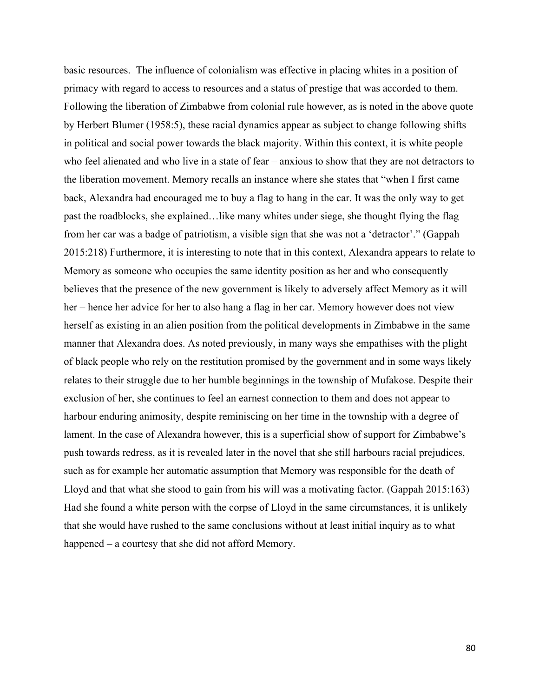basic resources. The influence of colonialism was effective in placing whites in a position of primacy with regard to access to resources and a status of prestige that was accorded to them. Following the liberation of Zimbabwe from colonial rule however, as is noted in the above quote by Herbert Blumer (1958:5), these racial dynamics appear as subject to change following shifts in political and social power towards the black majority. Within this context, it is white people who feel alienated and who live in a state of fear – anxious to show that they are not detractors to the liberation movement. Memory recalls an instance where she states that "when I first came back, Alexandra had encouraged me to buy a flag to hang in the car. It was the only way to get past the roadblocks, she explained…like many whites under siege, she thought flying the flag from her car was a badge of patriotism, a visible sign that she was not a 'detractor'." (Gappah 2015:218) Furthermore, it is interesting to note that in this context, Alexandra appears to relate to Memory as someone who occupies the same identity position as her and who consequently believes that the presence of the new government is likely to adversely affect Memory as it will her – hence her advice for her to also hang a flag in her car. Memory however does not view herself as existing in an alien position from the political developments in Zimbabwe in the same manner that Alexandra does. As noted previously, in many ways she empathises with the plight of black people who rely on the restitution promised by the government and in some ways likely relates to their struggle due to her humble beginnings in the township of Mufakose. Despite their exclusion of her, she continues to feel an earnest connection to them and does not appear to harbour enduring animosity, despite reminiscing on her time in the township with a degree of lament. In the case of Alexandra however, this is a superficial show of support for Zimbabwe's push towards redress, as it is revealed later in the novel that she still harbours racial prejudices, such as for example her automatic assumption that Memory was responsible for the death of Lloyd and that what she stood to gain from his will was a motivating factor. (Gappah 2015:163) Had she found a white person with the corpse of Lloyd in the same circumstances, it is unlikely that she would have rushed to the same conclusions without at least initial inquiry as to what happened – a courtesy that she did not afford Memory.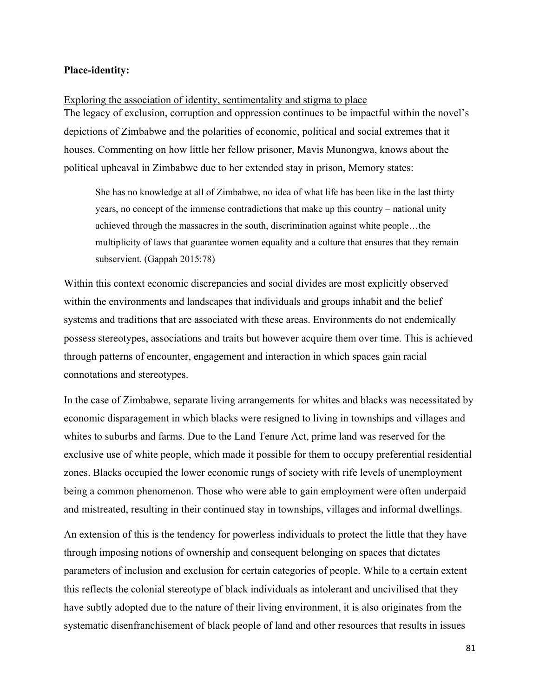## **Place-identity:**

Exploring the association of identity, sentimentality and stigma to place The legacy of exclusion, corruption and oppression continues to be impactful within the novel's depictions of Zimbabwe and the polarities of economic, political and social extremes that it houses. Commenting on how little her fellow prisoner, Mavis Munongwa, knows about the political upheaval in Zimbabwe due to her extended stay in prison, Memory states:

She has no knowledge at all of Zimbabwe, no idea of what life has been like in the last thirty years, no concept of the immense contradictions that make up this country – national unity achieved through the massacres in the south, discrimination against white people…the multiplicity of laws that guarantee women equality and a culture that ensures that they remain subservient. (Gappah 2015:78)

Within this context economic discrepancies and social divides are most explicitly observed within the environments and landscapes that individuals and groups inhabit and the belief systems and traditions that are associated with these areas. Environments do not endemically possess stereotypes, associations and traits but however acquire them over time. This is achieved through patterns of encounter, engagement and interaction in which spaces gain racial connotations and stereotypes.

In the case of Zimbabwe, separate living arrangements for whites and blacks was necessitated by economic disparagement in which blacks were resigned to living in townships and villages and whites to suburbs and farms. Due to the Land Tenure Act, prime land was reserved for the exclusive use of white people, which made it possible for them to occupy preferential residential zones. Blacks occupied the lower economic rungs of society with rife levels of unemployment being a common phenomenon. Those who were able to gain employment were often underpaid and mistreated, resulting in their continued stay in townships, villages and informal dwellings.

An extension of this is the tendency for powerless individuals to protect the little that they have through imposing notions of ownership and consequent belonging on spaces that dictates parameters of inclusion and exclusion for certain categories of people. While to a certain extent this reflects the colonial stereotype of black individuals as intolerant and uncivilised that they have subtly adopted due to the nature of their living environment, it is also originates from the systematic disenfranchisement of black people of land and other resources that results in issues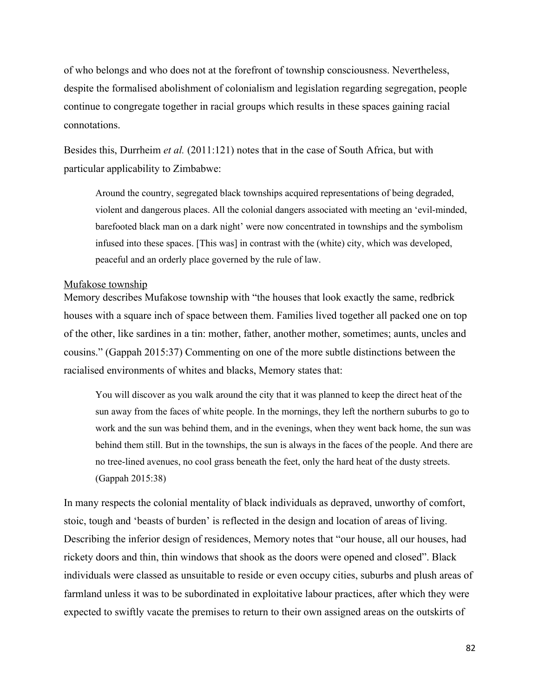of who belongs and who does not at the forefront of township consciousness. Nevertheless, despite the formalised abolishment of colonialism and legislation regarding segregation, people continue to congregate together in racial groups which results in these spaces gaining racial connotations.

Besides this, Durrheim *et al.* (2011:121) notes that in the case of South Africa, but with particular applicability to Zimbabwe:

Around the country, segregated black townships acquired representations of being degraded, violent and dangerous places. All the colonial dangers associated with meeting an 'evil-minded, barefooted black man on a dark night' were now concentrated in townships and the symbolism infused into these spaces. [This was] in contrast with the (white) city, which was developed, peaceful and an orderly place governed by the rule of law.

#### Mufakose township

Memory describes Mufakose township with "the houses that look exactly the same, redbrick houses with a square inch of space between them. Families lived together all packed one on top of the other, like sardines in a tin: mother, father, another mother, sometimes; aunts, uncles and cousins." (Gappah 2015:37) Commenting on one of the more subtle distinctions between the racialised environments of whites and blacks, Memory states that:

You will discover as you walk around the city that it was planned to keep the direct heat of the sun away from the faces of white people. In the mornings, they left the northern suburbs to go to work and the sun was behind them, and in the evenings, when they went back home, the sun was behind them still. But in the townships, the sun is always in the faces of the people. And there are no tree-lined avenues, no cool grass beneath the feet, only the hard heat of the dusty streets. (Gappah 2015:38)

In many respects the colonial mentality of black individuals as depraved, unworthy of comfort, stoic, tough and 'beasts of burden' is reflected in the design and location of areas of living. Describing the inferior design of residences, Memory notes that "our house, all our houses, had rickety doors and thin, thin windows that shook as the doors were opened and closed". Black individuals were classed as unsuitable to reside or even occupy cities, suburbs and plush areas of farmland unless it was to be subordinated in exploitative labour practices, after which they were expected to swiftly vacate the premises to return to their own assigned areas on the outskirts of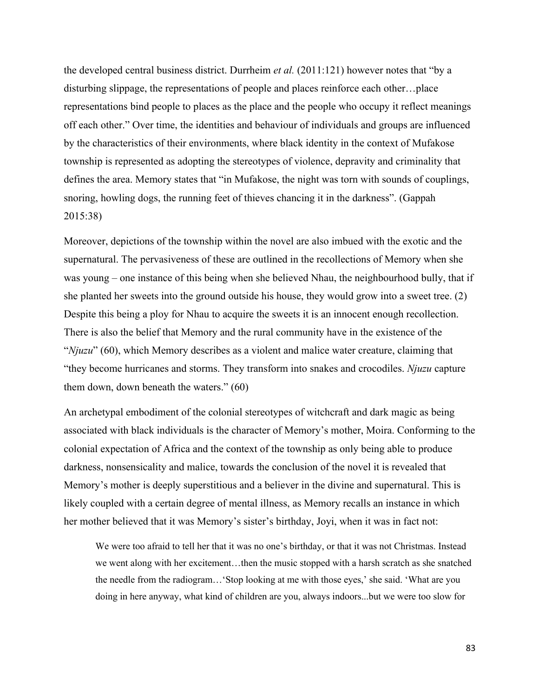the developed central business district. Durrheim *et al.* (2011:121) however notes that "by a disturbing slippage, the representations of people and places reinforce each other…place representations bind people to places as the place and the people who occupy it reflect meanings off each other." Over time, the identities and behaviour of individuals and groups are influenced by the characteristics of their environments, where black identity in the context of Mufakose township is represented as adopting the stereotypes of violence, depravity and criminality that defines the area. Memory states that "in Mufakose, the night was torn with sounds of couplings, snoring, howling dogs, the running feet of thieves chancing it in the darkness". (Gappah 2015:38)

Moreover, depictions of the township within the novel are also imbued with the exotic and the supernatural. The pervasiveness of these are outlined in the recollections of Memory when she was young – one instance of this being when she believed Nhau, the neighbourhood bully, that if she planted her sweets into the ground outside his house, they would grow into a sweet tree. (2) Despite this being a ploy for Nhau to acquire the sweets it is an innocent enough recollection. There is also the belief that Memory and the rural community have in the existence of the "*Njuzu*" (60), which Memory describes as a violent and malice water creature, claiming that "they become hurricanes and storms. They transform into snakes and crocodiles. *Njuzu* capture them down, down beneath the waters." (60)

An archetypal embodiment of the colonial stereotypes of witchcraft and dark magic as being associated with black individuals is the character of Memory's mother, Moira. Conforming to the colonial expectation of Africa and the context of the township as only being able to produce darkness, nonsensicality and malice, towards the conclusion of the novel it is revealed that Memory's mother is deeply superstitious and a believer in the divine and supernatural. This is likely coupled with a certain degree of mental illness, as Memory recalls an instance in which her mother believed that it was Memory's sister's birthday, Joyi, when it was in fact not:

We were too afraid to tell her that it was no one's birthday, or that it was not Christmas. Instead we went along with her excitement…then the music stopped with a harsh scratch as she snatched the needle from the radiogram…'Stop looking at me with those eyes,' she said. 'What are you doing in here anyway, what kind of children are you, always indoors...but we were too slow for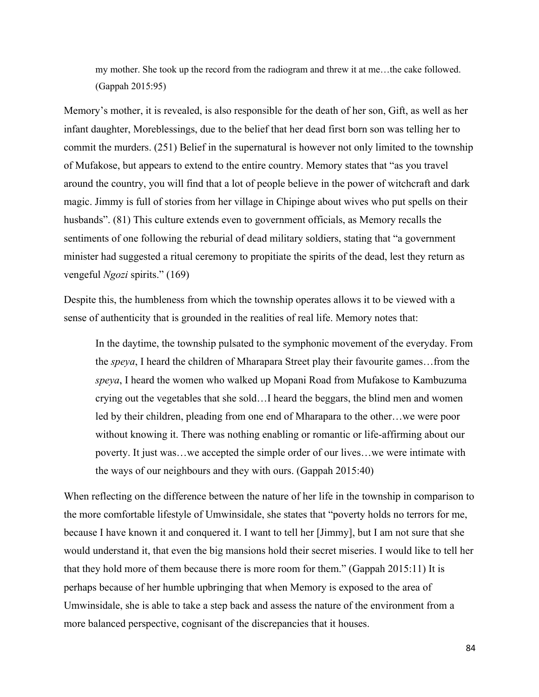my mother. She took up the record from the radiogram and threw it at me…the cake followed. (Gappah 2015:95)

Memory's mother, it is revealed, is also responsible for the death of her son, Gift, as well as her infant daughter, Moreblessings, due to the belief that her dead first born son was telling her to commit the murders. (251) Belief in the supernatural is however not only limited to the township of Mufakose, but appears to extend to the entire country. Memory states that "as you travel around the country, you will find that a lot of people believe in the power of witchcraft and dark magic. Jimmy is full of stories from her village in Chipinge about wives who put spells on their husbands". (81) This culture extends even to government officials, as Memory recalls the sentiments of one following the reburial of dead military soldiers, stating that "a government minister had suggested a ritual ceremony to propitiate the spirits of the dead, lest they return as vengeful *Ngozi* spirits." (169)

Despite this, the humbleness from which the township operates allows it to be viewed with a sense of authenticity that is grounded in the realities of real life. Memory notes that:

In the daytime, the township pulsated to the symphonic movement of the everyday. From the *speya*, I heard the children of Mharapara Street play their favourite games…from the *speya*, I heard the women who walked up Mopani Road from Mufakose to Kambuzuma crying out the vegetables that she sold…I heard the beggars, the blind men and women led by their children, pleading from one end of Mharapara to the other…we were poor without knowing it. There was nothing enabling or romantic or life-affirming about our poverty. It just was…we accepted the simple order of our lives…we were intimate with the ways of our neighbours and they with ours. (Gappah 2015:40)

When reflecting on the difference between the nature of her life in the township in comparison to the more comfortable lifestyle of Umwinsidale, she states that "poverty holds no terrors for me, because I have known it and conquered it. I want to tell her [Jimmy], but I am not sure that she would understand it, that even the big mansions hold their secret miseries. I would like to tell her that they hold more of them because there is more room for them." (Gappah 2015:11) It is perhaps because of her humble upbringing that when Memory is exposed to the area of Umwinsidale, she is able to take a step back and assess the nature of the environment from a more balanced perspective, cognisant of the discrepancies that it houses.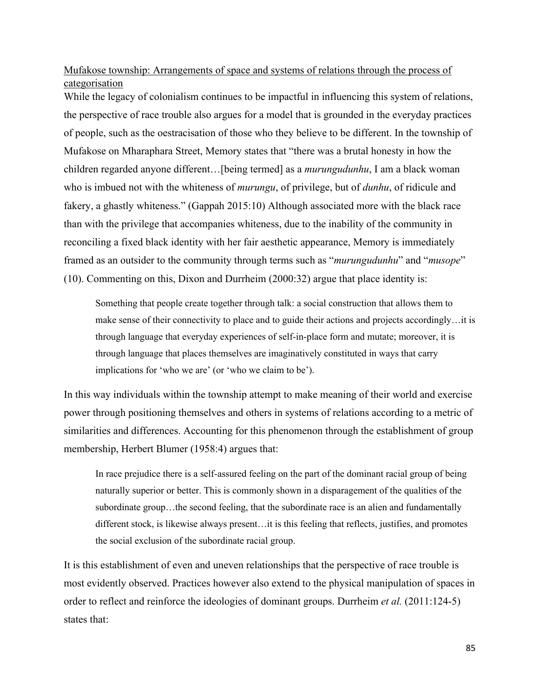Mufakose township: Arrangements of space and systems of relations through the process of categorisation

While the legacy of colonialism continues to be impactful in influencing this system of relations, the perspective of race trouble also argues for a model that is grounded in the everyday practices of people, such as the oestracisation of those who they believe to be different. In the township of Mufakose on Mharaphara Street, Memory states that "there was a brutal honesty in how the children regarded anyone different…[being termed] as a *murungudunhu*, I am a black woman who is imbued not with the whiteness of *murungu*, of privilege, but of *dunhu*, of ridicule and fakery, a ghastly whiteness." (Gappah 2015:10) Although associated more with the black race than with the privilege that accompanies whiteness, due to the inability of the community in reconciling a fixed black identity with her fair aesthetic appearance, Memory is immediately framed as an outsider to the community through terms such as "*murungudunhu*" and "*musope*" (10). Commenting on this, Dixon and Durrheim (2000:32) argue that place identity is:

Something that people create together through talk: a social construction that allows them to make sense of their connectivity to place and to guide their actions and projects accordingly…it is through language that everyday experiences of self-in-place form and mutate; moreover, it is through language that places themselves are imaginatively constituted in ways that carry implications for 'who we are' (or 'who we claim to be').

In this way individuals within the township attempt to make meaning of their world and exercise power through positioning themselves and others in systems of relations according to a metric of similarities and differences. Accounting for this phenomenon through the establishment of group membership, Herbert Blumer (1958:4) argues that:

In race prejudice there is a self-assured feeling on the part of the dominant racial group of being naturally superior or better. This is commonly shown in a disparagement of the qualities of the subordinate group...the second feeling, that the subordinate race is an alien and fundamentally different stock, is likewise always present…it is this feeling that reflects, justifies, and promotes the social exclusion of the subordinate racial group.

It is this establishment of even and uneven relationships that the perspective of race trouble is most evidently observed. Practices however also extend to the physical manipulation of spaces in order to reflect and reinforce the ideologies of dominant groups. Durrheim *et al.* (2011:124-5) states that: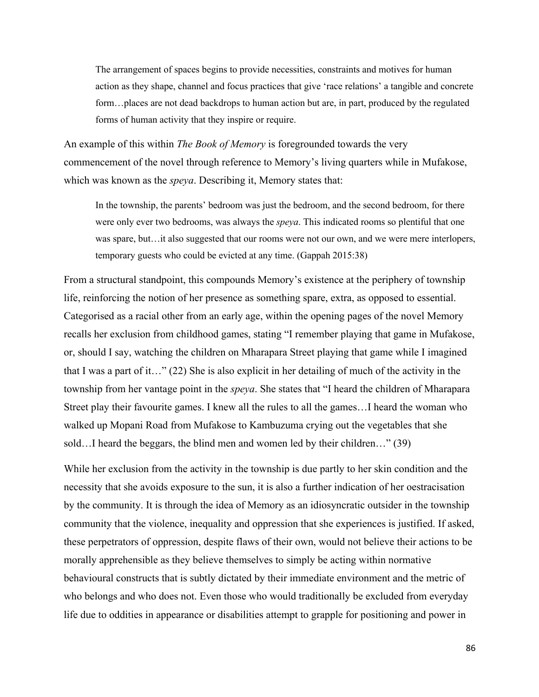The arrangement of spaces begins to provide necessities, constraints and motives for human action as they shape, channel and focus practices that give 'race relations' a tangible and concrete form…places are not dead backdrops to human action but are, in part, produced by the regulated forms of human activity that they inspire or require.

An example of this within *The Book of Memory* is foregrounded towards the very commencement of the novel through reference to Memory's living quarters while in Mufakose, which was known as the *speya*. Describing it, Memory states that:

In the township, the parents' bedroom was just the bedroom, and the second bedroom, for there were only ever two bedrooms, was always the *speya*. This indicated rooms so plentiful that one was spare, but...it also suggested that our rooms were not our own, and we were mere interlopers, temporary guests who could be evicted at any time. (Gappah 2015:38)

From a structural standpoint, this compounds Memory's existence at the periphery of township life, reinforcing the notion of her presence as something spare, extra, as opposed to essential. Categorised as a racial other from an early age, within the opening pages of the novel Memory recalls her exclusion from childhood games, stating "I remember playing that game in Mufakose, or, should I say, watching the children on Mharapara Street playing that game while I imagined that I was a part of it…" (22) She is also explicit in her detailing of much of the activity in the township from her vantage point in the *speya*. She states that "I heard the children of Mharapara Street play their favourite games. I knew all the rules to all the games…I heard the woman who walked up Mopani Road from Mufakose to Kambuzuma crying out the vegetables that she sold…I heard the beggars, the blind men and women led by their children…" (39)

While her exclusion from the activity in the township is due partly to her skin condition and the necessity that she avoids exposure to the sun, it is also a further indication of her oestracisation by the community. It is through the idea of Memory as an idiosyncratic outsider in the township community that the violence, inequality and oppression that she experiences is justified. If asked, these perpetrators of oppression, despite flaws of their own, would not believe their actions to be morally apprehensible as they believe themselves to simply be acting within normative behavioural constructs that is subtly dictated by their immediate environment and the metric of who belongs and who does not. Even those who would traditionally be excluded from everyday life due to oddities in appearance or disabilities attempt to grapple for positioning and power in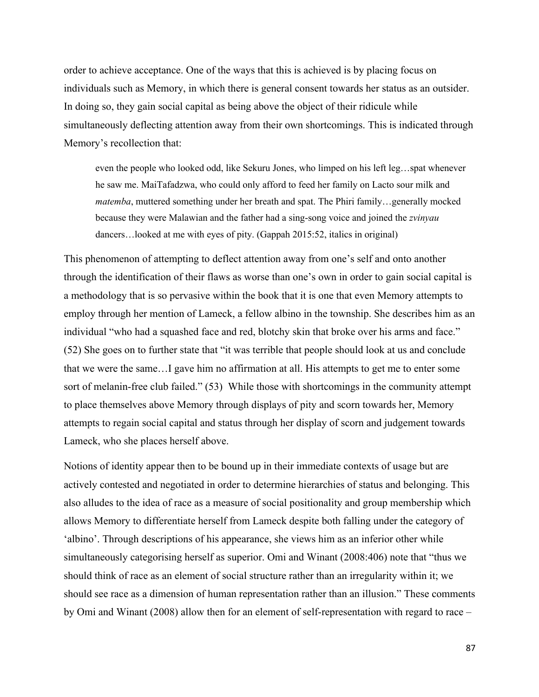order to achieve acceptance. One of the ways that this is achieved is by placing focus on individuals such as Memory, in which there is general consent towards her status as an outsider. In doing so, they gain social capital as being above the object of their ridicule while simultaneously deflecting attention away from their own shortcomings. This is indicated through Memory's recollection that:

even the people who looked odd, like Sekuru Jones, who limped on his left leg…spat whenever he saw me. MaiTafadzwa, who could only afford to feed her family on Lacto sour milk and *matemba*, muttered something under her breath and spat. The Phiri family…generally mocked because they were Malawian and the father had a sing-song voice and joined the *zvinyau* dancers…looked at me with eyes of pity. (Gappah 2015:52, italics in original)

This phenomenon of attempting to deflect attention away from one's self and onto another through the identification of their flaws as worse than one's own in order to gain social capital is a methodology that is so pervasive within the book that it is one that even Memory attempts to employ through her mention of Lameck, a fellow albino in the township. She describes him as an individual "who had a squashed face and red, blotchy skin that broke over his arms and face." (52) She goes on to further state that "it was terrible that people should look at us and conclude that we were the same…I gave him no affirmation at all. His attempts to get me to enter some sort of melanin-free club failed." (53) While those with shortcomings in the community attempt to place themselves above Memory through displays of pity and scorn towards her, Memory attempts to regain social capital and status through her display of scorn and judgement towards Lameck, who she places herself above.

Notions of identity appear then to be bound up in their immediate contexts of usage but are actively contested and negotiated in order to determine hierarchies of status and belonging. This also alludes to the idea of race as a measure of social positionality and group membership which allows Memory to differentiate herself from Lameck despite both falling under the category of 'albino'. Through descriptions of his appearance, she views him as an inferior other while simultaneously categorising herself as superior. Omi and Winant (2008:406) note that "thus we should think of race as an element of social structure rather than an irregularity within it; we should see race as a dimension of human representation rather than an illusion." These comments by Omi and Winant (2008) allow then for an element of self-representation with regard to race –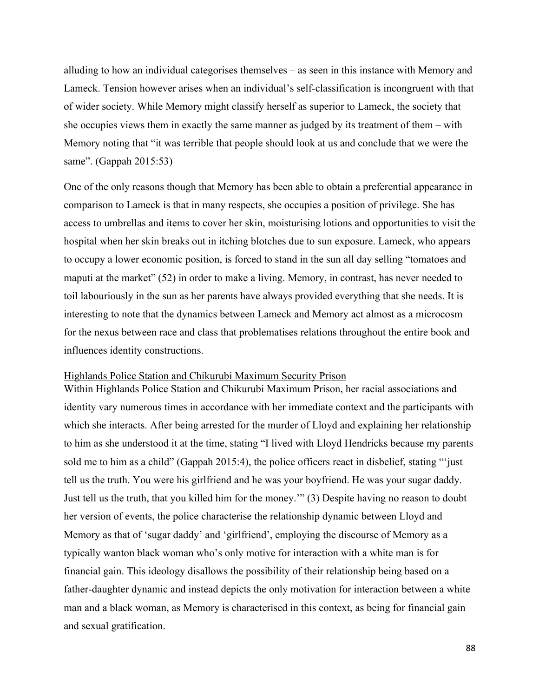alluding to how an individual categorises themselves – as seen in this instance with Memory and Lameck. Tension however arises when an individual's self-classification is incongruent with that of wider society. While Memory might classify herself as superior to Lameck, the society that she occupies views them in exactly the same manner as judged by its treatment of them – with Memory noting that "it was terrible that people should look at us and conclude that we were the same". (Gappah 2015:53)

One of the only reasons though that Memory has been able to obtain a preferential appearance in comparison to Lameck is that in many respects, she occupies a position of privilege. She has access to umbrellas and items to cover her skin, moisturising lotions and opportunities to visit the hospital when her skin breaks out in itching blotches due to sun exposure. Lameck, who appears to occupy a lower economic position, is forced to stand in the sun all day selling "tomatoes and maputi at the market" (52) in order to make a living. Memory, in contrast, has never needed to toil labouriously in the sun as her parents have always provided everything that she needs. It is interesting to note that the dynamics between Lameck and Memory act almost as a microcosm for the nexus between race and class that problematises relations throughout the entire book and influences identity constructions.

#### Highlands Police Station and Chikurubi Maximum Security Prison

Within Highlands Police Station and Chikurubi Maximum Prison, her racial associations and identity vary numerous times in accordance with her immediate context and the participants with which she interacts. After being arrested for the murder of Lloyd and explaining her relationship to him as she understood it at the time, stating "I lived with Lloyd Hendricks because my parents sold me to him as a child" (Gappah 2015:4), the police officers react in disbelief, stating "'just tell us the truth. You were his girlfriend and he was your boyfriend. He was your sugar daddy. Just tell us the truth, that you killed him for the money.'" (3) Despite having no reason to doubt her version of events, the police characterise the relationship dynamic between Lloyd and Memory as that of 'sugar daddy' and 'girlfriend', employing the discourse of Memory as a typically wanton black woman who's only motive for interaction with a white man is for financial gain. This ideology disallows the possibility of their relationship being based on a father-daughter dynamic and instead depicts the only motivation for interaction between a white man and a black woman, as Memory is characterised in this context, as being for financial gain and sexual gratification.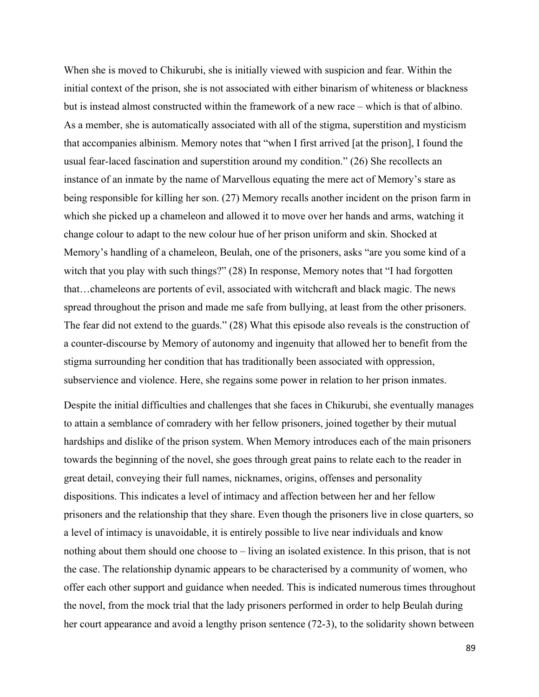When she is moved to Chikurubi, she is initially viewed with suspicion and fear. Within the initial context of the prison, she is not associated with either binarism of whiteness or blackness but is instead almost constructed within the framework of a new race – which is that of albino. As a member, she is automatically associated with all of the stigma, superstition and mysticism that accompanies albinism. Memory notes that "when I first arrived [at the prison], I found the usual fear-laced fascination and superstition around my condition." (26) She recollects an instance of an inmate by the name of Marvellous equating the mere act of Memory's stare as being responsible for killing her son. (27) Memory recalls another incident on the prison farm in which she picked up a chameleon and allowed it to move over her hands and arms, watching it change colour to adapt to the new colour hue of her prison uniform and skin. Shocked at Memory's handling of a chameleon, Beulah, one of the prisoners, asks "are you some kind of a witch that you play with such things?" (28) In response, Memory notes that "I had forgotten that…chameleons are portents of evil, associated with witchcraft and black magic. The news spread throughout the prison and made me safe from bullying, at least from the other prisoners. The fear did not extend to the guards." (28) What this episode also reveals is the construction of a counter-discourse by Memory of autonomy and ingenuity that allowed her to benefit from the stigma surrounding her condition that has traditionally been associated with oppression, subservience and violence. Here, she regains some power in relation to her prison inmates.

Despite the initial difficulties and challenges that she faces in Chikurubi, she eventually manages to attain a semblance of comradery with her fellow prisoners, joined together by their mutual hardships and dislike of the prison system. When Memory introduces each of the main prisoners towards the beginning of the novel, she goes through great pains to relate each to the reader in great detail, conveying their full names, nicknames, origins, offenses and personality dispositions. This indicates a level of intimacy and affection between her and her fellow prisoners and the relationship that they share. Even though the prisoners live in close quarters, so a level of intimacy is unavoidable, it is entirely possible to live near individuals and know nothing about them should one choose to – living an isolated existence. In this prison, that is not the case. The relationship dynamic appears to be characterised by a community of women, who offer each other support and guidance when needed. This is indicated numerous times throughout the novel, from the mock trial that the lady prisoners performed in order to help Beulah during her court appearance and avoid a lengthy prison sentence (72-3), to the solidarity shown between

89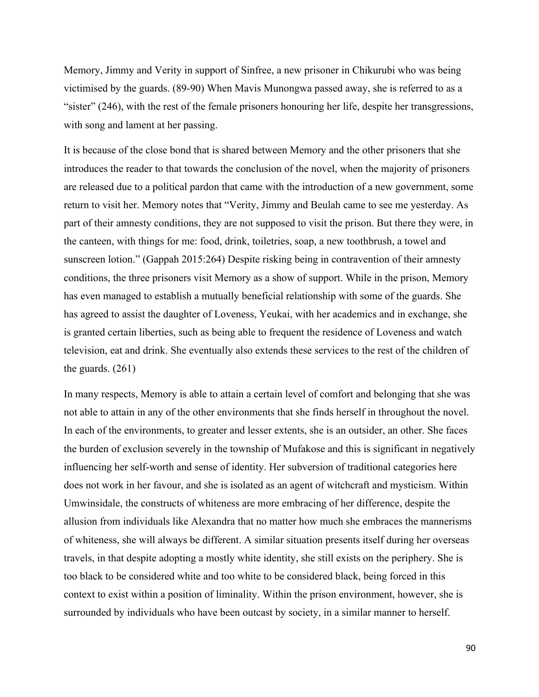Memory, Jimmy and Verity in support of Sinfree, a new prisoner in Chikurubi who was being victimised by the guards. (89-90) When Mavis Munongwa passed away, she is referred to as a "sister" (246), with the rest of the female prisoners honouring her life, despite her transgressions, with song and lament at her passing.

It is because of the close bond that is shared between Memory and the other prisoners that she introduces the reader to that towards the conclusion of the novel, when the majority of prisoners are released due to a political pardon that came with the introduction of a new government, some return to visit her. Memory notes that "Verity, Jimmy and Beulah came to see me yesterday. As part of their amnesty conditions, they are not supposed to visit the prison. But there they were, in the canteen, with things for me: food, drink, toiletries, soap, a new toothbrush, a towel and sunscreen lotion." (Gappah 2015:264) Despite risking being in contravention of their amnesty conditions, the three prisoners visit Memory as a show of support. While in the prison, Memory has even managed to establish a mutually beneficial relationship with some of the guards. She has agreed to assist the daughter of Loveness, Yeukai, with her academics and in exchange, she is granted certain liberties, such as being able to frequent the residence of Loveness and watch television, eat and drink. She eventually also extends these services to the rest of the children of the guards. (261)

In many respects, Memory is able to attain a certain level of comfort and belonging that she was not able to attain in any of the other environments that she finds herself in throughout the novel. In each of the environments, to greater and lesser extents, she is an outsider, an other. She faces the burden of exclusion severely in the township of Mufakose and this is significant in negatively influencing her self-worth and sense of identity. Her subversion of traditional categories here does not work in her favour, and she is isolated as an agent of witchcraft and mysticism. Within Umwinsidale, the constructs of whiteness are more embracing of her difference, despite the allusion from individuals like Alexandra that no matter how much she embraces the mannerisms of whiteness, she will always be different. A similar situation presents itself during her overseas travels, in that despite adopting a mostly white identity, she still exists on the periphery. She is too black to be considered white and too white to be considered black, being forced in this context to exist within a position of liminality. Within the prison environment, however, she is surrounded by individuals who have been outcast by society, in a similar manner to herself.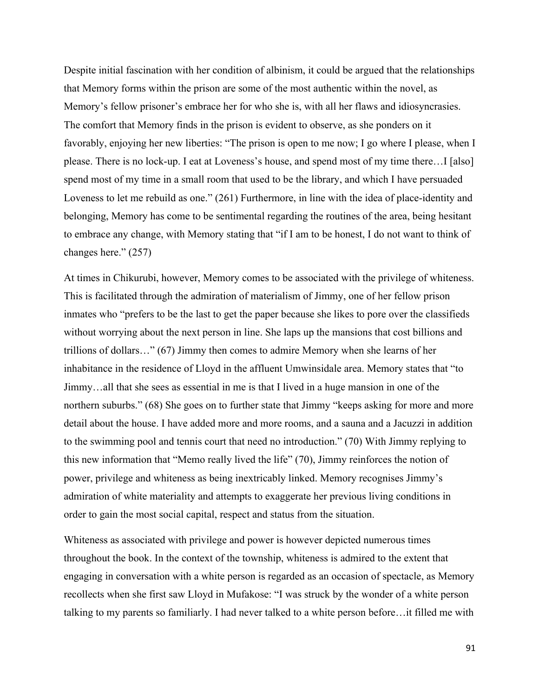Despite initial fascination with her condition of albinism, it could be argued that the relationships that Memory forms within the prison are some of the most authentic within the novel, as Memory's fellow prisoner's embrace her for who she is, with all her flaws and idiosyncrasies. The comfort that Memory finds in the prison is evident to observe, as she ponders on it favorably, enjoying her new liberties: "The prison is open to me now; I go where I please, when I please. There is no lock-up. I eat at Loveness's house, and spend most of my time there…I [also] spend most of my time in a small room that used to be the library, and which I have persuaded Loveness to let me rebuild as one." (261) Furthermore, in line with the idea of place-identity and belonging, Memory has come to be sentimental regarding the routines of the area, being hesitant to embrace any change, with Memory stating that "if I am to be honest, I do not want to think of changes here." (257)

At times in Chikurubi, however, Memory comes to be associated with the privilege of whiteness. This is facilitated through the admiration of materialism of Jimmy, one of her fellow prison inmates who "prefers to be the last to get the paper because she likes to pore over the classifieds without worrying about the next person in line. She laps up the mansions that cost billions and trillions of dollars…" (67) Jimmy then comes to admire Memory when she learns of her inhabitance in the residence of Lloyd in the affluent Umwinsidale area. Memory states that "to Jimmy…all that she sees as essential in me is that I lived in a huge mansion in one of the northern suburbs." (68) She goes on to further state that Jimmy "keeps asking for more and more detail about the house. I have added more and more rooms, and a sauna and a Jacuzzi in addition to the swimming pool and tennis court that need no introduction." (70) With Jimmy replying to this new information that "Memo really lived the life" (70), Jimmy reinforces the notion of power, privilege and whiteness as being inextricably linked. Memory recognises Jimmy's admiration of white materiality and attempts to exaggerate her previous living conditions in order to gain the most social capital, respect and status from the situation.

Whiteness as associated with privilege and power is however depicted numerous times throughout the book. In the context of the township, whiteness is admired to the extent that engaging in conversation with a white person is regarded as an occasion of spectacle, as Memory recollects when she first saw Lloyd in Mufakose: "I was struck by the wonder of a white person talking to my parents so familiarly. I had never talked to a white person before…it filled me with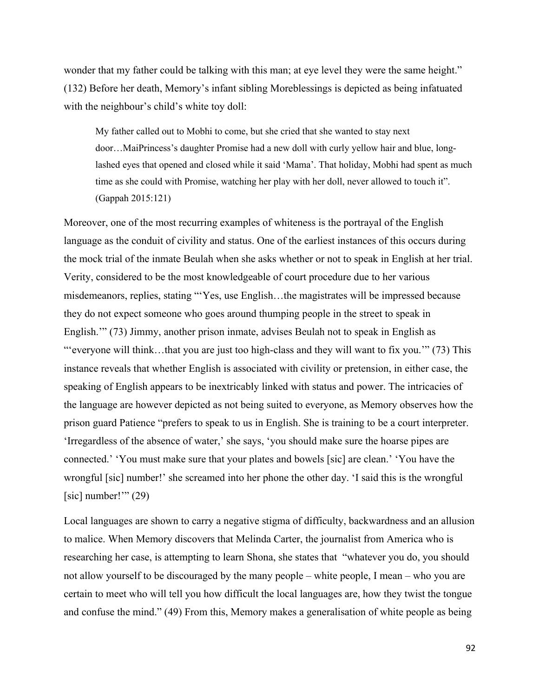wonder that my father could be talking with this man; at eye level they were the same height." (132) Before her death, Memory's infant sibling Moreblessings is depicted as being infatuated with the neighbour's child's white toy doll:

My father called out to Mobhi to come, but she cried that she wanted to stay next door…MaiPrincess's daughter Promise had a new doll with curly yellow hair and blue, longlashed eyes that opened and closed while it said 'Mama'. That holiday, Mobhi had spent as much time as she could with Promise, watching her play with her doll, never allowed to touch it". (Gappah 2015:121)

Moreover, one of the most recurring examples of whiteness is the portrayal of the English language as the conduit of civility and status. One of the earliest instances of this occurs during the mock trial of the inmate Beulah when she asks whether or not to speak in English at her trial. Verity, considered to be the most knowledgeable of court procedure due to her various misdemeanors, replies, stating "'Yes, use English…the magistrates will be impressed because they do not expect someone who goes around thumping people in the street to speak in English.'" (73) Jimmy, another prison inmate, advises Beulah not to speak in English as "'everyone will think...that you are just too high-class and they will want to fix you." (73) This instance reveals that whether English is associated with civility or pretension, in either case, the speaking of English appears to be inextricably linked with status and power. The intricacies of the language are however depicted as not being suited to everyone, as Memory observes how the prison guard Patience "prefers to speak to us in English. She is training to be a court interpreter. 'Irregardless of the absence of water,' she says, 'you should make sure the hoarse pipes are connected.' 'You must make sure that your plates and bowels [sic] are clean.' 'You have the wrongful [sic] number!' she screamed into her phone the other day. 'I said this is the wrongful [sic] number!"  $(29)$ 

Local languages are shown to carry a negative stigma of difficulty, backwardness and an allusion to malice. When Memory discovers that Melinda Carter, the journalist from America who is researching her case, is attempting to learn Shona, she states that "whatever you do, you should not allow yourself to be discouraged by the many people – white people, I mean – who you are certain to meet who will tell you how difficult the local languages are, how they twist the tongue and confuse the mind." (49) From this, Memory makes a generalisation of white people as being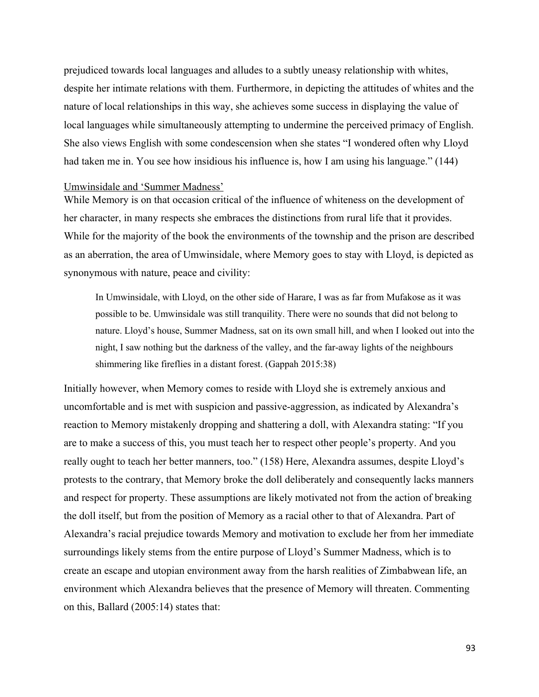prejudiced towards local languages and alludes to a subtly uneasy relationship with whites, despite her intimate relations with them. Furthermore, in depicting the attitudes of whites and the nature of local relationships in this way, she achieves some success in displaying the value of local languages while simultaneously attempting to undermine the perceived primacy of English. She also views English with some condescension when she states "I wondered often why Lloyd had taken me in. You see how insidious his influence is, how I am using his language." (144)

#### Umwinsidale and 'Summer Madness'

While Memory is on that occasion critical of the influence of whiteness on the development of her character, in many respects she embraces the distinctions from rural life that it provides. While for the majority of the book the environments of the township and the prison are described as an aberration, the area of Umwinsidale, where Memory goes to stay with Lloyd, is depicted as synonymous with nature, peace and civility:

In Umwinsidale, with Lloyd, on the other side of Harare, I was as far from Mufakose as it was possible to be. Umwinsidale was still tranquility. There were no sounds that did not belong to nature. Lloyd's house, Summer Madness, sat on its own small hill, and when I looked out into the night, I saw nothing but the darkness of the valley, and the far-away lights of the neighbours shimmering like fireflies in a distant forest. (Gappah 2015:38)

Initially however, when Memory comes to reside with Lloyd she is extremely anxious and uncomfortable and is met with suspicion and passive-aggression, as indicated by Alexandra's reaction to Memory mistakenly dropping and shattering a doll, with Alexandra stating: "If you are to make a success of this, you must teach her to respect other people's property. And you really ought to teach her better manners, too." (158) Here, Alexandra assumes, despite Lloyd's protests to the contrary, that Memory broke the doll deliberately and consequently lacks manners and respect for property. These assumptions are likely motivated not from the action of breaking the doll itself, but from the position of Memory as a racial other to that of Alexandra. Part of Alexandra's racial prejudice towards Memory and motivation to exclude her from her immediate surroundings likely stems from the entire purpose of Lloyd's Summer Madness, which is to create an escape and utopian environment away from the harsh realities of Zimbabwean life, an environment which Alexandra believes that the presence of Memory will threaten. Commenting on this, Ballard (2005:14) states that: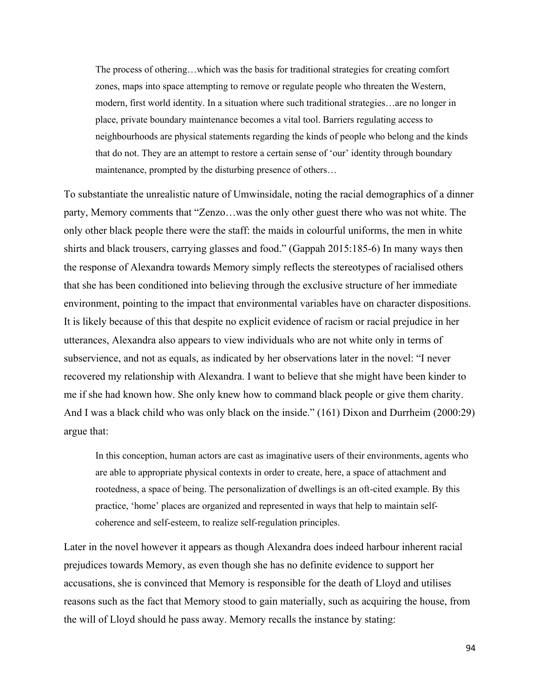The process of othering…which was the basis for traditional strategies for creating comfort zones, maps into space attempting to remove or regulate people who threaten the Western, modern, first world identity. In a situation where such traditional strategies…are no longer in place, private boundary maintenance becomes a vital tool. Barriers regulating access to neighbourhoods are physical statements regarding the kinds of people who belong and the kinds that do not. They are an attempt to restore a certain sense of 'our' identity through boundary maintenance, prompted by the disturbing presence of others…

To substantiate the unrealistic nature of Umwinsidale, noting the racial demographics of a dinner party, Memory comments that "Zenzo…was the only other guest there who was not white. The only other black people there were the staff: the maids in colourful uniforms, the men in white shirts and black trousers, carrying glasses and food." (Gappah 2015:185-6) In many ways then the response of Alexandra towards Memory simply reflects the stereotypes of racialised others that she has been conditioned into believing through the exclusive structure of her immediate environment, pointing to the impact that environmental variables have on character dispositions. It is likely because of this that despite no explicit evidence of racism or racial prejudice in her utterances, Alexandra also appears to view individuals who are not white only in terms of subservience, and not as equals, as indicated by her observations later in the novel: "I never recovered my relationship with Alexandra. I want to believe that she might have been kinder to me if she had known how. She only knew how to command black people or give them charity. And I was a black child who was only black on the inside." (161) Dixon and Durrheim (2000:29) argue that:

In this conception, human actors are cast as imaginative users of their environments, agents who are able to appropriate physical contexts in order to create, here, a space of attachment and rootedness, a space of being. The personalization of dwellings is an oft-cited example. By this practice, 'home' places are organized and represented in ways that help to maintain selfcoherence and self-esteem, to realize self-regulation principles.

Later in the novel however it appears as though Alexandra does indeed harbour inherent racial prejudices towards Memory, as even though she has no definite evidence to support her accusations, she is convinced that Memory is responsible for the death of Lloyd and utilises reasons such as the fact that Memory stood to gain materially, such as acquiring the house, from the will of Lloyd should he pass away. Memory recalls the instance by stating: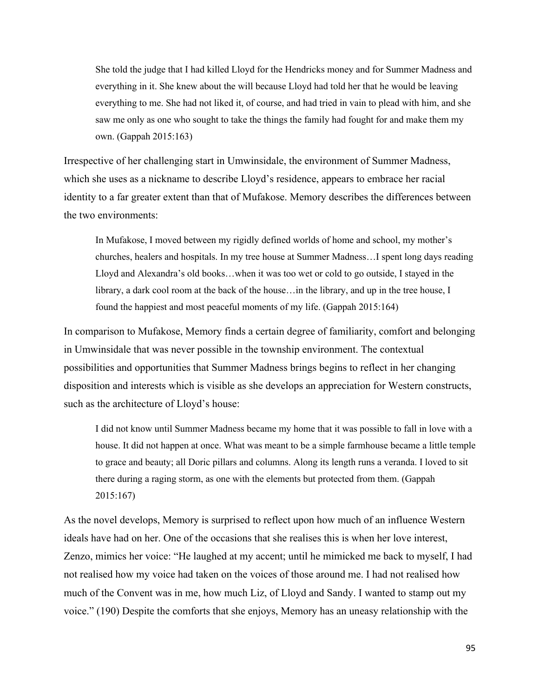She told the judge that I had killed Lloyd for the Hendricks money and for Summer Madness and everything in it. She knew about the will because Lloyd had told her that he would be leaving everything to me. She had not liked it, of course, and had tried in vain to plead with him, and she saw me only as one who sought to take the things the family had fought for and make them my own. (Gappah 2015:163)

Irrespective of her challenging start in Umwinsidale, the environment of Summer Madness, which she uses as a nickname to describe Lloyd's residence, appears to embrace her racial identity to a far greater extent than that of Mufakose. Memory describes the differences between the two environments:

In Mufakose, I moved between my rigidly defined worlds of home and school, my mother's churches, healers and hospitals. In my tree house at Summer Madness…I spent long days reading Lloyd and Alexandra's old books…when it was too wet or cold to go outside, I stayed in the library, a dark cool room at the back of the house…in the library, and up in the tree house, I found the happiest and most peaceful moments of my life. (Gappah 2015:164)

In comparison to Mufakose, Memory finds a certain degree of familiarity, comfort and belonging in Umwinsidale that was never possible in the township environment. The contextual possibilities and opportunities that Summer Madness brings begins to reflect in her changing disposition and interests which is visible as she develops an appreciation for Western constructs, such as the architecture of Lloyd's house:

I did not know until Summer Madness became my home that it was possible to fall in love with a house. It did not happen at once. What was meant to be a simple farmhouse became a little temple to grace and beauty; all Doric pillars and columns. Along its length runs a veranda. I loved to sit there during a raging storm, as one with the elements but protected from them. (Gappah 2015:167)

As the novel develops, Memory is surprised to reflect upon how much of an influence Western ideals have had on her. One of the occasions that she realises this is when her love interest, Zenzo, mimics her voice: "He laughed at my accent; until he mimicked me back to myself, I had not realised how my voice had taken on the voices of those around me. I had not realised how much of the Convent was in me, how much Liz, of Lloyd and Sandy. I wanted to stamp out my voice." (190) Despite the comforts that she enjoys, Memory has an uneasy relationship with the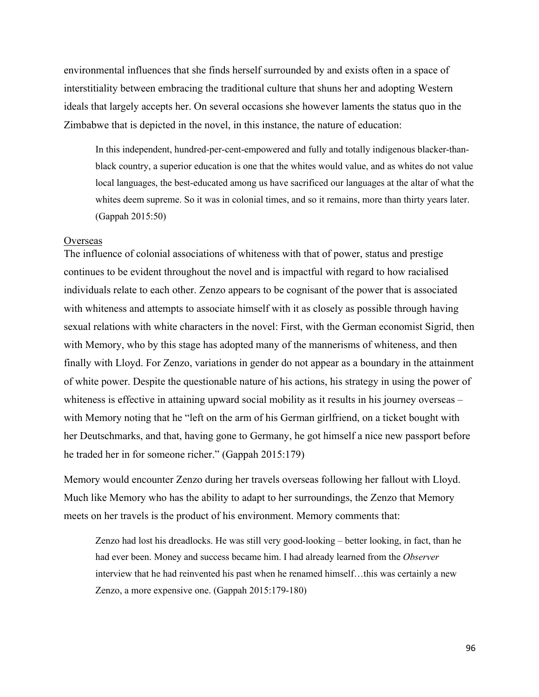environmental influences that she finds herself surrounded by and exists often in a space of interstitiality between embracing the traditional culture that shuns her and adopting Western ideals that largely accepts her. On several occasions she however laments the status quo in the Zimbabwe that is depicted in the novel, in this instance, the nature of education:

In this independent, hundred-per-cent-empowered and fully and totally indigenous blacker-thanblack country, a superior education is one that the whites would value, and as whites do not value local languages, the best-educated among us have sacrificed our languages at the altar of what the whites deem supreme. So it was in colonial times, and so it remains, more than thirty years later. (Gappah 2015:50)

#### **Overseas**

The influence of colonial associations of whiteness with that of power, status and prestige continues to be evident throughout the novel and is impactful with regard to how racialised individuals relate to each other. Zenzo appears to be cognisant of the power that is associated with whiteness and attempts to associate himself with it as closely as possible through having sexual relations with white characters in the novel: First, with the German economist Sigrid, then with Memory, who by this stage has adopted many of the mannerisms of whiteness, and then finally with Lloyd. For Zenzo, variations in gender do not appear as a boundary in the attainment of white power. Despite the questionable nature of his actions, his strategy in using the power of whiteness is effective in attaining upward social mobility as it results in his journey overseas – with Memory noting that he "left on the arm of his German girlfriend, on a ticket bought with her Deutschmarks, and that, having gone to Germany, he got himself a nice new passport before he traded her in for someone richer." (Gappah 2015:179)

Memory would encounter Zenzo during her travels overseas following her fallout with Lloyd. Much like Memory who has the ability to adapt to her surroundings, the Zenzo that Memory meets on her travels is the product of his environment. Memory comments that:

Zenzo had lost his dreadlocks. He was still very good-looking – better looking, in fact, than he had ever been. Money and success became him. I had already learned from the *Observer* interview that he had reinvented his past when he renamed himself…this was certainly a new Zenzo, a more expensive one. (Gappah 2015:179-180)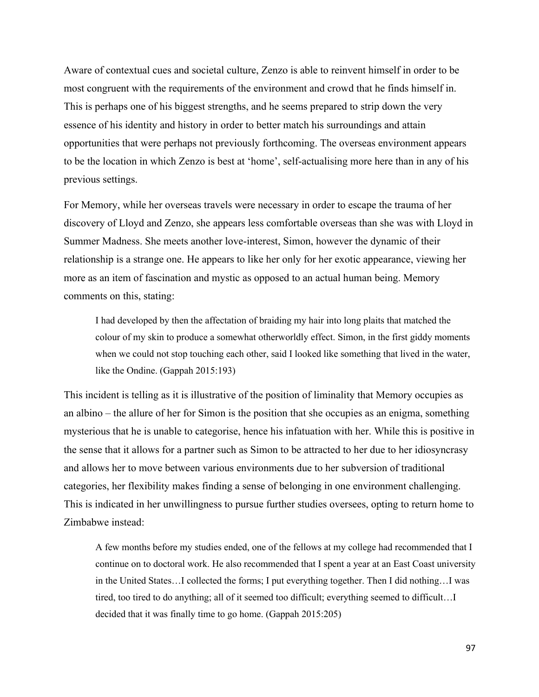Aware of contextual cues and societal culture, Zenzo is able to reinvent himself in order to be most congruent with the requirements of the environment and crowd that he finds himself in. This is perhaps one of his biggest strengths, and he seems prepared to strip down the very essence of his identity and history in order to better match his surroundings and attain opportunities that were perhaps not previously forthcoming. The overseas environment appears to be the location in which Zenzo is best at 'home', self-actualising more here than in any of his previous settings.

For Memory, while her overseas travels were necessary in order to escape the trauma of her discovery of Lloyd and Zenzo, she appears less comfortable overseas than she was with Lloyd in Summer Madness. She meets another love-interest, Simon, however the dynamic of their relationship is a strange one. He appears to like her only for her exotic appearance, viewing her more as an item of fascination and mystic as opposed to an actual human being. Memory comments on this, stating:

I had developed by then the affectation of braiding my hair into long plaits that matched the colour of my skin to produce a somewhat otherworldly effect. Simon, in the first giddy moments when we could not stop touching each other, said I looked like something that lived in the water, like the Ondine. (Gappah 2015:193)

This incident is telling as it is illustrative of the position of liminality that Memory occupies as an albino – the allure of her for Simon is the position that she occupies as an enigma, something mysterious that he is unable to categorise, hence his infatuation with her. While this is positive in the sense that it allows for a partner such as Simon to be attracted to her due to her idiosyncrasy and allows her to move between various environments due to her subversion of traditional categories, her flexibility makes finding a sense of belonging in one environment challenging. This is indicated in her unwillingness to pursue further studies oversees, opting to return home to Zimbabwe instead:

A few months before my studies ended, one of the fellows at my college had recommended that I continue on to doctoral work. He also recommended that I spent a year at an East Coast university in the United States…I collected the forms; I put everything together. Then I did nothing…I was tired, too tired to do anything; all of it seemed too difficult; everything seemed to difficult…I decided that it was finally time to go home. (Gappah 2015:205)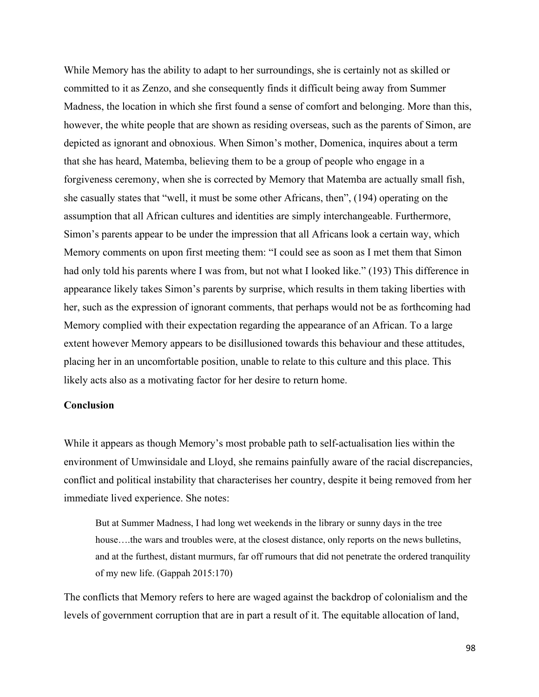While Memory has the ability to adapt to her surroundings, she is certainly not as skilled or committed to it as Zenzo, and she consequently finds it difficult being away from Summer Madness, the location in which she first found a sense of comfort and belonging. More than this, however, the white people that are shown as residing overseas, such as the parents of Simon, are depicted as ignorant and obnoxious. When Simon's mother, Domenica, inquires about a term that she has heard, Matemba, believing them to be a group of people who engage in a forgiveness ceremony, when she is corrected by Memory that Matemba are actually small fish, she casually states that "well, it must be some other Africans, then", (194) operating on the assumption that all African cultures and identities are simply interchangeable. Furthermore, Simon's parents appear to be under the impression that all Africans look a certain way, which Memory comments on upon first meeting them: "I could see as soon as I met them that Simon had only told his parents where I was from, but not what I looked like." (193) This difference in appearance likely takes Simon's parents by surprise, which results in them taking liberties with her, such as the expression of ignorant comments, that perhaps would not be as forthcoming had Memory complied with their expectation regarding the appearance of an African. To a large extent however Memory appears to be disillusioned towards this behaviour and these attitudes, placing her in an uncomfortable position, unable to relate to this culture and this place. This likely acts also as a motivating factor for her desire to return home.

## **Conclusion**

While it appears as though Memory's most probable path to self-actualisation lies within the environment of Umwinsidale and Lloyd, she remains painfully aware of the racial discrepancies, conflict and political instability that characterises her country, despite it being removed from her immediate lived experience. She notes:

But at Summer Madness, I had long wet weekends in the library or sunny days in the tree house….the wars and troubles were, at the closest distance, only reports on the news bulletins, and at the furthest, distant murmurs, far off rumours that did not penetrate the ordered tranquility of my new life. (Gappah 2015:170)

The conflicts that Memory refers to here are waged against the backdrop of colonialism and the levels of government corruption that are in part a result of it. The equitable allocation of land,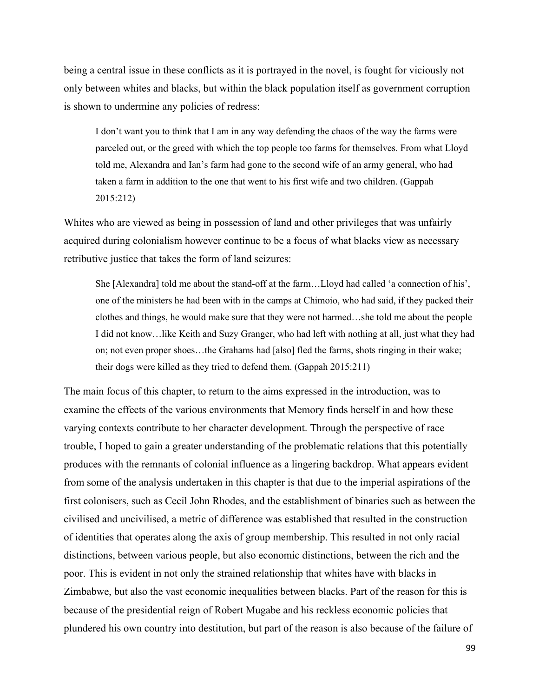being a central issue in these conflicts as it is portrayed in the novel, is fought for viciously not only between whites and blacks, but within the black population itself as government corruption is shown to undermine any policies of redress:

I don't want you to think that I am in any way defending the chaos of the way the farms were parceled out, or the greed with which the top people too farms for themselves. From what Lloyd told me, Alexandra and Ian's farm had gone to the second wife of an army general, who had taken a farm in addition to the one that went to his first wife and two children. (Gappah 2015:212)

Whites who are viewed as being in possession of land and other privileges that was unfairly acquired during colonialism however continue to be a focus of what blacks view as necessary retributive justice that takes the form of land seizures:

She [Alexandra] told me about the stand-off at the farm…Lloyd had called 'a connection of his', one of the ministers he had been with in the camps at Chimoio, who had said, if they packed their clothes and things, he would make sure that they were not harmed…she told me about the people I did not know…like Keith and Suzy Granger, who had left with nothing at all, just what they had on; not even proper shoes…the Grahams had [also] fled the farms, shots ringing in their wake; their dogs were killed as they tried to defend them. (Gappah 2015:211)

The main focus of this chapter, to return to the aims expressed in the introduction, was to examine the effects of the various environments that Memory finds herself in and how these varying contexts contribute to her character development. Through the perspective of race trouble, I hoped to gain a greater understanding of the problematic relations that this potentially produces with the remnants of colonial influence as a lingering backdrop. What appears evident from some of the analysis undertaken in this chapter is that due to the imperial aspirations of the first colonisers, such as Cecil John Rhodes, and the establishment of binaries such as between the civilised and uncivilised, a metric of difference was established that resulted in the construction of identities that operates along the axis of group membership. This resulted in not only racial distinctions, between various people, but also economic distinctions, between the rich and the poor. This is evident in not only the strained relationship that whites have with blacks in Zimbabwe, but also the vast economic inequalities between blacks. Part of the reason for this is because of the presidential reign of Robert Mugabe and his reckless economic policies that plundered his own country into destitution, but part of the reason is also because of the failure of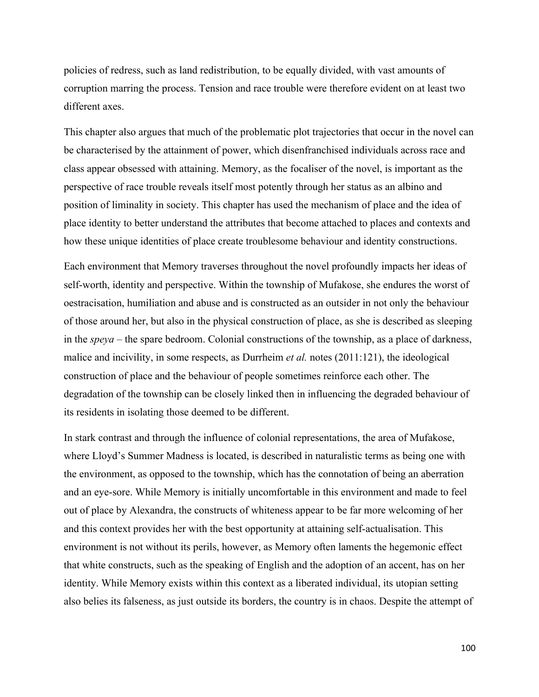policies of redress, such as land redistribution, to be equally divided, with vast amounts of corruption marring the process. Tension and race trouble were therefore evident on at least two different axes.

This chapter also argues that much of the problematic plot trajectories that occur in the novel can be characterised by the attainment of power, which disenfranchised individuals across race and class appear obsessed with attaining. Memory, as the focaliser of the novel, is important as the perspective of race trouble reveals itself most potently through her status as an albino and position of liminality in society. This chapter has used the mechanism of place and the idea of place identity to better understand the attributes that become attached to places and contexts and how these unique identities of place create troublesome behaviour and identity constructions.

Each environment that Memory traverses throughout the novel profoundly impacts her ideas of self-worth, identity and perspective. Within the township of Mufakose, she endures the worst of oestracisation, humiliation and abuse and is constructed as an outsider in not only the behaviour of those around her, but also in the physical construction of place, as she is described as sleeping in the *speya* – the spare bedroom. Colonial constructions of the township, as a place of darkness, malice and incivility, in some respects, as Durrheim *et al.* notes (2011:121), the ideological construction of place and the behaviour of people sometimes reinforce each other. The degradation of the township can be closely linked then in influencing the degraded behaviour of its residents in isolating those deemed to be different.

In stark contrast and through the influence of colonial representations, the area of Mufakose, where Lloyd's Summer Madness is located, is described in naturalistic terms as being one with the environment, as opposed to the township, which has the connotation of being an aberration and an eye-sore. While Memory is initially uncomfortable in this environment and made to feel out of place by Alexandra, the constructs of whiteness appear to be far more welcoming of her and this context provides her with the best opportunity at attaining self-actualisation. This environment is not without its perils, however, as Memory often laments the hegemonic effect that white constructs, such as the speaking of English and the adoption of an accent, has on her identity. While Memory exists within this context as a liberated individual, its utopian setting also belies its falseness, as just outside its borders, the country is in chaos. Despite the attempt of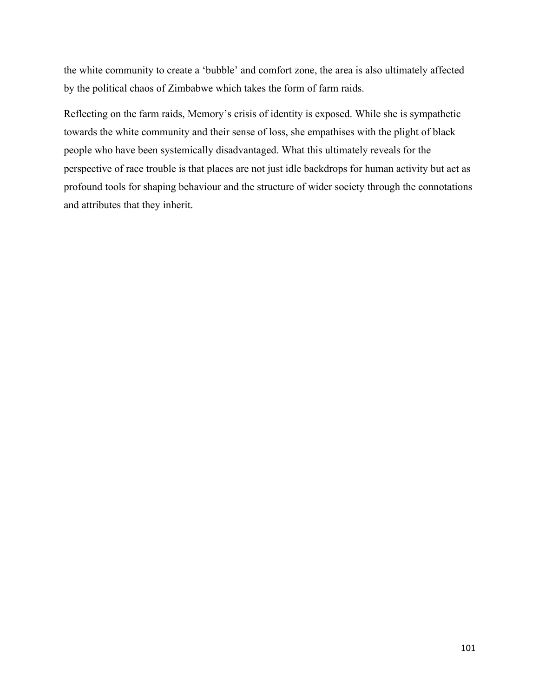the white community to create a 'bubble' and comfort zone, the area is also ultimately affected by the political chaos of Zimbabwe which takes the form of farm raids.

Reflecting on the farm raids, Memory's crisis of identity is exposed. While she is sympathetic towards the white community and their sense of loss, she empathises with the plight of black people who have been systemically disadvantaged. What this ultimately reveals for the perspective of race trouble is that places are not just idle backdrops for human activity but act as profound tools for shaping behaviour and the structure of wider society through the connotations and attributes that they inherit.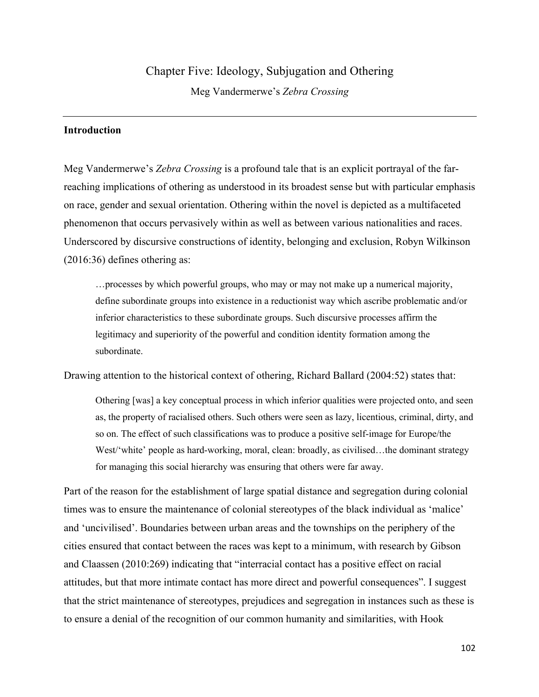# Chapter Five: Ideology, Subjugation and Othering Meg Vandermerwe's *Zebra Crossing*

## **Introduction**

Meg Vandermerwe's *Zebra Crossing* is a profound tale that is an explicit portrayal of the farreaching implications of othering as understood in its broadest sense but with particular emphasis on race, gender and sexual orientation. Othering within the novel is depicted as a multifaceted phenomenon that occurs pervasively within as well as between various nationalities and races. Underscored by discursive constructions of identity, belonging and exclusion, Robyn Wilkinson (2016:36) defines othering as:

…processes by which powerful groups, who may or may not make up a numerical majority, define subordinate groups into existence in a reductionist way which ascribe problematic and/or inferior characteristics to these subordinate groups. Such discursive processes affirm the legitimacy and superiority of the powerful and condition identity formation among the subordinate.

Drawing attention to the historical context of othering, Richard Ballard (2004:52) states that:

Othering [was] a key conceptual process in which inferior qualities were projected onto, and seen as, the property of racialised others. Such others were seen as lazy, licentious, criminal, dirty, and so on. The effect of such classifications was to produce a positive self-image for Europe/the West/'white' people as hard-working, moral, clean: broadly, as civilised...the dominant strategy for managing this social hierarchy was ensuring that others were far away.

Part of the reason for the establishment of large spatial distance and segregation during colonial times was to ensure the maintenance of colonial stereotypes of the black individual as 'malice' and 'uncivilised'. Boundaries between urban areas and the townships on the periphery of the cities ensured that contact between the races was kept to a minimum, with research by Gibson and Claassen (2010:269) indicating that "interracial contact has a positive effect on racial attitudes, but that more intimate contact has more direct and powerful consequences". I suggest that the strict maintenance of stereotypes, prejudices and segregation in instances such as these is to ensure a denial of the recognition of our common humanity and similarities, with Hook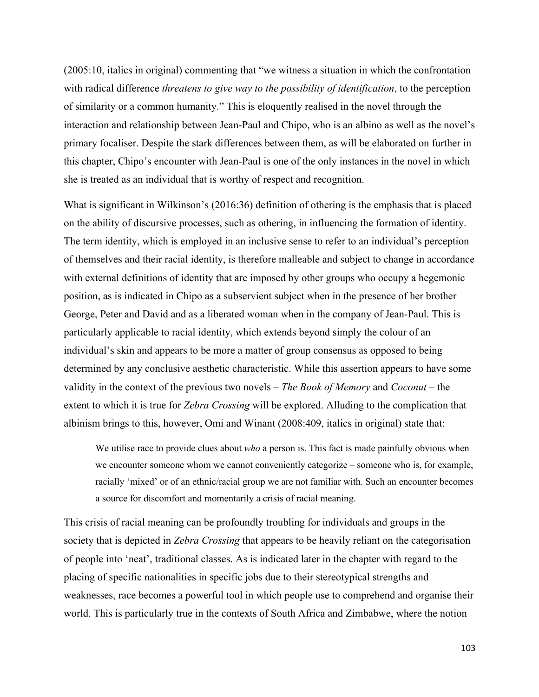(2005:10, italics in original) commenting that "we witness a situation in which the confrontation with radical difference *threatens to give way to the possibility of identification*, to the perception of similarity or a common humanity." This is eloquently realised in the novel through the interaction and relationship between Jean-Paul and Chipo, who is an albino as well as the novel's primary focaliser. Despite the stark differences between them, as will be elaborated on further in this chapter, Chipo's encounter with Jean-Paul is one of the only instances in the novel in which she is treated as an individual that is worthy of respect and recognition.

What is significant in Wilkinson's (2016:36) definition of othering is the emphasis that is placed on the ability of discursive processes, such as othering, in influencing the formation of identity. The term identity, which is employed in an inclusive sense to refer to an individual's perception of themselves and their racial identity, is therefore malleable and subject to change in accordance with external definitions of identity that are imposed by other groups who occupy a hegemonic position, as is indicated in Chipo as a subservient subject when in the presence of her brother George, Peter and David and as a liberated woman when in the company of Jean-Paul. This is particularly applicable to racial identity, which extends beyond simply the colour of an individual's skin and appears to be more a matter of group consensus as opposed to being determined by any conclusive aesthetic characteristic. While this assertion appears to have some validity in the context of the previous two novels – *The Book of Memory* and *Coconut* – the extent to which it is true for *Zebra Crossing* will be explored. Alluding to the complication that albinism brings to this, however, Omi and Winant (2008:409, italics in original) state that:

We utilise race to provide clues about *who* a person is. This fact is made painfully obvious when we encounter someone whom we cannot conveniently categorize – someone who is, for example, racially 'mixed' or of an ethnic/racial group we are not familiar with. Such an encounter becomes a source for discomfort and momentarily a crisis of racial meaning.

This crisis of racial meaning can be profoundly troubling for individuals and groups in the society that is depicted in *Zebra Crossing* that appears to be heavily reliant on the categorisation of people into 'neat', traditional classes. As is indicated later in the chapter with regard to the placing of specific nationalities in specific jobs due to their stereotypical strengths and weaknesses, race becomes a powerful tool in which people use to comprehend and organise their world. This is particularly true in the contexts of South Africa and Zimbabwe, where the notion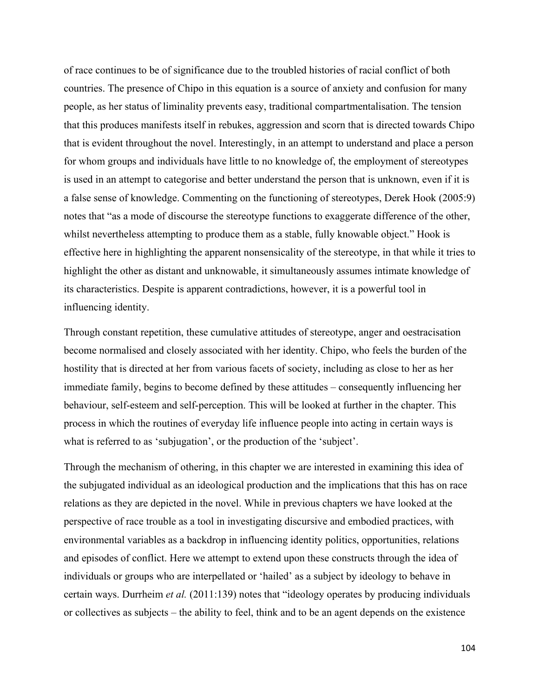of race continues to be of significance due to the troubled histories of racial conflict of both countries. The presence of Chipo in this equation is a source of anxiety and confusion for many people, as her status of liminality prevents easy, traditional compartmentalisation. The tension that this produces manifests itself in rebukes, aggression and scorn that is directed towards Chipo that is evident throughout the novel. Interestingly, in an attempt to understand and place a person for whom groups and individuals have little to no knowledge of, the employment of stereotypes is used in an attempt to categorise and better understand the person that is unknown, even if it is a false sense of knowledge. Commenting on the functioning of stereotypes, Derek Hook (2005:9) notes that "as a mode of discourse the stereotype functions to exaggerate difference of the other, whilst nevertheless attempting to produce them as a stable, fully knowable object." Hook is effective here in highlighting the apparent nonsensicality of the stereotype, in that while it tries to highlight the other as distant and unknowable, it simultaneously assumes intimate knowledge of its characteristics. Despite is apparent contradictions, however, it is a powerful tool in influencing identity.

Through constant repetition, these cumulative attitudes of stereotype, anger and oestracisation become normalised and closely associated with her identity. Chipo, who feels the burden of the hostility that is directed at her from various facets of society, including as close to her as her immediate family, begins to become defined by these attitudes – consequently influencing her behaviour, self-esteem and self-perception. This will be looked at further in the chapter. This process in which the routines of everyday life influence people into acting in certain ways is what is referred to as 'subjugation', or the production of the 'subject'.

Through the mechanism of othering, in this chapter we are interested in examining this idea of the subjugated individual as an ideological production and the implications that this has on race relations as they are depicted in the novel. While in previous chapters we have looked at the perspective of race trouble as a tool in investigating discursive and embodied practices, with environmental variables as a backdrop in influencing identity politics, opportunities, relations and episodes of conflict. Here we attempt to extend upon these constructs through the idea of individuals or groups who are interpellated or 'hailed' as a subject by ideology to behave in certain ways. Durrheim *et al.* (2011:139) notes that "ideology operates by producing individuals or collectives as subjects – the ability to feel, think and to be an agent depends on the existence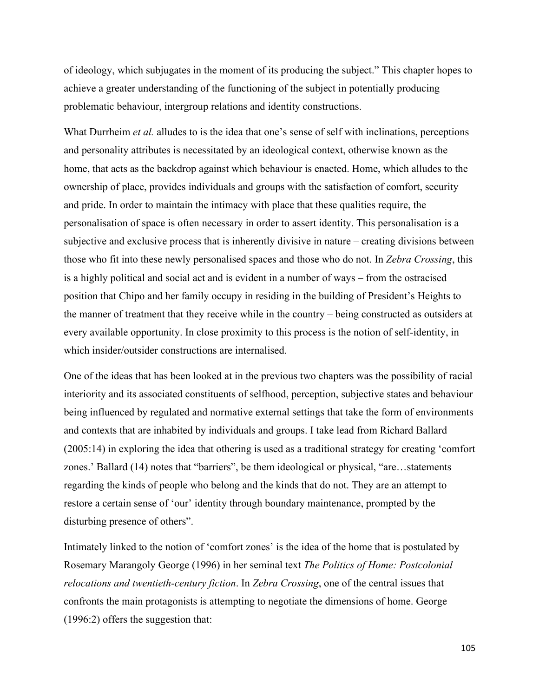of ideology, which subjugates in the moment of its producing the subject." This chapter hopes to achieve a greater understanding of the functioning of the subject in potentially producing problematic behaviour, intergroup relations and identity constructions.

What Durrheim *et al.* alludes to is the idea that one's sense of self with inclinations, perceptions and personality attributes is necessitated by an ideological context, otherwise known as the home, that acts as the backdrop against which behaviour is enacted. Home, which alludes to the ownership of place, provides individuals and groups with the satisfaction of comfort, security and pride. In order to maintain the intimacy with place that these qualities require, the personalisation of space is often necessary in order to assert identity. This personalisation is a subjective and exclusive process that is inherently divisive in nature – creating divisions between those who fit into these newly personalised spaces and those who do not. In *Zebra Crossing*, this is a highly political and social act and is evident in a number of ways – from the ostracised position that Chipo and her family occupy in residing in the building of President's Heights to the manner of treatment that they receive while in the country – being constructed as outsiders at every available opportunity. In close proximity to this process is the notion of self-identity, in which insider/outsider constructions are internalised.

One of the ideas that has been looked at in the previous two chapters was the possibility of racial interiority and its associated constituents of selfhood, perception, subjective states and behaviour being influenced by regulated and normative external settings that take the form of environments and contexts that are inhabited by individuals and groups. I take lead from Richard Ballard (2005:14) in exploring the idea that othering is used as a traditional strategy for creating 'comfort zones.' Ballard (14) notes that "barriers", be them ideological or physical, "are…statements regarding the kinds of people who belong and the kinds that do not. They are an attempt to restore a certain sense of 'our' identity through boundary maintenance, prompted by the disturbing presence of others".

Intimately linked to the notion of 'comfort zones' is the idea of the home that is postulated by Rosemary Marangoly George (1996) in her seminal text *The Politics of Home: Postcolonial relocations and twentieth-century fiction*. In *Zebra Crossing*, one of the central issues that confronts the main protagonists is attempting to negotiate the dimensions of home. George (1996:2) offers the suggestion that: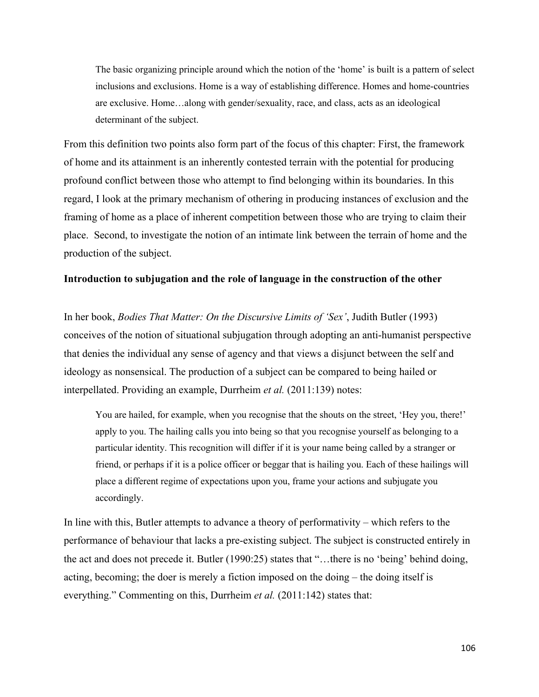The basic organizing principle around which the notion of the 'home' is built is a pattern of select inclusions and exclusions. Home is a way of establishing difference. Homes and home-countries are exclusive. Home…along with gender/sexuality, race, and class, acts as an ideological determinant of the subject.

From this definition two points also form part of the focus of this chapter: First, the framework of home and its attainment is an inherently contested terrain with the potential for producing profound conflict between those who attempt to find belonging within its boundaries. In this regard, I look at the primary mechanism of othering in producing instances of exclusion and the framing of home as a place of inherent competition between those who are trying to claim their place. Second, to investigate the notion of an intimate link between the terrain of home and the production of the subject.

#### **Introduction to subjugation and the role of language in the construction of the other**

In her book, *Bodies That Matter: On the Discursive Limits of 'Sex'*, Judith Butler (1993) conceives of the notion of situational subjugation through adopting an anti-humanist perspective that denies the individual any sense of agency and that views a disjunct between the self and ideology as nonsensical. The production of a subject can be compared to being hailed or interpellated. Providing an example, Durrheim *et al.* (2011:139) notes:

You are hailed, for example, when you recognise that the shouts on the street, 'Hey you, there!' apply to you. The hailing calls you into being so that you recognise yourself as belonging to a particular identity. This recognition will differ if it is your name being called by a stranger or friend, or perhaps if it is a police officer or beggar that is hailing you. Each of these hailings will place a different regime of expectations upon you, frame your actions and subjugate you accordingly.

In line with this, Butler attempts to advance a theory of performativity – which refers to the performance of behaviour that lacks a pre-existing subject. The subject is constructed entirely in the act and does not precede it. Butler (1990:25) states that "…there is no 'being' behind doing, acting, becoming; the doer is merely a fiction imposed on the doing – the doing itself is everything." Commenting on this, Durrheim *et al.* (2011:142) states that: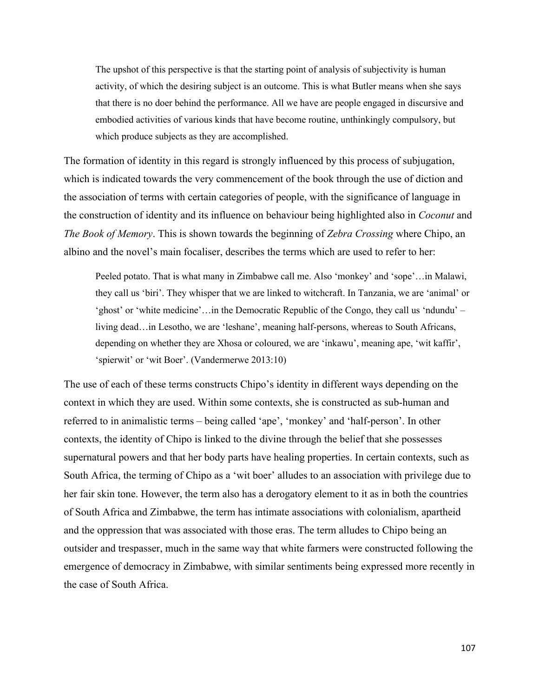The upshot of this perspective is that the starting point of analysis of subjectivity is human activity, of which the desiring subject is an outcome. This is what Butler means when she says that there is no doer behind the performance. All we have are people engaged in discursive and embodied activities of various kinds that have become routine, unthinkingly compulsory, but which produce subjects as they are accomplished.

The formation of identity in this regard is strongly influenced by this process of subjugation, which is indicated towards the very commencement of the book through the use of diction and the association of terms with certain categories of people, with the significance of language in the construction of identity and its influence on behaviour being highlighted also in *Coconut* and *The Book of Memory*. This is shown towards the beginning of *Zebra Crossing* where Chipo, an albino and the novel's main focaliser, describes the terms which are used to refer to her:

Peeled potato. That is what many in Zimbabwe call me. Also 'monkey' and 'sope'…in Malawi, they call us 'biri'. They whisper that we are linked to witchcraft. In Tanzania, we are 'animal' or 'ghost' or 'white medicine'…in the Democratic Republic of the Congo, they call us 'ndundu' – living dead…in Lesotho, we are 'leshane', meaning half-persons, whereas to South Africans, depending on whether they are Xhosa or coloured, we are 'inkawu', meaning ape, 'wit kaffir', 'spierwit' or 'wit Boer'. (Vandermerwe 2013:10)

The use of each of these terms constructs Chipo's identity in different ways depending on the context in which they are used. Within some contexts, she is constructed as sub-human and referred to in animalistic terms – being called 'ape', 'monkey' and 'half-person'. In other contexts, the identity of Chipo is linked to the divine through the belief that she possesses supernatural powers and that her body parts have healing properties. In certain contexts, such as South Africa, the terming of Chipo as a 'wit boer' alludes to an association with privilege due to her fair skin tone. However, the term also has a derogatory element to it as in both the countries of South Africa and Zimbabwe, the term has intimate associations with colonialism, apartheid and the oppression that was associated with those eras. The term alludes to Chipo being an outsider and trespasser, much in the same way that white farmers were constructed following the emergence of democracy in Zimbabwe, with similar sentiments being expressed more recently in the case of South Africa.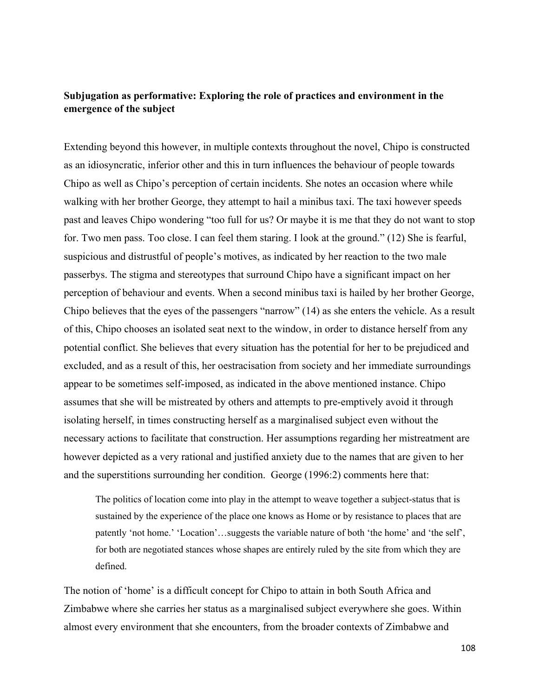# **Subjugation as performative: Exploring the role of practices and environment in the emergence of the subject**

Extending beyond this however, in multiple contexts throughout the novel, Chipo is constructed as an idiosyncratic, inferior other and this in turn influences the behaviour of people towards Chipo as well as Chipo's perception of certain incidents. She notes an occasion where while walking with her brother George, they attempt to hail a minibus taxi. The taxi however speeds past and leaves Chipo wondering "too full for us? Or maybe it is me that they do not want to stop for. Two men pass. Too close. I can feel them staring. I look at the ground." (12) She is fearful, suspicious and distrustful of people's motives, as indicated by her reaction to the two male passerbys. The stigma and stereotypes that surround Chipo have a significant impact on her perception of behaviour and events. When a second minibus taxi is hailed by her brother George, Chipo believes that the eyes of the passengers "narrow" (14) as she enters the vehicle. As a result of this, Chipo chooses an isolated seat next to the window, in order to distance herself from any potential conflict. She believes that every situation has the potential for her to be prejudiced and excluded, and as a result of this, her oestracisation from society and her immediate surroundings appear to be sometimes self-imposed, as indicated in the above mentioned instance. Chipo assumes that she will be mistreated by others and attempts to pre-emptively avoid it through isolating herself, in times constructing herself as a marginalised subject even without the necessary actions to facilitate that construction. Her assumptions regarding her mistreatment are however depicted as a very rational and justified anxiety due to the names that are given to her and the superstitions surrounding her condition. George (1996:2) comments here that:

The politics of location come into play in the attempt to weave together a subject-status that is sustained by the experience of the place one knows as Home or by resistance to places that are patently 'not home.' 'Location'…suggests the variable nature of both 'the home' and 'the self', for both are negotiated stances whose shapes are entirely ruled by the site from which they are defined.

The notion of 'home' is a difficult concept for Chipo to attain in both South Africa and Zimbabwe where she carries her status as a marginalised subject everywhere she goes. Within almost every environment that she encounters, from the broader contexts of Zimbabwe and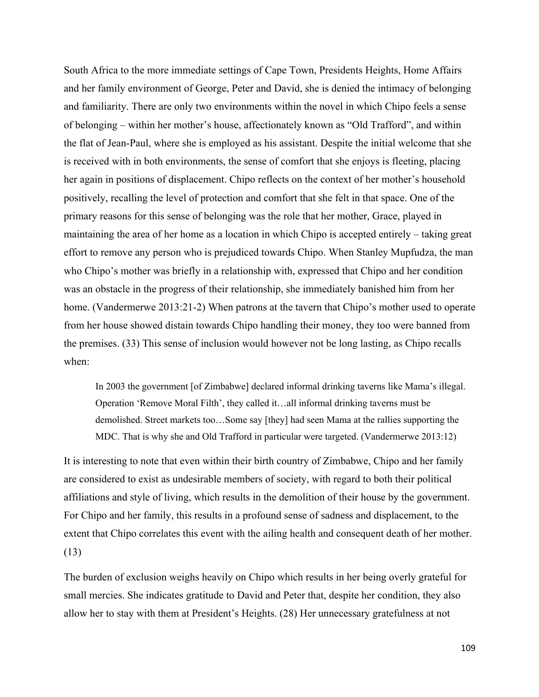South Africa to the more immediate settings of Cape Town, Presidents Heights, Home Affairs and her family environment of George, Peter and David, she is denied the intimacy of belonging and familiarity. There are only two environments within the novel in which Chipo feels a sense of belonging – within her mother's house, affectionately known as "Old Trafford", and within the flat of Jean-Paul, where she is employed as his assistant. Despite the initial welcome that she is received with in both environments, the sense of comfort that she enjoys is fleeting, placing her again in positions of displacement. Chipo reflects on the context of her mother's household positively, recalling the level of protection and comfort that she felt in that space. One of the primary reasons for this sense of belonging was the role that her mother, Grace, played in maintaining the area of her home as a location in which Chipo is accepted entirely – taking great effort to remove any person who is prejudiced towards Chipo. When Stanley Mupfudza, the man who Chipo's mother was briefly in a relationship with, expressed that Chipo and her condition was an obstacle in the progress of their relationship, she immediately banished him from her home. (Vandermerwe 2013:21-2) When patrons at the tavern that Chipo's mother used to operate from her house showed distain towards Chipo handling their money, they too were banned from the premises. (33) This sense of inclusion would however not be long lasting, as Chipo recalls when:

In 2003 the government [of Zimbabwe] declared informal drinking taverns like Mama's illegal. Operation 'Remove Moral Filth', they called it…all informal drinking taverns must be demolished. Street markets too…Some say [they] had seen Mama at the rallies supporting the MDC. That is why she and Old Trafford in particular were targeted. (Vandermerwe 2013:12)

It is interesting to note that even within their birth country of Zimbabwe, Chipo and her family are considered to exist as undesirable members of society, with regard to both their political affiliations and style of living, which results in the demolition of their house by the government. For Chipo and her family, this results in a profound sense of sadness and displacement, to the extent that Chipo correlates this event with the ailing health and consequent death of her mother. (13)

The burden of exclusion weighs heavily on Chipo which results in her being overly grateful for small mercies. She indicates gratitude to David and Peter that, despite her condition, they also allow her to stay with them at President's Heights. (28) Her unnecessary gratefulness at not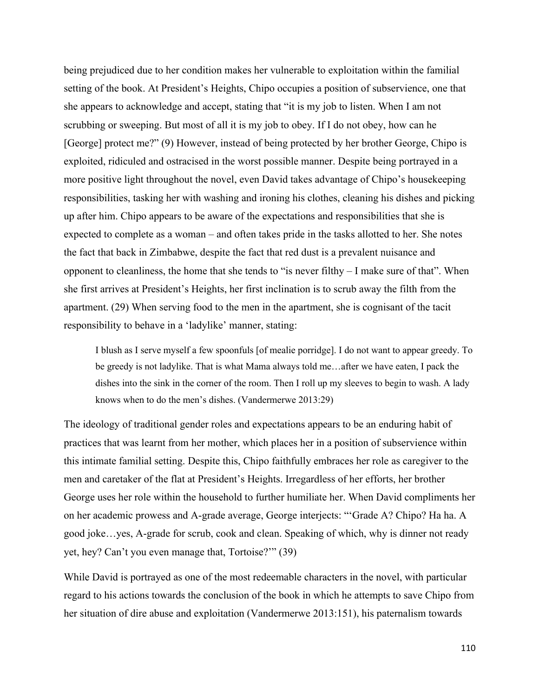being prejudiced due to her condition makes her vulnerable to exploitation within the familial setting of the book. At President's Heights, Chipo occupies a position of subservience, one that she appears to acknowledge and accept, stating that "it is my job to listen. When I am not scrubbing or sweeping. But most of all it is my job to obey. If I do not obey, how can he [George] protect me?" (9) However, instead of being protected by her brother George, Chipo is exploited, ridiculed and ostracised in the worst possible manner. Despite being portrayed in a more positive light throughout the novel, even David takes advantage of Chipo's housekeeping responsibilities, tasking her with washing and ironing his clothes, cleaning his dishes and picking up after him. Chipo appears to be aware of the expectations and responsibilities that she is expected to complete as a woman – and often takes pride in the tasks allotted to her. She notes the fact that back in Zimbabwe, despite the fact that red dust is a prevalent nuisance and opponent to cleanliness, the home that she tends to "is never filthy – I make sure of that". When she first arrives at President's Heights, her first inclination is to scrub away the filth from the apartment. (29) When serving food to the men in the apartment, she is cognisant of the tacit responsibility to behave in a 'ladylike' manner, stating:

I blush as I serve myself a few spoonfuls [of mealie porridge]. I do not want to appear greedy. To be greedy is not ladylike. That is what Mama always told me…after we have eaten, I pack the dishes into the sink in the corner of the room. Then I roll up my sleeves to begin to wash. A lady knows when to do the men's dishes. (Vandermerwe 2013:29)

The ideology of traditional gender roles and expectations appears to be an enduring habit of practices that was learnt from her mother, which places her in a position of subservience within this intimate familial setting. Despite this, Chipo faithfully embraces her role as caregiver to the men and caretaker of the flat at President's Heights. Irregardless of her efforts, her brother George uses her role within the household to further humiliate her. When David compliments her on her academic prowess and A-grade average, George interjects: "'Grade A? Chipo? Ha ha. A good joke…yes, A-grade for scrub, cook and clean. Speaking of which, why is dinner not ready yet, hey? Can't you even manage that, Tortoise?'" (39)

While David is portrayed as one of the most redeemable characters in the novel, with particular regard to his actions towards the conclusion of the book in which he attempts to save Chipo from her situation of dire abuse and exploitation (Vandermerwe 2013:151), his paternalism towards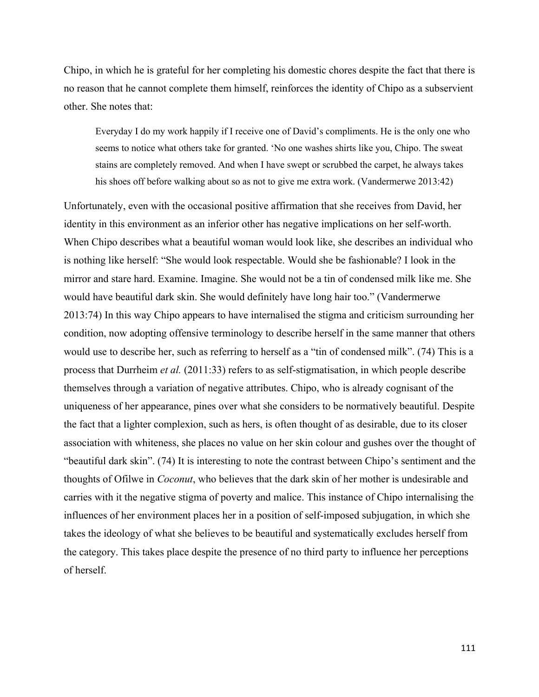Chipo, in which he is grateful for her completing his domestic chores despite the fact that there is no reason that he cannot complete them himself, reinforces the identity of Chipo as a subservient other. She notes that:

Everyday I do my work happily if I receive one of David's compliments. He is the only one who seems to notice what others take for granted. 'No one washes shirts like you, Chipo. The sweat stains are completely removed. And when I have swept or scrubbed the carpet, he always takes his shoes off before walking about so as not to give me extra work. (Vandermerwe 2013:42)

Unfortunately, even with the occasional positive affirmation that she receives from David, her identity in this environment as an inferior other has negative implications on her self-worth. When Chipo describes what a beautiful woman would look like, she describes an individual who is nothing like herself: "She would look respectable. Would she be fashionable? I look in the mirror and stare hard. Examine. Imagine. She would not be a tin of condensed milk like me. She would have beautiful dark skin. She would definitely have long hair too." (Vandermerwe 2013:74) In this way Chipo appears to have internalised the stigma and criticism surrounding her condition, now adopting offensive terminology to describe herself in the same manner that others would use to describe her, such as referring to herself as a "tin of condensed milk". (74) This is a process that Durrheim *et al.* (2011:33) refers to as self-stigmatisation, in which people describe themselves through a variation of negative attributes. Chipo, who is already cognisant of the uniqueness of her appearance, pines over what she considers to be normatively beautiful. Despite the fact that a lighter complexion, such as hers, is often thought of as desirable, due to its closer association with whiteness, she places no value on her skin colour and gushes over the thought of "beautiful dark skin". (74) It is interesting to note the contrast between Chipo's sentiment and the thoughts of Ofilwe in *Coconut*, who believes that the dark skin of her mother is undesirable and carries with it the negative stigma of poverty and malice. This instance of Chipo internalising the influences of her environment places her in a position of self-imposed subjugation, in which she takes the ideology of what she believes to be beautiful and systematically excludes herself from the category. This takes place despite the presence of no third party to influence her perceptions of herself.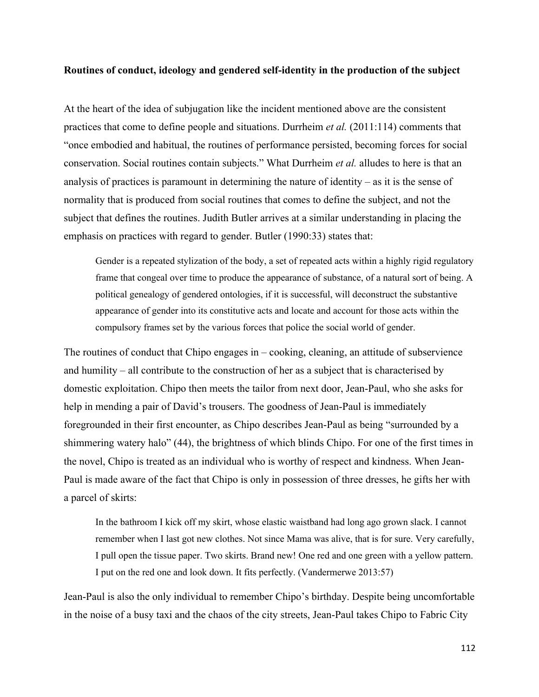## **Routines of conduct, ideology and gendered self-identity in the production of the subject**

At the heart of the idea of subjugation like the incident mentioned above are the consistent practices that come to define people and situations. Durrheim *et al.* (2011:114) comments that "once embodied and habitual, the routines of performance persisted, becoming forces for social conservation. Social routines contain subjects." What Durrheim *et al.* alludes to here is that an analysis of practices is paramount in determining the nature of identity – as it is the sense of normality that is produced from social routines that comes to define the subject, and not the subject that defines the routines. Judith Butler arrives at a similar understanding in placing the emphasis on practices with regard to gender. Butler (1990:33) states that:

Gender is a repeated stylization of the body, a set of repeated acts within a highly rigid regulatory frame that congeal over time to produce the appearance of substance, of a natural sort of being. A political genealogy of gendered ontologies, if it is successful, will deconstruct the substantive appearance of gender into its constitutive acts and locate and account for those acts within the compulsory frames set by the various forces that police the social world of gender.

The routines of conduct that Chipo engages in – cooking, cleaning, an attitude of subservience and humility – all contribute to the construction of her as a subject that is characterised by domestic exploitation. Chipo then meets the tailor from next door, Jean-Paul, who she asks for help in mending a pair of David's trousers. The goodness of Jean-Paul is immediately foregrounded in their first encounter, as Chipo describes Jean-Paul as being "surrounded by a shimmering watery halo" (44), the brightness of which blinds Chipo. For one of the first times in the novel, Chipo is treated as an individual who is worthy of respect and kindness. When Jean-Paul is made aware of the fact that Chipo is only in possession of three dresses, he gifts her with a parcel of skirts:

In the bathroom I kick off my skirt, whose elastic waistband had long ago grown slack. I cannot remember when I last got new clothes. Not since Mama was alive, that is for sure. Very carefully, I pull open the tissue paper. Two skirts. Brand new! One red and one green with a yellow pattern. I put on the red one and look down. It fits perfectly. (Vandermerwe 2013:57)

Jean-Paul is also the only individual to remember Chipo's birthday. Despite being uncomfortable in the noise of a busy taxi and the chaos of the city streets, Jean-Paul takes Chipo to Fabric City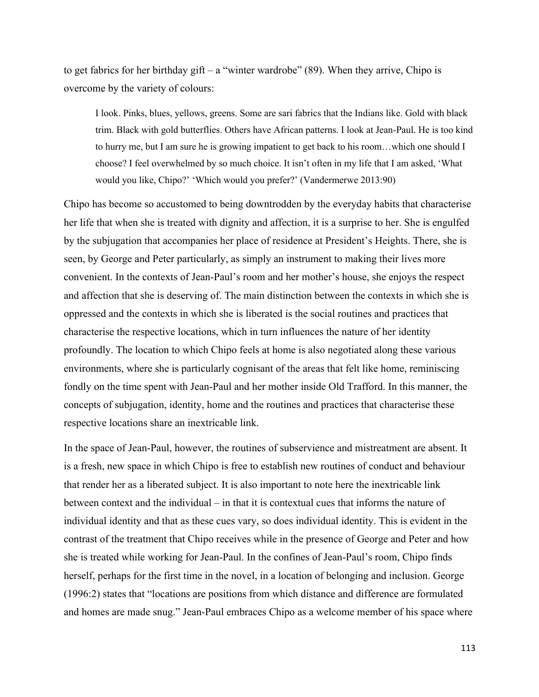to get fabrics for her birthday gift – a "winter wardrobe"  $(89)$ . When they arrive, Chipo is overcome by the variety of colours:

I look. Pinks, blues, yellows, greens. Some are sari fabrics that the Indians like. Gold with black trim. Black with gold butterflies. Others have African patterns. I look at Jean-Paul. He is too kind to hurry me, but I am sure he is growing impatient to get back to his room…which one should I choose? I feel overwhelmed by so much choice. It isn't often in my life that I am asked, 'What would you like, Chipo?' 'Which would you prefer?' (Vandermerwe 2013:90)

Chipo has become so accustomed to being downtrodden by the everyday habits that characterise her life that when she is treated with dignity and affection, it is a surprise to her. She is engulfed by the subjugation that accompanies her place of residence at President's Heights. There, she is seen, by George and Peter particularly, as simply an instrument to making their lives more convenient. In the contexts of Jean-Paul's room and her mother's house, she enjoys the respect and affection that she is deserving of. The main distinction between the contexts in which she is oppressed and the contexts in which she is liberated is the social routines and practices that characterise the respective locations, which in turn influences the nature of her identity profoundly. The location to which Chipo feels at home is also negotiated along these various environments, where she is particularly cognisant of the areas that felt like home, reminiscing fondly on the time spent with Jean-Paul and her mother inside Old Trafford. In this manner, the concepts of subjugation, identity, home and the routines and practices that characterise these respective locations share an inextricable link.

In the space of Jean-Paul, however, the routines of subservience and mistreatment are absent. It is a fresh, new space in which Chipo is free to establish new routines of conduct and behaviour that render her as a liberated subject. It is also important to note here the inextricable link between context and the individual – in that it is contextual cues that informs the nature of individual identity and that as these cues vary, so does individual identity. This is evident in the contrast of the treatment that Chipo receives while in the presence of George and Peter and how she is treated while working for Jean-Paul. In the confines of Jean-Paul's room, Chipo finds herself, perhaps for the first time in the novel, in a location of belonging and inclusion. George (1996:2) states that "locations are positions from which distance and difference are formulated and homes are made snug." Jean-Paul embraces Chipo as a welcome member of his space where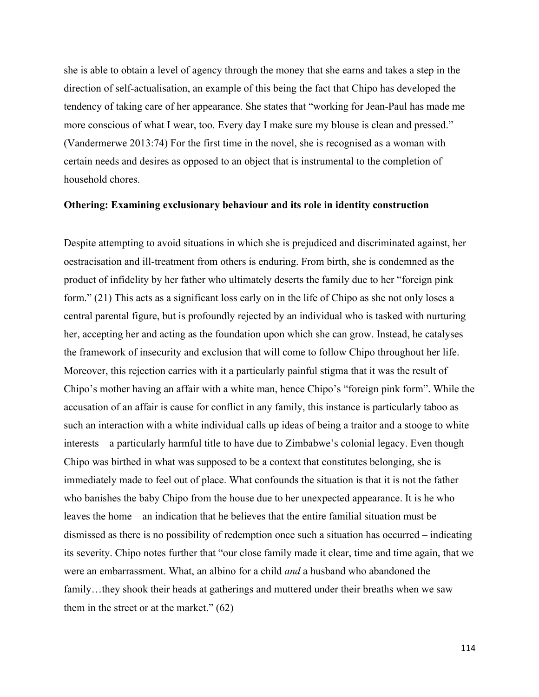she is able to obtain a level of agency through the money that she earns and takes a step in the direction of self-actualisation, an example of this being the fact that Chipo has developed the tendency of taking care of her appearance. She states that "working for Jean-Paul has made me more conscious of what I wear, too. Every day I make sure my blouse is clean and pressed." (Vandermerwe 2013:74) For the first time in the novel, she is recognised as a woman with certain needs and desires as opposed to an object that is instrumental to the completion of household chores.

## **Othering: Examining exclusionary behaviour and its role in identity construction**

Despite attempting to avoid situations in which she is prejudiced and discriminated against, her oestracisation and ill-treatment from others is enduring. From birth, she is condemned as the product of infidelity by her father who ultimately deserts the family due to her "foreign pink form." (21) This acts as a significant loss early on in the life of Chipo as she not only loses a central parental figure, but is profoundly rejected by an individual who is tasked with nurturing her, accepting her and acting as the foundation upon which she can grow. Instead, he catalyses the framework of insecurity and exclusion that will come to follow Chipo throughout her life. Moreover, this rejection carries with it a particularly painful stigma that it was the result of Chipo's mother having an affair with a white man, hence Chipo's "foreign pink form". While the accusation of an affair is cause for conflict in any family, this instance is particularly taboo as such an interaction with a white individual calls up ideas of being a traitor and a stooge to white interests – a particularly harmful title to have due to Zimbabwe's colonial legacy. Even though Chipo was birthed in what was supposed to be a context that constitutes belonging, she is immediately made to feel out of place. What confounds the situation is that it is not the father who banishes the baby Chipo from the house due to her unexpected appearance. It is he who leaves the home – an indication that he believes that the entire familial situation must be dismissed as there is no possibility of redemption once such a situation has occurred – indicating its severity. Chipo notes further that "our close family made it clear, time and time again, that we were an embarrassment. What, an albino for a child *and* a husband who abandoned the family…they shook their heads at gatherings and muttered under their breaths when we saw them in the street or at the market." (62)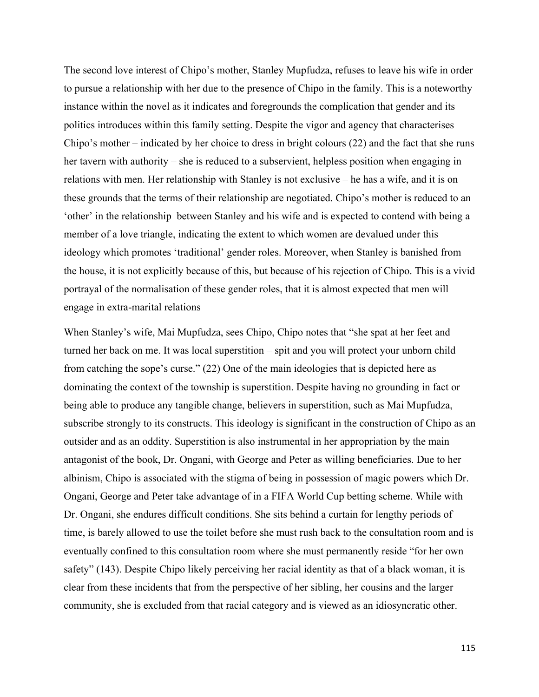The second love interest of Chipo's mother, Stanley Mupfudza, refuses to leave his wife in order to pursue a relationship with her due to the presence of Chipo in the family. This is a noteworthy instance within the novel as it indicates and foregrounds the complication that gender and its politics introduces within this family setting. Despite the vigor and agency that characterises Chipo's mother – indicated by her choice to dress in bright colours (22) and the fact that she runs her tavern with authority – she is reduced to a subservient, helpless position when engaging in relations with men. Her relationship with Stanley is not exclusive – he has a wife, and it is on these grounds that the terms of their relationship are negotiated. Chipo's mother is reduced to an 'other' in the relationship between Stanley and his wife and is expected to contend with being a member of a love triangle, indicating the extent to which women are devalued under this ideology which promotes 'traditional' gender roles. Moreover, when Stanley is banished from the house, it is not explicitly because of this, but because of his rejection of Chipo. This is a vivid portrayal of the normalisation of these gender roles, that it is almost expected that men will engage in extra-marital relations

When Stanley's wife, Mai Mupfudza, sees Chipo, Chipo notes that "she spat at her feet and turned her back on me. It was local superstition – spit and you will protect your unborn child from catching the sope's curse." (22) One of the main ideologies that is depicted here as dominating the context of the township is superstition. Despite having no grounding in fact or being able to produce any tangible change, believers in superstition, such as Mai Mupfudza, subscribe strongly to its constructs. This ideology is significant in the construction of Chipo as an outsider and as an oddity. Superstition is also instrumental in her appropriation by the main antagonist of the book, Dr. Ongani, with George and Peter as willing beneficiaries. Due to her albinism, Chipo is associated with the stigma of being in possession of magic powers which Dr. Ongani, George and Peter take advantage of in a FIFA World Cup betting scheme. While with Dr. Ongani, she endures difficult conditions. She sits behind a curtain for lengthy periods of time, is barely allowed to use the toilet before she must rush back to the consultation room and is eventually confined to this consultation room where she must permanently reside "for her own safety" (143). Despite Chipo likely perceiving her racial identity as that of a black woman, it is clear from these incidents that from the perspective of her sibling, her cousins and the larger community, she is excluded from that racial category and is viewed as an idiosyncratic other.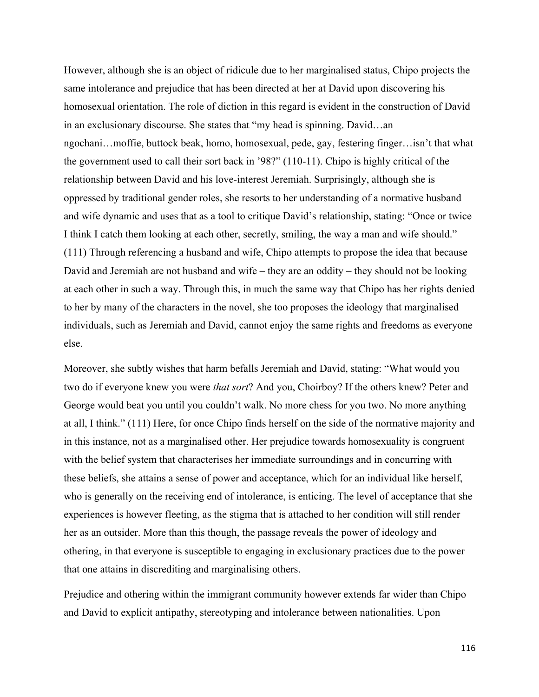However, although she is an object of ridicule due to her marginalised status, Chipo projects the same intolerance and prejudice that has been directed at her at David upon discovering his homosexual orientation. The role of diction in this regard is evident in the construction of David in an exclusionary discourse. She states that "my head is spinning. David…an ngochani…moffie, buttock beak, homo, homosexual, pede, gay, festering finger…isn't that what the government used to call their sort back in '98?" (110-11). Chipo is highly critical of the relationship between David and his love-interest Jeremiah. Surprisingly, although she is oppressed by traditional gender roles, she resorts to her understanding of a normative husband and wife dynamic and uses that as a tool to critique David's relationship, stating: "Once or twice I think I catch them looking at each other, secretly, smiling, the way a man and wife should." (111) Through referencing a husband and wife, Chipo attempts to propose the idea that because David and Jeremiah are not husband and wife – they are an oddity – they should not be looking at each other in such a way. Through this, in much the same way that Chipo has her rights denied to her by many of the characters in the novel, she too proposes the ideology that marginalised individuals, such as Jeremiah and David, cannot enjoy the same rights and freedoms as everyone else.

Moreover, she subtly wishes that harm befalls Jeremiah and David, stating: "What would you two do if everyone knew you were *that sort*? And you, Choirboy? If the others knew? Peter and George would beat you until you couldn't walk. No more chess for you two. No more anything at all, I think." (111) Here, for once Chipo finds herself on the side of the normative majority and in this instance, not as a marginalised other. Her prejudice towards homosexuality is congruent with the belief system that characterises her immediate surroundings and in concurring with these beliefs, she attains a sense of power and acceptance, which for an individual like herself, who is generally on the receiving end of intolerance, is enticing. The level of acceptance that she experiences is however fleeting, as the stigma that is attached to her condition will still render her as an outsider. More than this though, the passage reveals the power of ideology and othering, in that everyone is susceptible to engaging in exclusionary practices due to the power that one attains in discrediting and marginalising others.

Prejudice and othering within the immigrant community however extends far wider than Chipo and David to explicit antipathy, stereotyping and intolerance between nationalities. Upon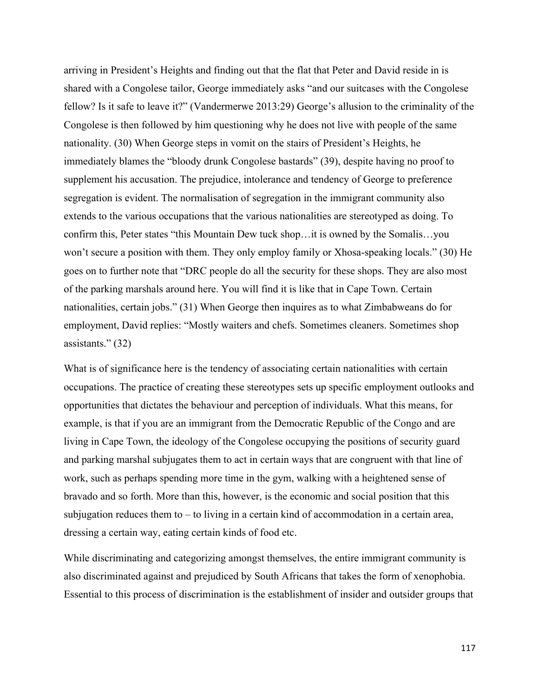arriving in President's Heights and finding out that the flat that Peter and David reside in is shared with a Congolese tailor, George immediately asks "and our suitcases with the Congolese fellow? Is it safe to leave it?" (Vandermerwe 2013:29) George's allusion to the criminality of the Congolese is then followed by him questioning why he does not live with people of the same nationality. (30) When George steps in vomit on the stairs of President's Heights, he immediately blames the "bloody drunk Congolese bastards" (39), despite having no proof to supplement his accusation. The prejudice, intolerance and tendency of George to preference segregation is evident. The normalisation of segregation in the immigrant community also extends to the various occupations that the various nationalities are stereotyped as doing. To confirm this, Peter states "this Mountain Dew tuck shop…it is owned by the Somalis…you won't secure a position with them. They only employ family or Xhosa-speaking locals." (30) He goes on to further note that "DRC people do all the security for these shops. They are also most of the parking marshals around here. You will find it is like that in Cape Town. Certain nationalities, certain jobs." (31) When George then inquires as to what Zimbabweans do for employment, David replies: "Mostly waiters and chefs. Sometimes cleaners. Sometimes shop assistants." (32)

What is of significance here is the tendency of associating certain nationalities with certain occupations. The practice of creating these stereotypes sets up specific employment outlooks and opportunities that dictates the behaviour and perception of individuals. What this means, for example, is that if you are an immigrant from the Democratic Republic of the Congo and are living in Cape Town, the ideology of the Congolese occupying the positions of security guard and parking marshal subjugates them to act in certain ways that are congruent with that line of work, such as perhaps spending more time in the gym, walking with a heightened sense of bravado and so forth. More than this, however, is the economic and social position that this subjugation reduces them to – to living in a certain kind of accommodation in a certain area, dressing a certain way, eating certain kinds of food etc.

While discriminating and categorizing amongst themselves, the entire immigrant community is also discriminated against and prejudiced by South Africans that takes the form of xenophobia. Essential to this process of discrimination is the establishment of insider and outsider groups that

117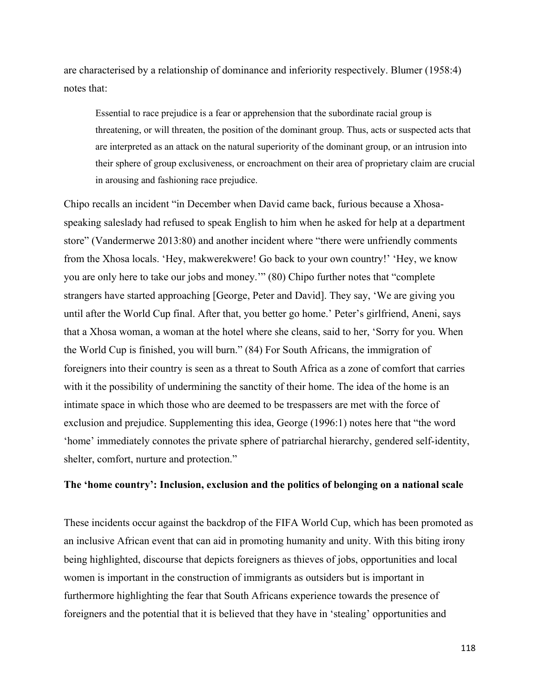are characterised by a relationship of dominance and inferiority respectively. Blumer (1958:4) notes that:

Essential to race prejudice is a fear or apprehension that the subordinate racial group is threatening, or will threaten, the position of the dominant group. Thus, acts or suspected acts that are interpreted as an attack on the natural superiority of the dominant group, or an intrusion into their sphere of group exclusiveness, or encroachment on their area of proprietary claim are crucial in arousing and fashioning race prejudice.

Chipo recalls an incident "in December when David came back, furious because a Xhosaspeaking saleslady had refused to speak English to him when he asked for help at a department store" (Vandermerwe 2013:80) and another incident where "there were unfriendly comments from the Xhosa locals. 'Hey, makwerekwere! Go back to your own country!' 'Hey, we know you are only here to take our jobs and money.'" (80) Chipo further notes that "complete strangers have started approaching [George, Peter and David]. They say, 'We are giving you until after the World Cup final. After that, you better go home.' Peter's girlfriend, Aneni, says that a Xhosa woman, a woman at the hotel where she cleans, said to her, 'Sorry for you. When the World Cup is finished, you will burn." (84) For South Africans, the immigration of foreigners into their country is seen as a threat to South Africa as a zone of comfort that carries with it the possibility of undermining the sanctity of their home. The idea of the home is an intimate space in which those who are deemed to be trespassers are met with the force of exclusion and prejudice. Supplementing this idea, George (1996:1) notes here that "the word 'home' immediately connotes the private sphere of patriarchal hierarchy, gendered self-identity, shelter, comfort, nurture and protection."

## **The 'home country': Inclusion, exclusion and the politics of belonging on a national scale**

These incidents occur against the backdrop of the FIFA World Cup, which has been promoted as an inclusive African event that can aid in promoting humanity and unity. With this biting irony being highlighted, discourse that depicts foreigners as thieves of jobs, opportunities and local women is important in the construction of immigrants as outsiders but is important in furthermore highlighting the fear that South Africans experience towards the presence of foreigners and the potential that it is believed that they have in 'stealing' opportunities and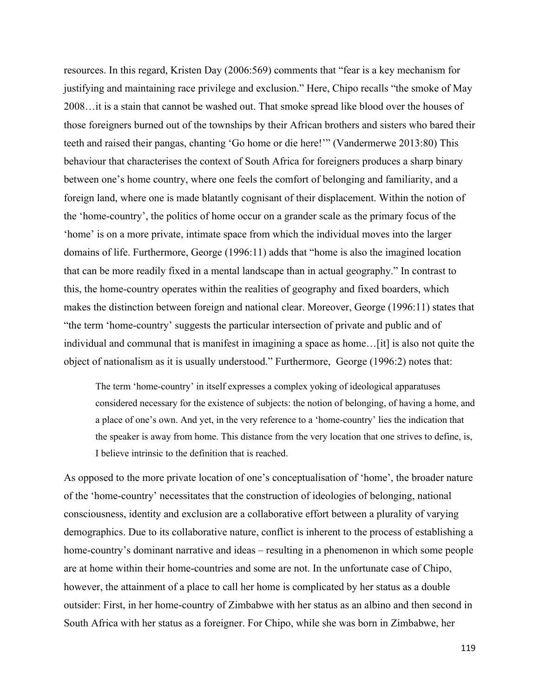resources. In this regard, Kristen Day (2006:569) comments that "fear is a key mechanism for justifying and maintaining race privilege and exclusion." Here, Chipo recalls "the smoke of May 2008…it is a stain that cannot be washed out. That smoke spread like blood over the houses of those foreigners burned out of the townships by their African brothers and sisters who bared their teeth and raised their pangas, chanting 'Go home or die here!'" (Vandermerwe 2013:80) This behaviour that characterises the context of South Africa for foreigners produces a sharp binary between one's home country, where one feels the comfort of belonging and familiarity, and a foreign land, where one is made blatantly cognisant of their displacement. Within the notion of the 'home-country', the politics of home occur on a grander scale as the primary focus of the 'home' is on a more private, intimate space from which the individual moves into the larger domains of life. Furthermore, George (1996:11) adds that "home is also the imagined location that can be more readily fixed in a mental landscape than in actual geography." In contrast to this, the home-country operates within the realities of geography and fixed boarders, which makes the distinction between foreign and national clear. Moreover, George (1996:11) states that "the term 'home-country' suggests the particular intersection of private and public and of individual and communal that is manifest in imagining a space as home…[it] is also not quite the object of nationalism as it is usually understood." Furthermore, George (1996:2) notes that:

The term 'home-country' in itself expresses a complex yoking of ideological apparatuses considered necessary for the existence of subjects: the notion of belonging, of having a home, and a place of one's own. And yet, in the very reference to a 'home-country' lies the indication that the speaker is away from home. This distance from the very location that one strives to define, is, I believe intrinsic to the definition that is reached.

As opposed to the more private location of one's conceptualisation of 'home', the broader nature of the 'home-country' necessitates that the construction of ideologies of belonging, national consciousness, identity and exclusion are a collaborative effort between a plurality of varying demographics. Due to its collaborative nature, conflict is inherent to the process of establishing a home-country's dominant narrative and ideas – resulting in a phenomenon in which some people are at home within their home-countries and some are not. In the unfortunate case of Chipo, however, the attainment of a place to call her home is complicated by her status as a double outsider: First, in her home-country of Zimbabwe with her status as an albino and then second in South Africa with her status as a foreigner. For Chipo, while she was born in Zimbabwe, her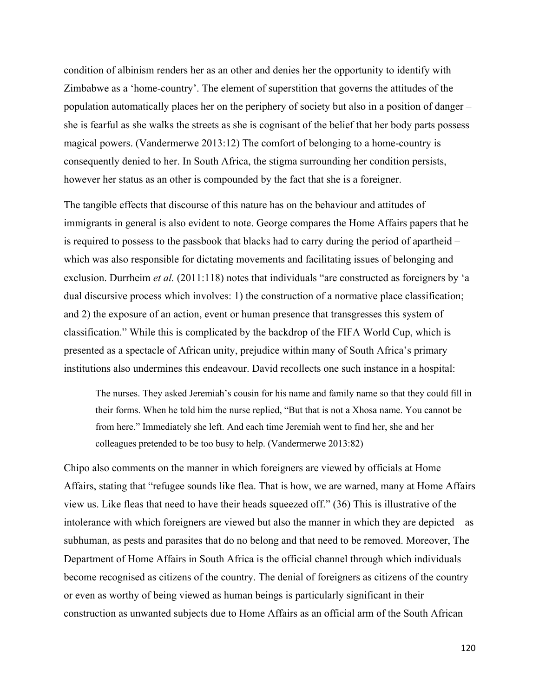condition of albinism renders her as an other and denies her the opportunity to identify with Zimbabwe as a 'home-country'. The element of superstition that governs the attitudes of the population automatically places her on the periphery of society but also in a position of danger – she is fearful as she walks the streets as she is cognisant of the belief that her body parts possess magical powers. (Vandermerwe 2013:12) The comfort of belonging to a home-country is consequently denied to her. In South Africa, the stigma surrounding her condition persists, however her status as an other is compounded by the fact that she is a foreigner.

The tangible effects that discourse of this nature has on the behaviour and attitudes of immigrants in general is also evident to note. George compares the Home Affairs papers that he is required to possess to the passbook that blacks had to carry during the period of apartheid – which was also responsible for dictating movements and facilitating issues of belonging and exclusion. Durrheim *et al.* (2011:118) notes that individuals "are constructed as foreigners by 'a dual discursive process which involves: 1) the construction of a normative place classification; and 2) the exposure of an action, event or human presence that transgresses this system of classification." While this is complicated by the backdrop of the FIFA World Cup, which is presented as a spectacle of African unity, prejudice within many of South Africa's primary institutions also undermines this endeavour. David recollects one such instance in a hospital:

The nurses. They asked Jeremiah's cousin for his name and family name so that they could fill in their forms. When he told him the nurse replied, "But that is not a Xhosa name. You cannot be from here." Immediately she left. And each time Jeremiah went to find her, she and her colleagues pretended to be too busy to help. (Vandermerwe 2013:82)

Chipo also comments on the manner in which foreigners are viewed by officials at Home Affairs, stating that "refugee sounds like flea. That is how, we are warned, many at Home Affairs view us. Like fleas that need to have their heads squeezed off." (36) This is illustrative of the intolerance with which foreigners are viewed but also the manner in which they are depicted – as subhuman, as pests and parasites that do no belong and that need to be removed. Moreover, The Department of Home Affairs in South Africa is the official channel through which individuals become recognised as citizens of the country. The denial of foreigners as citizens of the country or even as worthy of being viewed as human beings is particularly significant in their construction as unwanted subjects due to Home Affairs as an official arm of the South African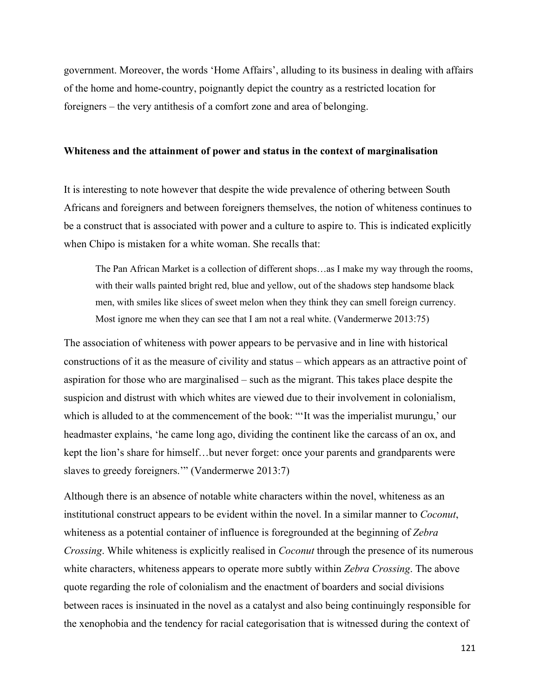government. Moreover, the words 'Home Affairs', alluding to its business in dealing with affairs of the home and home-country, poignantly depict the country as a restricted location for foreigners – the very antithesis of a comfort zone and area of belonging.

#### **Whiteness and the attainment of power and status in the context of marginalisation**

It is interesting to note however that despite the wide prevalence of othering between South Africans and foreigners and between foreigners themselves, the notion of whiteness continues to be a construct that is associated with power and a culture to aspire to. This is indicated explicitly when Chipo is mistaken for a white woman. She recalls that:

The Pan African Market is a collection of different shops…as I make my way through the rooms, with their walls painted bright red, blue and yellow, out of the shadows step handsome black men, with smiles like slices of sweet melon when they think they can smell foreign currency. Most ignore me when they can see that I am not a real white. (Vandermerwe 2013:75)

The association of whiteness with power appears to be pervasive and in line with historical constructions of it as the measure of civility and status – which appears as an attractive point of aspiration for those who are marginalised – such as the migrant. This takes place despite the suspicion and distrust with which whites are viewed due to their involvement in colonialism, which is alluded to at the commencement of the book: "'It was the imperialist murungu,' our headmaster explains, 'he came long ago, dividing the continent like the carcass of an ox, and kept the lion's share for himself…but never forget: once your parents and grandparents were slaves to greedy foreigners.'" (Vandermerwe 2013:7)

Although there is an absence of notable white characters within the novel, whiteness as an institutional construct appears to be evident within the novel. In a similar manner to *Coconut*, whiteness as a potential container of influence is foregrounded at the beginning of *Zebra Crossing*. While whiteness is explicitly realised in *Coconut* through the presence of its numerous white characters, whiteness appears to operate more subtly within *Zebra Crossing*. The above quote regarding the role of colonialism and the enactment of boarders and social divisions between races is insinuated in the novel as a catalyst and also being continuingly responsible for the xenophobia and the tendency for racial categorisation that is witnessed during the context of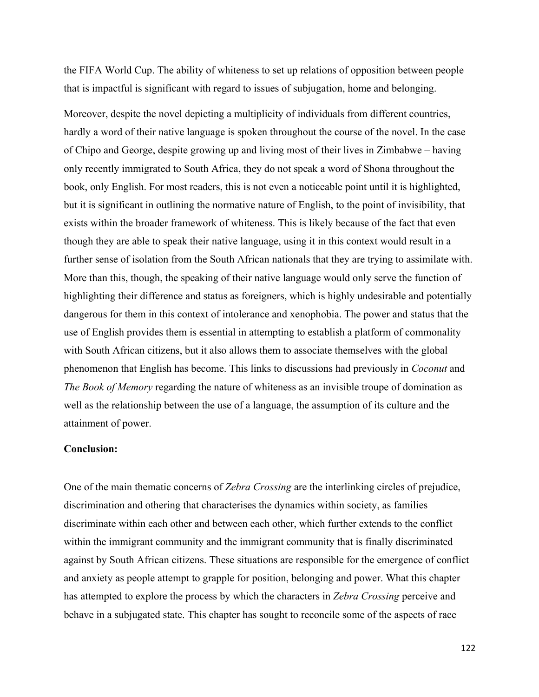the FIFA World Cup. The ability of whiteness to set up relations of opposition between people that is impactful is significant with regard to issues of subjugation, home and belonging.

Moreover, despite the novel depicting a multiplicity of individuals from different countries, hardly a word of their native language is spoken throughout the course of the novel. In the case of Chipo and George, despite growing up and living most of their lives in Zimbabwe – having only recently immigrated to South Africa, they do not speak a word of Shona throughout the book, only English. For most readers, this is not even a noticeable point until it is highlighted, but it is significant in outlining the normative nature of English, to the point of invisibility, that exists within the broader framework of whiteness. This is likely because of the fact that even though they are able to speak their native language, using it in this context would result in a further sense of isolation from the South African nationals that they are trying to assimilate with. More than this, though, the speaking of their native language would only serve the function of highlighting their difference and status as foreigners, which is highly undesirable and potentially dangerous for them in this context of intolerance and xenophobia. The power and status that the use of English provides them is essential in attempting to establish a platform of commonality with South African citizens, but it also allows them to associate themselves with the global phenomenon that English has become. This links to discussions had previously in *Coconut* and *The Book of Memory* regarding the nature of whiteness as an invisible troupe of domination as well as the relationship between the use of a language, the assumption of its culture and the attainment of power.

## **Conclusion:**

One of the main thematic concerns of *Zebra Crossing* are the interlinking circles of prejudice, discrimination and othering that characterises the dynamics within society, as families discriminate within each other and between each other, which further extends to the conflict within the immigrant community and the immigrant community that is finally discriminated against by South African citizens. These situations are responsible for the emergence of conflict and anxiety as people attempt to grapple for position, belonging and power. What this chapter has attempted to explore the process by which the characters in *Zebra Crossing* perceive and behave in a subjugated state. This chapter has sought to reconcile some of the aspects of race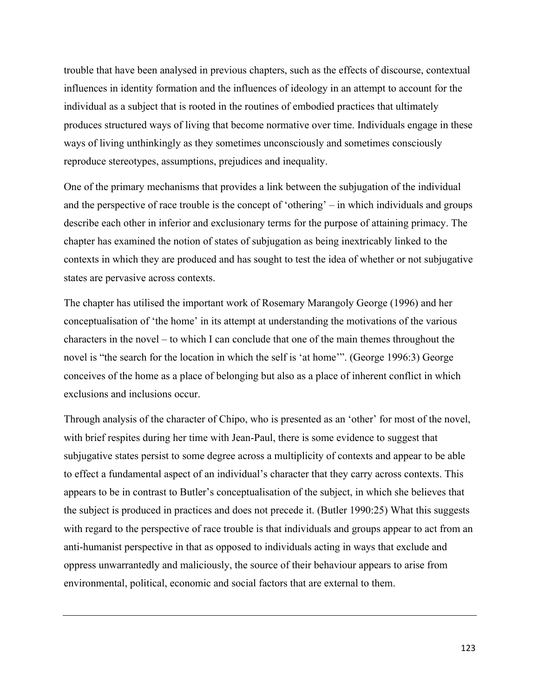trouble that have been analysed in previous chapters, such as the effects of discourse, contextual influences in identity formation and the influences of ideology in an attempt to account for the individual as a subject that is rooted in the routines of embodied practices that ultimately produces structured ways of living that become normative over time. Individuals engage in these ways of living unthinkingly as they sometimes unconsciously and sometimes consciously reproduce stereotypes, assumptions, prejudices and inequality.

One of the primary mechanisms that provides a link between the subjugation of the individual and the perspective of race trouble is the concept of 'othering' – in which individuals and groups describe each other in inferior and exclusionary terms for the purpose of attaining primacy. The chapter has examined the notion of states of subjugation as being inextricably linked to the contexts in which they are produced and has sought to test the idea of whether or not subjugative states are pervasive across contexts.

The chapter has utilised the important work of Rosemary Marangoly George (1996) and her conceptualisation of 'the home' in its attempt at understanding the motivations of the various characters in the novel – to which I can conclude that one of the main themes throughout the novel is "the search for the location in which the self is 'at home'". (George 1996:3) George conceives of the home as a place of belonging but also as a place of inherent conflict in which exclusions and inclusions occur.

Through analysis of the character of Chipo, who is presented as an 'other' for most of the novel, with brief respites during her time with Jean-Paul, there is some evidence to suggest that subjugative states persist to some degree across a multiplicity of contexts and appear to be able to effect a fundamental aspect of an individual's character that they carry across contexts. This appears to be in contrast to Butler's conceptualisation of the subject, in which she believes that the subject is produced in practices and does not precede it. (Butler 1990:25) What this suggests with regard to the perspective of race trouble is that individuals and groups appear to act from an anti-humanist perspective in that as opposed to individuals acting in ways that exclude and oppress unwarrantedly and maliciously, the source of their behaviour appears to arise from environmental, political, economic and social factors that are external to them.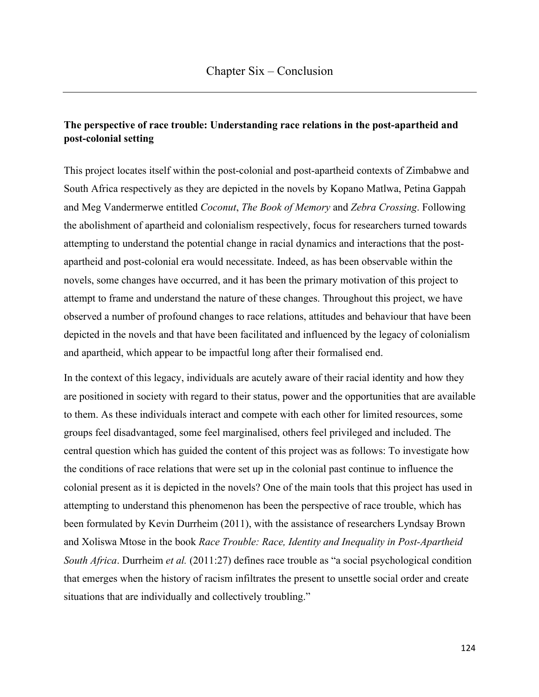# **The perspective of race trouble: Understanding race relations in the post-apartheid and post-colonial setting**

This project locates itself within the post-colonial and post-apartheid contexts of Zimbabwe and South Africa respectively as they are depicted in the novels by Kopano Matlwa, Petina Gappah and Meg Vandermerwe entitled *Coconut*, *The Book of Memory* and *Zebra Crossing*. Following the abolishment of apartheid and colonialism respectively, focus for researchers turned towards attempting to understand the potential change in racial dynamics and interactions that the postapartheid and post-colonial era would necessitate. Indeed, as has been observable within the novels, some changes have occurred, and it has been the primary motivation of this project to attempt to frame and understand the nature of these changes. Throughout this project, we have observed a number of profound changes to race relations, attitudes and behaviour that have been depicted in the novels and that have been facilitated and influenced by the legacy of colonialism and apartheid, which appear to be impactful long after their formalised end.

In the context of this legacy, individuals are acutely aware of their racial identity and how they are positioned in society with regard to their status, power and the opportunities that are available to them. As these individuals interact and compete with each other for limited resources, some groups feel disadvantaged, some feel marginalised, others feel privileged and included. The central question which has guided the content of this project was as follows: To investigate how the conditions of race relations that were set up in the colonial past continue to influence the colonial present as it is depicted in the novels? One of the main tools that this project has used in attempting to understand this phenomenon has been the perspective of race trouble, which has been formulated by Kevin Durrheim (2011), with the assistance of researchers Lyndsay Brown and Xoliswa Mtose in the book *Race Trouble: Race, Identity and Inequality in Post-Apartheid South Africa*. Durrheim *et al.* (2011:27) defines race trouble as "a social psychological condition that emerges when the history of racism infiltrates the present to unsettle social order and create situations that are individually and collectively troubling."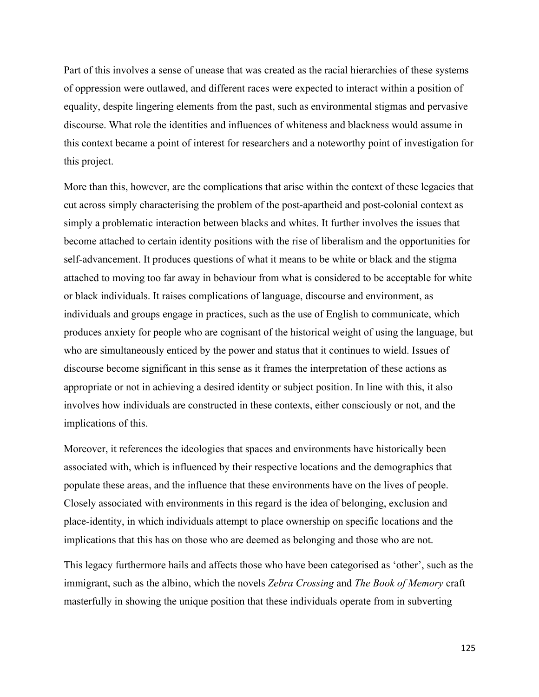Part of this involves a sense of unease that was created as the racial hierarchies of these systems of oppression were outlawed, and different races were expected to interact within a position of equality, despite lingering elements from the past, such as environmental stigmas and pervasive discourse. What role the identities and influences of whiteness and blackness would assume in this context became a point of interest for researchers and a noteworthy point of investigation for this project.

More than this, however, are the complications that arise within the context of these legacies that cut across simply characterising the problem of the post-apartheid and post-colonial context as simply a problematic interaction between blacks and whites. It further involves the issues that become attached to certain identity positions with the rise of liberalism and the opportunities for self-advancement. It produces questions of what it means to be white or black and the stigma attached to moving too far away in behaviour from what is considered to be acceptable for white or black individuals. It raises complications of language, discourse and environment, as individuals and groups engage in practices, such as the use of English to communicate, which produces anxiety for people who are cognisant of the historical weight of using the language, but who are simultaneously enticed by the power and status that it continues to wield. Issues of discourse become significant in this sense as it frames the interpretation of these actions as appropriate or not in achieving a desired identity or subject position. In line with this, it also involves how individuals are constructed in these contexts, either consciously or not, and the implications of this.

Moreover, it references the ideologies that spaces and environments have historically been associated with, which is influenced by their respective locations and the demographics that populate these areas, and the influence that these environments have on the lives of people. Closely associated with environments in this regard is the idea of belonging, exclusion and place-identity, in which individuals attempt to place ownership on specific locations and the implications that this has on those who are deemed as belonging and those who are not.

This legacy furthermore hails and affects those who have been categorised as 'other', such as the immigrant, such as the albino, which the novels *Zebra Crossing* and *The Book of Memory* craft masterfully in showing the unique position that these individuals operate from in subverting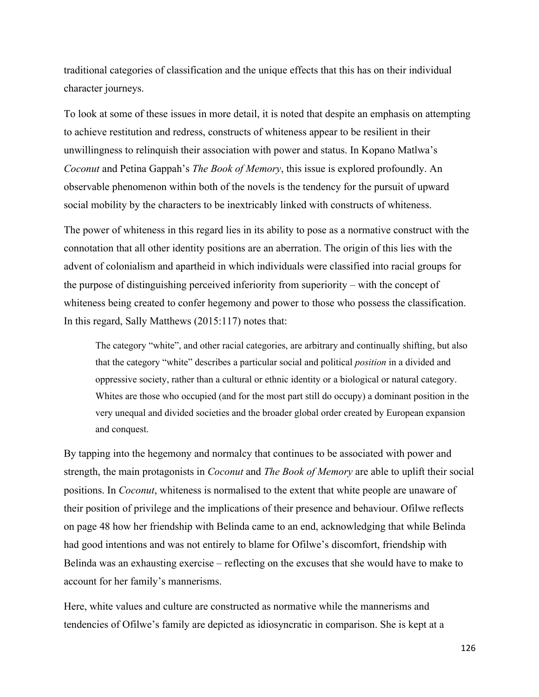traditional categories of classification and the unique effects that this has on their individual character journeys.

To look at some of these issues in more detail, it is noted that despite an emphasis on attempting to achieve restitution and redress, constructs of whiteness appear to be resilient in their unwillingness to relinquish their association with power and status. In Kopano Matlwa's *Coconut* and Petina Gappah's *The Book of Memory*, this issue is explored profoundly. An observable phenomenon within both of the novels is the tendency for the pursuit of upward social mobility by the characters to be inextricably linked with constructs of whiteness.

The power of whiteness in this regard lies in its ability to pose as a normative construct with the connotation that all other identity positions are an aberration. The origin of this lies with the advent of colonialism and apartheid in which individuals were classified into racial groups for the purpose of distinguishing perceived inferiority from superiority – with the concept of whiteness being created to confer hegemony and power to those who possess the classification. In this regard, Sally Matthews (2015:117) notes that:

The category "white", and other racial categories, are arbitrary and continually shifting, but also that the category "white" describes a particular social and political *position* in a divided and oppressive society, rather than a cultural or ethnic identity or a biological or natural category. Whites are those who occupied (and for the most part still do occupy) a dominant position in the very unequal and divided societies and the broader global order created by European expansion and conquest.

By tapping into the hegemony and normalcy that continues to be associated with power and strength, the main protagonists in *Coconut* and *The Book of Memory* are able to uplift their social positions. In *Coconut*, whiteness is normalised to the extent that white people are unaware of their position of privilege and the implications of their presence and behaviour. Ofilwe reflects on page 48 how her friendship with Belinda came to an end, acknowledging that while Belinda had good intentions and was not entirely to blame for Ofilwe's discomfort, friendship with Belinda was an exhausting exercise – reflecting on the excuses that she would have to make to account for her family's mannerisms.

Here, white values and culture are constructed as normative while the mannerisms and tendencies of Ofilwe's family are depicted as idiosyncratic in comparison. She is kept at a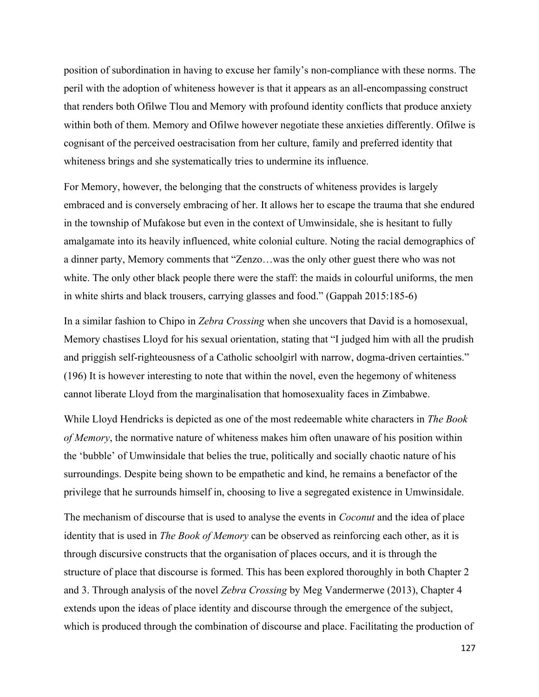position of subordination in having to excuse her family's non-compliance with these norms. The peril with the adoption of whiteness however is that it appears as an all-encompassing construct that renders both Ofilwe Tlou and Memory with profound identity conflicts that produce anxiety within both of them. Memory and Ofilwe however negotiate these anxieties differently. Ofilwe is cognisant of the perceived oestracisation from her culture, family and preferred identity that whiteness brings and she systematically tries to undermine its influence.

For Memory, however, the belonging that the constructs of whiteness provides is largely embraced and is conversely embracing of her. It allows her to escape the trauma that she endured in the township of Mufakose but even in the context of Umwinsidale, she is hesitant to fully amalgamate into its heavily influenced, white colonial culture. Noting the racial demographics of a dinner party, Memory comments that "Zenzo…was the only other guest there who was not white. The only other black people there were the staff: the maids in colourful uniforms, the men in white shirts and black trousers, carrying glasses and food." (Gappah 2015:185-6)

In a similar fashion to Chipo in *Zebra Crossing* when she uncovers that David is a homosexual, Memory chastises Lloyd for his sexual orientation, stating that "I judged him with all the prudish and priggish self-righteousness of a Catholic schoolgirl with narrow, dogma-driven certainties." (196) It is however interesting to note that within the novel, even the hegemony of whiteness cannot liberate Lloyd from the marginalisation that homosexuality faces in Zimbabwe.

While Lloyd Hendricks is depicted as one of the most redeemable white characters in *The Book of Memory*, the normative nature of whiteness makes him often unaware of his position within the 'bubble' of Umwinsidale that belies the true, politically and socially chaotic nature of his surroundings. Despite being shown to be empathetic and kind, he remains a benefactor of the privilege that he surrounds himself in, choosing to live a segregated existence in Umwinsidale.

The mechanism of discourse that is used to analyse the events in *Coconut* and the idea of place identity that is used in *The Book of Memory* can be observed as reinforcing each other, as it is through discursive constructs that the organisation of places occurs, and it is through the structure of place that discourse is formed. This has been explored thoroughly in both Chapter 2 and 3. Through analysis of the novel *Zebra Crossing* by Meg Vandermerwe (2013), Chapter 4 extends upon the ideas of place identity and discourse through the emergence of the subject, which is produced through the combination of discourse and place. Facilitating the production of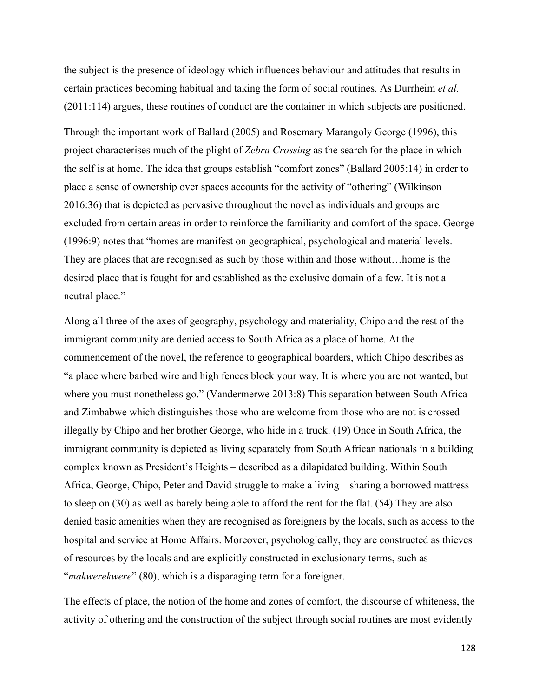the subject is the presence of ideology which influences behaviour and attitudes that results in certain practices becoming habitual and taking the form of social routines. As Durrheim *et al.* (2011:114) argues, these routines of conduct are the container in which subjects are positioned.

Through the important work of Ballard (2005) and Rosemary Marangoly George (1996), this project characterises much of the plight of *Zebra Crossing* as the search for the place in which the self is at home. The idea that groups establish "comfort zones" (Ballard 2005:14) in order to place a sense of ownership over spaces accounts for the activity of "othering" (Wilkinson 2016:36) that is depicted as pervasive throughout the novel as individuals and groups are excluded from certain areas in order to reinforce the familiarity and comfort of the space. George (1996:9) notes that "homes are manifest on geographical, psychological and material levels. They are places that are recognised as such by those within and those without…home is the desired place that is fought for and established as the exclusive domain of a few. It is not a neutral place."

Along all three of the axes of geography, psychology and materiality, Chipo and the rest of the immigrant community are denied access to South Africa as a place of home. At the commencement of the novel, the reference to geographical boarders, which Chipo describes as "a place where barbed wire and high fences block your way. It is where you are not wanted, but where you must nonetheless go." (Vandermerwe 2013:8) This separation between South Africa and Zimbabwe which distinguishes those who are welcome from those who are not is crossed illegally by Chipo and her brother George, who hide in a truck. (19) Once in South Africa, the immigrant community is depicted as living separately from South African nationals in a building complex known as President's Heights – described as a dilapidated building. Within South Africa, George, Chipo, Peter and David struggle to make a living – sharing a borrowed mattress to sleep on (30) as well as barely being able to afford the rent for the flat. (54) They are also denied basic amenities when they are recognised as foreigners by the locals, such as access to the hospital and service at Home Affairs. Moreover, psychologically, they are constructed as thieves of resources by the locals and are explicitly constructed in exclusionary terms, such as "*makwerekwere*" (80), which is a disparaging term for a foreigner.

The effects of place, the notion of the home and zones of comfort, the discourse of whiteness, the activity of othering and the construction of the subject through social routines are most evidently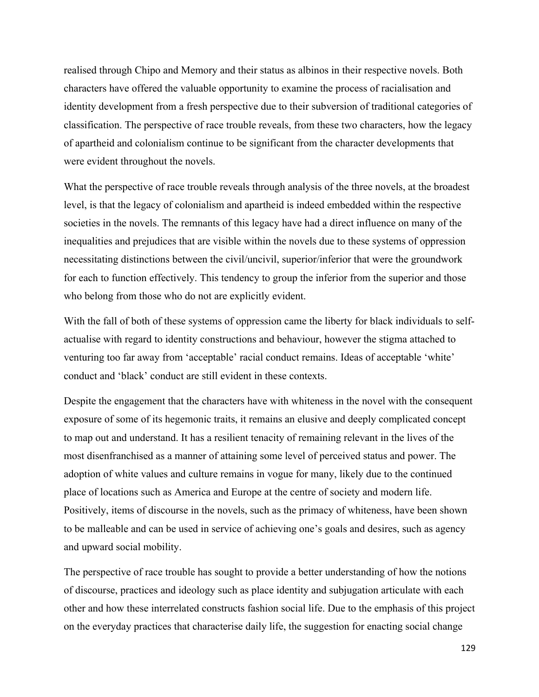realised through Chipo and Memory and their status as albinos in their respective novels. Both characters have offered the valuable opportunity to examine the process of racialisation and identity development from a fresh perspective due to their subversion of traditional categories of classification. The perspective of race trouble reveals, from these two characters, how the legacy of apartheid and colonialism continue to be significant from the character developments that were evident throughout the novels.

What the perspective of race trouble reveals through analysis of the three novels, at the broadest level, is that the legacy of colonialism and apartheid is indeed embedded within the respective societies in the novels. The remnants of this legacy have had a direct influence on many of the inequalities and prejudices that are visible within the novels due to these systems of oppression necessitating distinctions between the civil/uncivil, superior/inferior that were the groundwork for each to function effectively. This tendency to group the inferior from the superior and those who belong from those who do not are explicitly evident.

With the fall of both of these systems of oppression came the liberty for black individuals to selfactualise with regard to identity constructions and behaviour, however the stigma attached to venturing too far away from 'acceptable' racial conduct remains. Ideas of acceptable 'white' conduct and 'black' conduct are still evident in these contexts.

Despite the engagement that the characters have with whiteness in the novel with the consequent exposure of some of its hegemonic traits, it remains an elusive and deeply complicated concept to map out and understand. It has a resilient tenacity of remaining relevant in the lives of the most disenfranchised as a manner of attaining some level of perceived status and power. The adoption of white values and culture remains in vogue for many, likely due to the continued place of locations such as America and Europe at the centre of society and modern life. Positively, items of discourse in the novels, such as the primacy of whiteness, have been shown to be malleable and can be used in service of achieving one's goals and desires, such as agency and upward social mobility.

The perspective of race trouble has sought to provide a better understanding of how the notions of discourse, practices and ideology such as place identity and subjugation articulate with each other and how these interrelated constructs fashion social life. Due to the emphasis of this project on the everyday practices that characterise daily life, the suggestion for enacting social change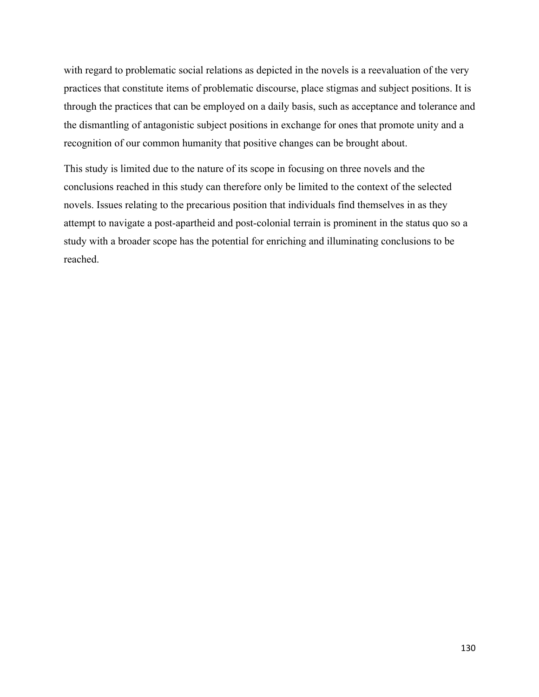with regard to problematic social relations as depicted in the novels is a reevaluation of the very practices that constitute items of problematic discourse, place stigmas and subject positions. It is through the practices that can be employed on a daily basis, such as acceptance and tolerance and the dismantling of antagonistic subject positions in exchange for ones that promote unity and a recognition of our common humanity that positive changes can be brought about.

This study is limited due to the nature of its scope in focusing on three novels and the conclusions reached in this study can therefore only be limited to the context of the selected novels. Issues relating to the precarious position that individuals find themselves in as they attempt to navigate a post-apartheid and post-colonial terrain is prominent in the status quo so a study with a broader scope has the potential for enriching and illuminating conclusions to be reached.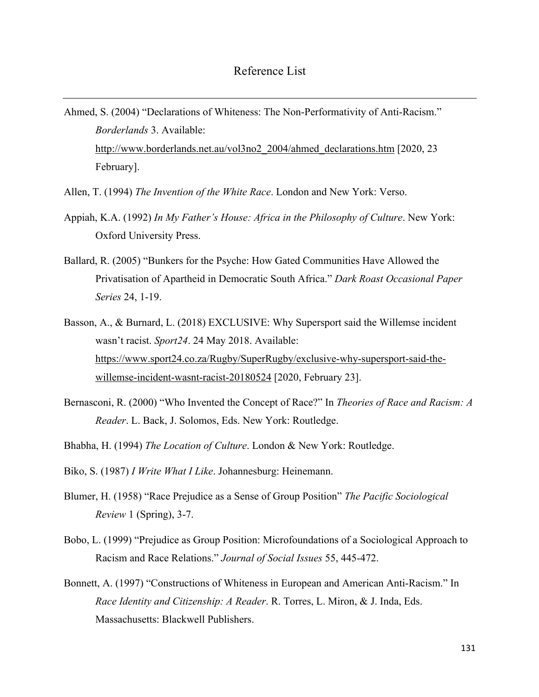- Ahmed, S. (2004) "Declarations of Whiteness: The Non-Performativity of Anti-Racism." *Borderlands* 3. Available: http://www.borderlands.net.au/vol3no2\_2004/ahmed\_declarations.htm [2020, 23 February].
- Allen, T. (1994) *The Invention of the White Race*. London and New York: Verso.
- Appiah, K.A. (1992) *In My Father's House: Africa in the Philosophy of Culture*. New York: Oxford University Press.
- Ballard, R. (2005) "Bunkers for the Psyche: How Gated Communities Have Allowed the Privatisation of Apartheid in Democratic South Africa." *Dark Roast Occasional Paper Series* 24, 1-19.
- Basson, A., & Burnard, L. (2018) EXCLUSIVE: Why Supersport said the Willemse incident wasn't racist. *Sport24*. 24 May 2018. Available: https://www.sport24.co.za/Rugby/SuperRugby/exclusive-why-supersport-said-thewillemse-incident-wasnt-racist-20180524 [2020, February 23].
- Bernasconi, R. (2000) "Who Invented the Concept of Race?" In *Theories of Race and Racism: A Reader*. L. Back, J. Solomos, Eds. New York: Routledge.
- Bhabha, H. (1994) *The Location of Culture*. London & New York: Routledge.
- Biko, S. (1987) *I Write What I Like*. Johannesburg: Heinemann.
- Blumer, H. (1958) "Race Prejudice as a Sense of Group Position" *The Pacific Sociological Review* 1 (Spring), 3-7.
- Bobo, L. (1999) "Prejudice as Group Position: Microfoundations of a Sociological Approach to Racism and Race Relations." *Journal of Social Issues* 55, 445-472.
- Bonnett, A. (1997) "Constructions of Whiteness in European and American Anti-Racism." In *Race Identity and Citizenship: A Reader*. R. Torres, L. Miron, & J. Inda, Eds. Massachusetts: Blackwell Publishers.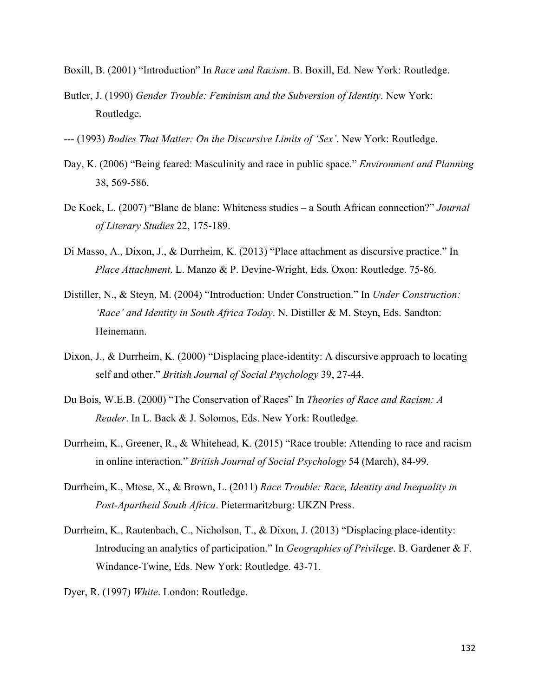Boxill, B. (2001) "Introduction" In *Race and Racism*. B. Boxill, Ed. New York: Routledge.

- Butler, J. (1990) *Gender Trouble: Feminism and the Subversion of Identity*. New York: Routledge.
- --- (1993) *Bodies That Matter: On the Discursive Limits of 'Sex'*. New York: Routledge.
- Day, K. (2006) "Being feared: Masculinity and race in public space." *Environment and Planning* 38, 569-586.
- De Kock, L. (2007) "Blanc de blanc: Whiteness studies a South African connection?" *Journal of Literary Studies* 22, 175-189.
- Di Masso, A., Dixon, J., & Durrheim, K. (2013) "Place attachment as discursive practice." In *Place Attachment*. L. Manzo & P. Devine-Wright, Eds. Oxon: Routledge. 75-86.
- Distiller, N., & Steyn, M. (2004) "Introduction: Under Construction." In *Under Construction: 'Race' and Identity in South Africa Today*. N. Distiller & M. Steyn, Eds. Sandton: Heinemann.
- Dixon, J., & Durrheim, K. (2000) "Displacing place-identity: A discursive approach to locating self and other." *British Journal of Social Psychology* 39, 27-44.
- Du Bois, W.E.B. (2000) "The Conservation of Races" In *Theories of Race and Racism: A Reader*. In L. Back & J. Solomos, Eds. New York: Routledge.
- Durrheim, K., Greener, R., & Whitehead, K. (2015) "Race trouble: Attending to race and racism in online interaction." *British Journal of Social Psychology* 54 (March), 84-99.
- Durrheim, K., Mtose, X., & Brown, L. (2011) *Race Trouble: Race, Identity and Inequality in Post-Apartheid South Africa*. Pietermaritzburg: UKZN Press.
- Durrheim, K., Rautenbach, C., Nicholson, T., & Dixon, J. (2013) "Displacing place-identity: Introducing an analytics of participation." In *Geographies of Privilege*. B. Gardener & F. Windance-Twine, Eds. New York: Routledge. 43-71.
- Dyer, R. (1997) *White*. London: Routledge.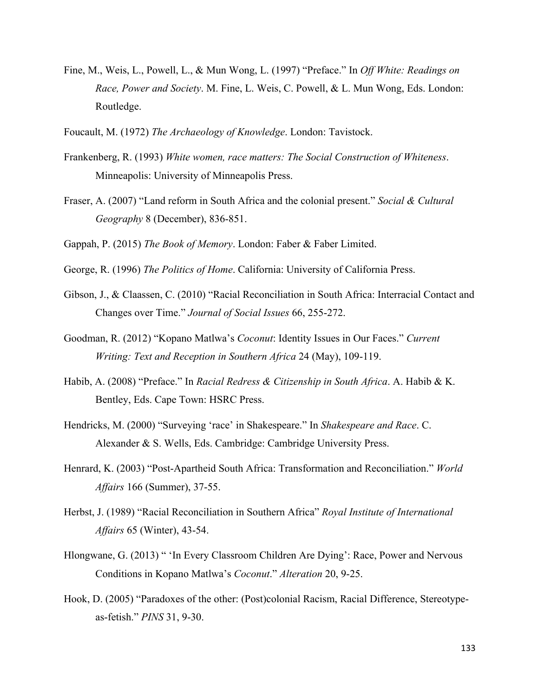- Fine, M., Weis, L., Powell, L., & Mun Wong, L. (1997) "Preface." In *Off White: Readings on Race, Power and Society*. M. Fine, L. Weis, C. Powell, & L. Mun Wong, Eds. London: Routledge.
- Foucault, M. (1972) *The Archaeology of Knowledge*. London: Tavistock.
- Frankenberg, R. (1993) *White women, race matters: The Social Construction of Whiteness*. Minneapolis: University of Minneapolis Press.
- Fraser, A. (2007) "Land reform in South Africa and the colonial present." *Social & Cultural Geography* 8 (December), 836-851.
- Gappah, P. (2015) *The Book of Memory*. London: Faber & Faber Limited.
- George, R. (1996) *The Politics of Home*. California: University of California Press.
- Gibson, J., & Claassen, C. (2010) "Racial Reconciliation in South Africa: Interracial Contact and Changes over Time." *Journal of Social Issues* 66, 255-272.
- Goodman, R. (2012) "Kopano Matlwa's *Coconut*: Identity Issues in Our Faces." *Current Writing: Text and Reception in Southern Africa* 24 (May), 109-119.
- Habib, A. (2008) "Preface." In *Racial Redress & Citizenship in South Africa*. A. Habib & K. Bentley, Eds. Cape Town: HSRC Press.
- Hendricks, M. (2000) "Surveying 'race' in Shakespeare." In *Shakespeare and Race*. C. Alexander & S. Wells, Eds. Cambridge: Cambridge University Press.
- Henrard, K. (2003) "Post-Apartheid South Africa: Transformation and Reconciliation." *World Affairs* 166 (Summer), 37-55.
- Herbst, J. (1989) "Racial Reconciliation in Southern Africa" *Royal Institute of International Affairs* 65 (Winter), 43-54.
- Hlongwane, G. (2013) " 'In Every Classroom Children Are Dying': Race, Power and Nervous Conditions in Kopano Matlwa's *Coconut*." *Alteration* 20, 9-25.
- Hook, D. (2005) "Paradoxes of the other: (Post)colonial Racism, Racial Difference, Stereotypeas-fetish." *PINS* 31, 9-30.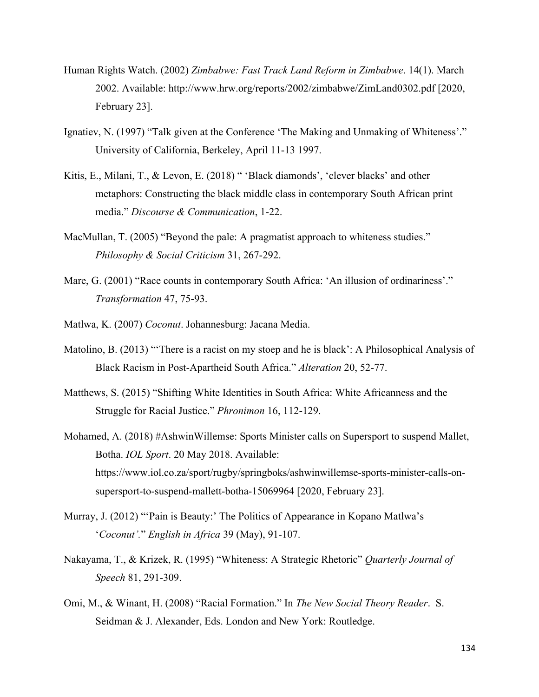- Human Rights Watch. (2002) *Zimbabwe: Fast Track Land Reform in Zimbabwe*. 14(1). March 2002. Available: http://www.hrw.org/reports/2002/zimbabwe/ZimLand0302.pdf [2020, February 23].
- Ignatiev, N. (1997) "Talk given at the Conference 'The Making and Unmaking of Whiteness'." University of California, Berkeley, April 11-13 1997.
- Kitis, E., Milani, T., & Levon, E. (2018) " 'Black diamonds', 'clever blacks' and other metaphors: Constructing the black middle class in contemporary South African print media." *Discourse & Communication*, 1-22.
- MacMullan, T. (2005) "Beyond the pale: A pragmatist approach to whiteness studies." *Philosophy & Social Criticism* 31, 267-292.
- Mare, G. (2001) "Race counts in contemporary South Africa: 'An illusion of ordinariness'." *Transformation* 47, 75-93.
- Matlwa, K. (2007) *Coconut*. Johannesburg: Jacana Media.
- Matolino, B. (2013) "'There is a racist on my stoep and he is black': A Philosophical Analysis of Black Racism in Post-Apartheid South Africa." *Alteration* 20, 52-77.
- Matthews, S. (2015) "Shifting White Identities in South Africa: White Africanness and the Struggle for Racial Justice." *Phronimon* 16, 112-129.
- Mohamed, A. (2018) #AshwinWillemse: Sports Minister calls on Supersport to suspend Mallet, Botha. *IOL Sport*. 20 May 2018. Available: https://www.iol.co.za/sport/rugby/springboks/ashwinwillemse-sports-minister-calls-onsupersport-to-suspend-mallett-botha-15069964 [2020, February 23].
- Murray, J. (2012) "'Pain is Beauty:' The Politics of Appearance in Kopano Matlwa's '*Coconut'.*" *English in Africa* 39 (May), 91-107.
- Nakayama, T., & Krizek, R. (1995) "Whiteness: A Strategic Rhetoric" *Quarterly Journal of Speech* 81, 291-309.
- Omi, M., & Winant, H. (2008) "Racial Formation." In *The New Social Theory Reader*. S. Seidman & J. Alexander, Eds. London and New York: Routledge.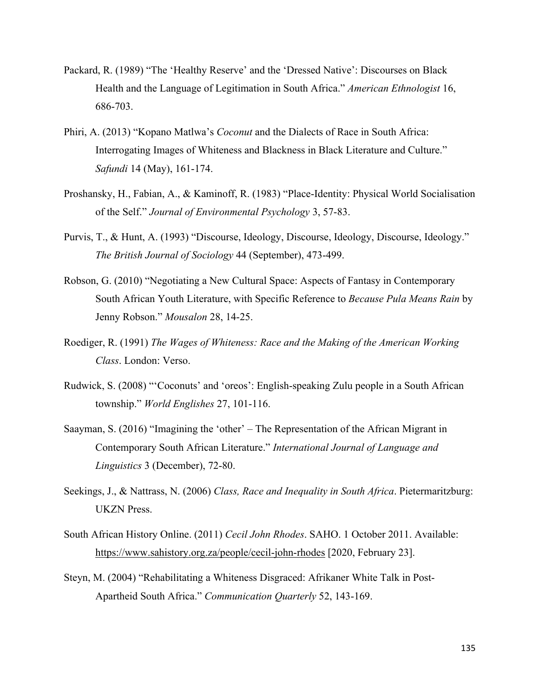- Packard, R. (1989) "The 'Healthy Reserve' and the 'Dressed Native': Discourses on Black Health and the Language of Legitimation in South Africa." *American Ethnologist* 16, 686-703.
- Phiri, A. (2013) "Kopano Matlwa's *Coconut* and the Dialects of Race in South Africa: Interrogating Images of Whiteness and Blackness in Black Literature and Culture." *Safundi* 14 (May), 161-174.
- Proshansky, H., Fabian, A., & Kaminoff, R. (1983) "Place-Identity: Physical World Socialisation of the Self." *Journal of Environmental Psychology* 3, 57-83.
- Purvis, T., & Hunt, A. (1993) "Discourse, Ideology, Discourse, Ideology, Discourse, Ideology." *The British Journal of Sociology* 44 (September), 473-499.
- Robson, G. (2010) "Negotiating a New Cultural Space: Aspects of Fantasy in Contemporary South African Youth Literature, with Specific Reference to *Because Pula Means Rain* by Jenny Robson." *Mousalon* 28, 14-25.
- Roediger, R. (1991) *The Wages of Whiteness: Race and the Making of the American Working Class*. London: Verso.
- Rudwick, S. (2008) "'Coconuts' and 'oreos': English-speaking Zulu people in a South African township." *World Englishes* 27, 101-116.
- Saayman, S. (2016) "Imagining the 'other' The Representation of the African Migrant in Contemporary South African Literature." *International Journal of Language and Linguistics* 3 (December), 72-80.
- Seekings, J., & Nattrass, N. (2006) *Class, Race and Inequality in South Africa*. Pietermaritzburg: UKZN Press.
- South African History Online. (2011) *Cecil John Rhodes*. SAHO. 1 October 2011. Available: https://www.sahistory.org.za/people/cecil-john-rhodes [2020, February 23].
- Steyn, M. (2004) "Rehabilitating a Whiteness Disgraced: Afrikaner White Talk in Post-Apartheid South Africa." *Communication Quarterly* 52, 143-169.